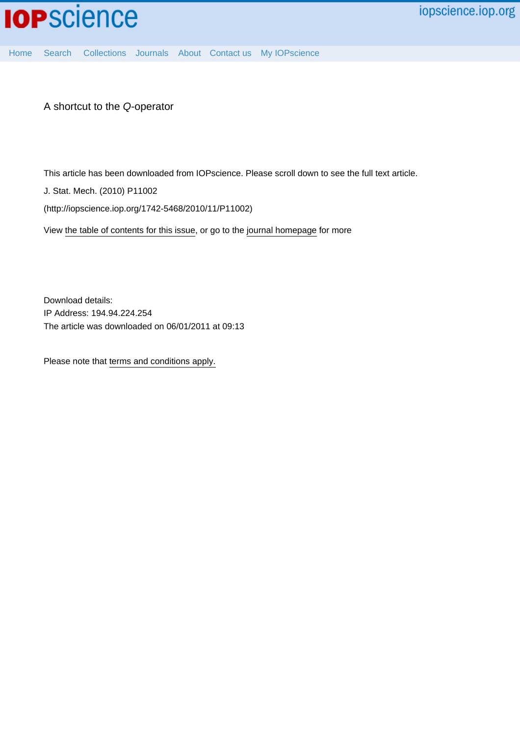

[Home](http://iopscience.iop.org/) [Search](http://iopscience.iop.org/search) [Collections](http://iopscience.iop.org/collections) [Journals](http://iopscience.iop.org/journals) [About](http://iopscience.iop.org/page/aboutioppublishing) [Contact us](http://iopscience.iop.org/contact) [My IOPscience](http://iopscience.iop.org/myiopscience)

A shortcut to the Q-operator

This article has been downloaded from IOPscience. Please scroll down to see the full text article.

J. Stat. Mech. (2010) P11002

(http://iopscience.iop.org/1742-5468/2010/11/P11002)

View [the table of contents for this issue](http://iopscience.iop.org/1742-5468/2010/11), or go to the [journal homepage](http://iopscience.iop.org/1742-5468) for more

Download details: IP Address: 194.94.224.254 The article was downloaded on 06/01/2011 at 09:13

Please note that [terms and conditions apply.](http://iopscience.iop.org/page/terms)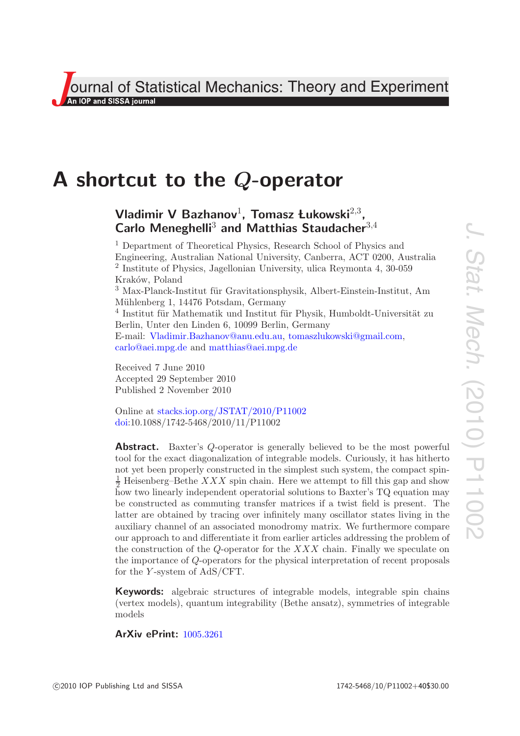**Journal of Statistical Mechanics: Theory and Experiment**<br>An IOP and SISSA journal

# **A shortcut to the** *Q***-operator**

## $V$ ladimir V Bazhanov<sup>1</sup>, Tomasz Łukowski<sup>2,3</sup>, **Carlo Meneghelli**<sup>3</sup> **and Matthias Staudacher**<sup>3</sup>*,*<sup>4</sup>

<sup>1</sup> Department of Theoretical Physics, Research School of Physics and Engineering, Australian National University, Canberra, ACT 0200, Australia <sup>2</sup> Institute of Physics, Jagellonian University, ulica Reymonta 4, 30-059 Kraków, Poland <sup>3</sup> Max-Planck-Institut für Gravitationsphysik, Albert-Einstein-Institut, Am Mühlenberg 1, 14476 Potsdam, Germany  $4$  Institut für Mathematik und Institut für Physik, Humboldt-Universität zu Berlin, Unter den Linden 6, 10099 Berlin, Germany E-mail: [Vladimir.Bazhanov@anu.edu.au,](mailto:Vladimir.Bazhanov@anu.edu.au) [tomaszlukowski@gmail.com,](mailto:tomaszlukowski@gmail.com) [carlo@aei.mpg.de](mailto:carlo@aei.mpg.de) and [matthias@aei.mpg.de](mailto:matthias@aei.mpg.de)

Received 7 June 2010 Accepted 29 September 2010 Published 2 November 2010

Online at [stacks.iop.org/JSTAT/2010/P11002](http://stacks.iop.org/JSTAT/2010/P11002) [doi:](http://dx.doi.org/10.1088/1742-5468/2010/11/P11002)10.1088/1742-5468/2010/11/P11002

**Abstract.** Baxter's *Q*-operator is generally believed to be the most powerful tool for the exact diagonalization of integrable models. Curiously, it has hitherto not yet been properly constructed in the simplest such system, the compact spin- $\frac{1}{2}$  Heisenberg–Bethe *XXX* spin chain. Here we attempt to fill this gap and show how two linearly independent operatorial solutions to Baxter's TQ equation may be constructed as commuting transfer matrices if a twist field is present. The latter are obtained by tracing over infinitely many oscillator states living in the auxiliary channel of an associated monodromy matrix. We furthermore compare our approach to and differentiate it from earlier articles addressing the problem of the construction of the *Q*-operator for the *XXX* chain. Finally we speculate on the importance of *Q*-operators for the physical interpretation of recent proposals for the *Y* -system of AdS/CFT.

**Keywords:** algebraic structures of integrable models, integrable spin chains (vertex models), quantum integrability (Bethe ansatz), symmetries of integrable models

**ArXiv ePrint:** [1005.3261](http://arxiv.org/abs/1005.3261)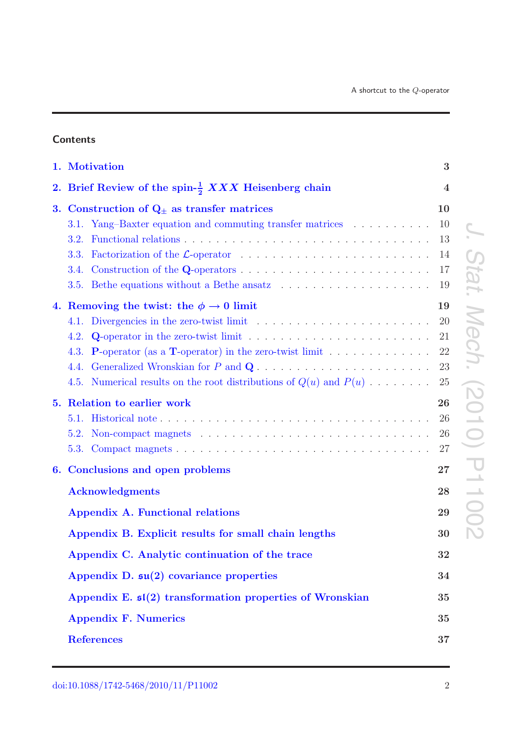## **Contents**

|    | 1. Motivation                                                                                                                                                                                                                                                                                                                                                                                                                       | 3                                                              |                                              |
|----|-------------------------------------------------------------------------------------------------------------------------------------------------------------------------------------------------------------------------------------------------------------------------------------------------------------------------------------------------------------------------------------------------------------------------------------|----------------------------------------------------------------|----------------------------------------------|
|    | 2. Brief Review of the spin- $\frac{1}{2}$ XXX Heisenberg chain                                                                                                                                                                                                                                                                                                                                                                     | $\overline{4}$                                                 |                                              |
| 3. | Construction of $Q_{\pm}$ as transfer matrices<br>3.1. Yang-Baxter equation and commuting transfer matrices<br>3.2.<br>3.3.<br>3.4.<br>3.5.<br>4. Removing the twist: the $\phi \rightarrow 0$ limit<br>Divergencies in the zero-twist limit $\ldots \ldots \ldots \ldots \ldots \ldots \ldots$<br>4.1.<br>Q-operator in the zero-twist limit $\dots \dots \dots \dots \dots \dots \dots \dots \dots \dots$<br>4.2.<br>4.3.<br>4.4. | 10<br>10<br>13<br>14<br>17<br>19<br>19<br>20<br>21<br>22<br>23 | tat<br>N<br>ech                              |
|    | 4.5. Numerical results on the root distributions of $Q(u)$ and $P(u)$<br>5. Relation to earlier work<br>5.1.<br>5.2.<br>5.3.                                                                                                                                                                                                                                                                                                        | 25<br>26<br>26<br>26<br>27                                     | DO<br>$\overline{\phantom{a}}$<br>$\bigcirc$ |
| 6. | Conclusions and open problems                                                                                                                                                                                                                                                                                                                                                                                                       | 27                                                             | $\overline{\mathbf{U}}$<br>$\mathcal{A}$     |
|    | <b>Acknowledgments</b><br>Appendix A. Functional relations<br>Appendix B. Explicit results for small chain lengths                                                                                                                                                                                                                                                                                                                  | 28<br>29<br>30                                                 | $\rightarrow$                                |
|    | Appendix C. Analytic continuation of the trace                                                                                                                                                                                                                                                                                                                                                                                      | 32                                                             |                                              |
|    | Appendix D. $\mathfrak{su}(2)$ covariance properties                                                                                                                                                                                                                                                                                                                                                                                | 34                                                             |                                              |
|    | Appendix E. $\mathfrak{sl}(2)$ transformation properties of Wronskian                                                                                                                                                                                                                                                                                                                                                               | 35                                                             |                                              |
|    | <b>Appendix F. Numerics</b>                                                                                                                                                                                                                                                                                                                                                                                                         | 35                                                             |                                              |
|    | <b>References</b>                                                                                                                                                                                                                                                                                                                                                                                                                   | 37                                                             |                                              |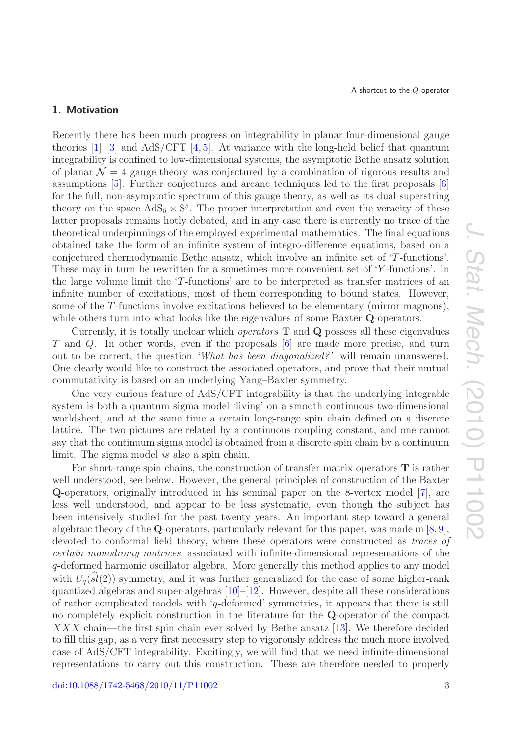## <span id="page-3-0"></span>**1. Motivation**

Recently there has been much progress on integrability in planar four-dimensional gauge theories  $[1]-[3]$  $[1]-[3]$  $[1]-[3]$  and AdS/CFT  $[4,5]$  $[4,5]$ . At variance with the long-held belief that quantum integrability is confined to low-dimensional systems, the asymptotic Bethe ansatz solution of planar  $\mathcal{N} = 4$  gauge theory was conjectured by a combination of rigorous results and assumptions [\[5\]](#page-38-1). Further conjectures and arcane techniques led to the first proposals [\[6\]](#page-38-2) for the full, non-asymptotic spectrum of this gauge theory, as well as its dual superstring theory on the space  $AdS_5 \times S^5$ . The proper interpretation and even the veracity of these latter proposals remains hotly debated, and in any case there is currently no trace of the theoretical underpinnings of the employed experimental mathematics. The final equations obtained take the form of an infinite system of integro-difference equations, based on a conjectured thermodynamic Bethe ansatz, which involve an infinite set of 'T-functions'. These may in turn be rewritten for a sometimes more convenient set of 'Y -functions'. In the large volume limit the 'T-functions' are to be interpreted as transfer matrices of an infinite number of excitations, most of them corresponding to bound states. However, some of the T-functions involve excitations believed to be elementary (mirror magnons), while others turn into what looks like the eigenvalues of some Baxter **Q**-operators.

Currently, it is totally unclear which *operators* **T** and **Q** possess all these eigenvalues T and Q. In other words, even if the proposals [\[6\]](#page-38-2) are made more precise, and turn out to be correct, the question *'What has been diagonalized?'* will remain unanswered. One clearly would like to construct the associated operators, and prove that their mutual commutativity is based on an underlying Yang–Baxter symmetry.

One very curious feature of AdS/CFT integrability is that the underlying integrable system is both a quantum sigma model 'living' on a smooth continuous two-dimensional worldsheet, and at the same time a certain long-range spin chain defined on a discrete lattice. The two pictures are related by a continuous coupling constant, and one cannot say that the continuum sigma model is obtained from a discrete spin chain by a continuum limit. The sigma model *is* also a spin chain.

For short-range spin chains, the construction of transfer matrix operators **T** is rather well understood, see below. However, the general principles of construction of the Baxter **Q**-operators, originally introduced in his seminal paper on the 8-vertex model [\[7\]](#page-38-3), are less well understood, and appear to be less systematic, even though the subject has been intensively studied for the past twenty years. An important step toward a general algebraic theory of the **Q**-operators, particularly relevant for this paper, was made in  $[8, 9]$  $[8, 9]$  $[8, 9]$ , devoted to conformal field theory, where these operators were constructed as *traces of certain monodromy matrices*, associated with infinite-dimensional representations of the q-deformed harmonic oscillator algebra. More generally this method applies to any model with  $U_q(sl(2))$  symmetry, and it was further generalized for the case of some higher-rank<br>cuantized algebras and super algebras [10] [12] However, despite all these considerations quantized algebras and super-algebras [\[10\]](#page-38-6)–[\[12\]](#page-38-7). However, despite all these considerations of rather complicated models with  $q$ -deformed' symmetries, it appears that there is still no completely explicit construction in the literature for the **Q**-operator of the compact XXX chain—the first spin chain ever solved by Bethe ansatz [\[13\]](#page-38-8). We therefore decided to fill this gap, as a very first necessary step to vigorously address the much more involved case of AdS/CFT integrability. Excitingly, we will find that we need infinite-dimensional representations to carry out this construction. These are therefore needed to properly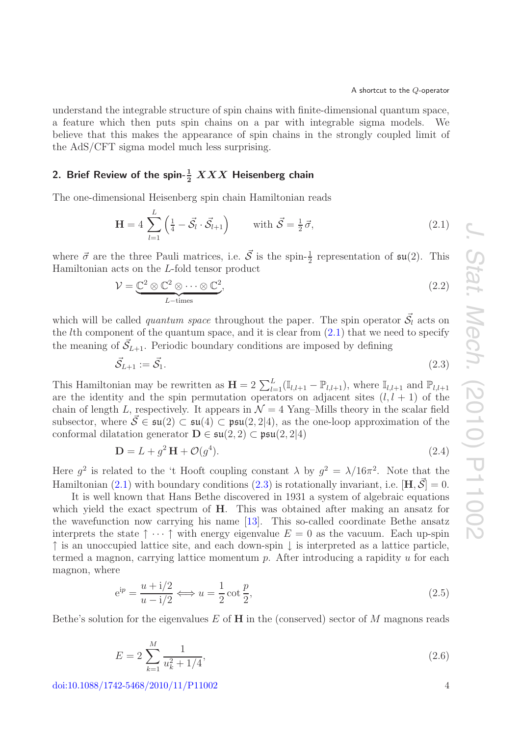understand the integrable structure of spin chains with finite-dimensional quantum space, a feature which then puts spin chains on a par with integrable sigma models. We believe that this makes the appearance of spin chains in the strongly coupled limit of the AdS/CFT sigma model much less surprising.

## <span id="page-4-0"></span>2. Brief Review of the spin- $\frac{1}{2}$   $XXX$  Heisenberg chain

The one-dimensional Heisenberg spin chain Hamiltonian reads

<span id="page-4-1"></span>
$$
\mathbf{H} = 4 \sum_{l=1}^{L} \left( \frac{1}{4} - \vec{\mathcal{S}_l} \cdot \vec{\mathcal{S}_{l+1}} \right) \qquad \text{with } \vec{\mathcal{S}} = \frac{1}{2} \vec{\sigma}, \tag{2.1}
$$

where  $\vec{\sigma}$  are the three Pauli matrices, i.e.  $\vec{S}$  is the spin- $\frac{1}{2}$  representation of  $\mathfrak{su}(2)$ . This Hamiltonian acts on the L-fold tensor product

<span id="page-4-5"></span>
$$
\mathcal{V} = \underbrace{\mathbb{C}^2 \otimes \mathbb{C}^2 \otimes \cdots \otimes \mathbb{C}^2}_{L-\text{times}},\tag{2.2}
$$

which will be called *quantum space* throughout the paper. The spin operator  $\vec{S}_l$  acts on the *lth* component of the quantum space, and it is clear from  $(2.1)$  that we need to specify the meaning of  $\vec{S}_{L+1}$ . Periodic boundary conditions are imposed by defining

<span id="page-4-2"></span>
$$
\vec{\mathcal{S}}_{L+1} := \vec{\mathcal{S}}_1. \tag{2.3}
$$

This Hamiltonian may be rewritten as  $\mathbf{H} = 2 \sum_{l=1}^{L} (\mathbb{I}_{l,l+1} - \mathbb{P}_{l,l+1}),$  where  $\mathbb{I}_{l,l+1}$  and  $\mathbb{P}_{l,l+1}$ are the identity and the spin permutation operators on adjacent sites  $(l, l + 1)$  of the chain of length L, respectively. It appears in  $\mathcal{N}=4$  Yang–Mills theory in the scalar field subsector, where  $\vec{S} \in \mathfrak{su}(2) \subset \mathfrak{su}(4) \subset \mathfrak{psu}(2,2|4)$ , as the one-loop approximation of the conformal dilatation generator  $\mathbf{D} \in \mathfrak{su}(2,2) \subset \mathfrak{psu}(2,2|4)$ 

$$
\mathbf{D} = L + g^2 \mathbf{H} + \mathcal{O}(g^4). \tag{2.4}
$$

Here  $g^2$  is related to the 't Hooft coupling constant  $\lambda$  by  $g^2 = \lambda/16\pi^2$ . Note that the Hamiltonian [\(2.1\)](#page-4-1) with boundary conditions [\(2.3\)](#page-4-2) is rotationally invariant, i.e.  $[\mathbf{H}, \vec{S}] = 0$ .

It is well known that Hans Bethe discovered in 1931 a system of algebraic equations which yield the exact spectrum of **H**. This was obtained after making an ansatz for the wavefunction now carrying his name [\[13\]](#page-38-8). This so-called coordinate Bethe ansatz interprets the state  $\uparrow \cdots \uparrow$  with energy eigenvalue  $E = 0$  as the vacuum. Each up-spin  $\uparrow$  is an unoccupied lattice site, and each down-spin  $\downarrow$  is interpreted as a lattice particle, termed a magnon, carrying lattice momentum  $p$ . After introducing a rapidity  $u$  for each magnon, where

<span id="page-4-3"></span>
$$
e^{ip} = \frac{u + i/2}{u - i/2} \Longleftrightarrow u = \frac{1}{2} \cot \frac{p}{2},\tag{2.5}
$$

<span id="page-4-4"></span>Bethe's solution for the eigenvalues  $E$  of  $H$  in the (conserved) sector of  $M$  magnons reads

$$
E = 2\sum_{k=1}^{M} \frac{1}{u_k^2 + 1/4},\tag{2.6}
$$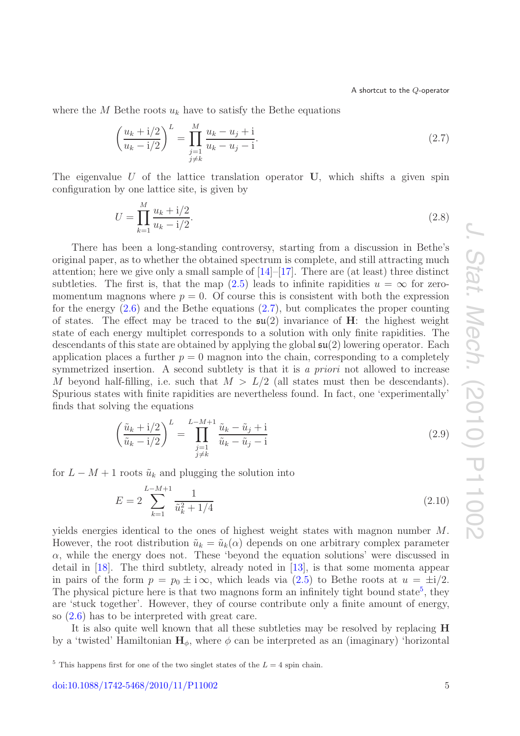where the M Bethe roots  $u_k$  have to satisfy the Bethe equations

<span id="page-5-0"></span>
$$
\left(\frac{u_k + i/2}{u_k - i/2}\right)^L = \prod_{\substack{j=1 \ j \neq k}}^M \frac{u_k - u_j + i}{u_k - u_j - i}.\tag{2.7}
$$

The eigenvalue  $U$  of the lattice translation operator  $U$ , which shifts a given spin configuration by one lattice site, is given by

<span id="page-5-4"></span>
$$
U = \prod_{k=1}^{M} \frac{u_k + i/2}{u_k - i/2}.
$$
\n(2.8)

There has been a long-standing controversy, starting from a discussion in Bethe's original paper, as to whether the obtained spectrum is complete, and still attracting much attention; here we give only a small sample of  $[14]-[17]$  $[14]-[17]$  $[14]-[17]$ . There are (at least) three distinct subtleties. The first is, that the map  $(2.5)$  leads to infinite rapidities  $u = \infty$  for zeromomentum magnons where  $p = 0$ . Of course this is consistent with both the expression for the energy  $(2.6)$  and the Bethe equations  $(2.7)$ , but complicates the proper counting of states. The effect may be traced to the su(2) invariance of **H**: the highest weight state of each energy multiplet corresponds to a solution with only finite rapidities. The descendants of this state are obtained by applying the global su(2) lowering operator. Each application places a further  $p = 0$  magnon into the chain, corresponding to a completely symmetrized insertion. A second subtlety is that it is *a priori* not allowed to increase M beyond half-filling, i.e. such that  $M > L/2$  (all states must then be descendants). Spurious states with finite rapidities are nevertheless found. In fact, one 'experimentally' finds that solving the equations

<span id="page-5-2"></span>
$$
\left(\frac{\tilde{u}_k + i/2}{\tilde{u}_k - i/2}\right)^L = \prod_{\substack{j=1 \ j\neq k}}^{L-M+1} \frac{\tilde{u}_k - \tilde{u}_j + i}{\tilde{u}_k - \tilde{u}_j - i}
$$
\n(2.9)

for  $L - M + 1$  roots  $\tilde{u}_k$  and plugging the solution into

<span id="page-5-3"></span>
$$
E = 2\sum_{k=1}^{L-M+1} \frac{1}{\tilde{u}_k^2 + 1/4} \tag{2.10}
$$

yields energies identical to the ones of highest weight states with magnon number M. However, the root distribution  $\tilde{u}_k = \tilde{u}_k(\alpha)$  depends on one arbitrary complex parameter  $\alpha$ , while the energy does not. These 'beyond the equation solutions' were discussed in detail in [\[18\]](#page-38-11). The third subtlety, already noted in [\[13\]](#page-38-8), is that some momenta appear in pairs of the form  $p = p_0 \pm i \infty$ , which leads via  $(2.5)$  to Bethe roots at  $u = \pm i/2$ . The physical picture here is that two magnons form an infinitely tight bound state<sup>[5](#page-5-1)</sup>, they are 'stuck together'. However, they of course contribute only a finite amount of energy, so [\(2.6\)](#page-4-4) has to be interpreted with great care.

It is also quite well known that all these subtleties may be resolved by replacing **H** by a 'twisted' Hamiltonian  $H_{\phi}$ , where  $\phi$  can be interpreted as an (imaginary) 'horizontal

<span id="page-5-1"></span><sup>&</sup>lt;sup>5</sup> This happens first for one of the two singlet states of the  $L = 4$  spin chain.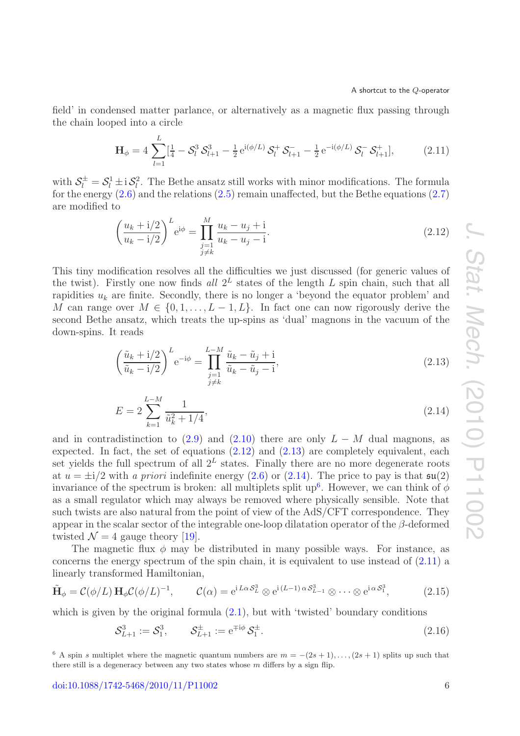field' in condensed matter parlance, or alternatively as a magnetic flux passing through the chain looped into a circle

<span id="page-6-4"></span>
$$
\mathbf{H}_{\phi} = 4 \sum_{l=1}^{L} \left[ \frac{1}{4} - \mathcal{S}_{l}^{3} \mathcal{S}_{l+1}^{3} - \frac{1}{2} e^{i(\phi/L)} \mathcal{S}_{l}^{+} \mathcal{S}_{l+1}^{-} - \frac{1}{2} e^{-i(\phi/L)} \mathcal{S}_{l}^{-} \mathcal{S}_{l+1}^{+} \right], \tag{2.11}
$$

with  $S_l^{\pm} = S_l^1 \pm i S_l^2$ . The Bethe ansatz still works with minor modifications. The formula for the energy  $(2.6)$  and the relations  $(2.5)$  remain unaffected, but the Bethe equations  $(2.7)$ are modified to

<span id="page-6-0"></span>
$$
\left(\frac{u_k + i/2}{u_k - i/2}\right)^L e^{i\phi} = \prod_{\substack{j=1 \ j \neq k}}^M \frac{u_k - u_j + i}{u_k - u_j - i}.
$$
\n(2.12)

This tiny modification resolves all the difficulties we just discussed (for generic values of the twist). Firstly one now finds all  $2^L$  states of the length L spin chain, such that all rapidities  $u_k$  are finite. Secondly, there is no longer a 'beyond the equator problem' and M can range over  $M \in \{0, 1, \ldots, L-1, L\}$ . In fact one can now rigorously derive the second Bethe ansatz, which treats the up-spins as 'dual' magnons in the vacuum of the down-spins. It reads

<span id="page-6-2"></span><span id="page-6-1"></span>
$$
\left(\frac{\tilde{u}_k + i/2}{\tilde{u}_k - i/2}\right)^L e^{-i\phi} = \prod_{\substack{j=1 \ j \neq k}}^{L-M} \frac{\tilde{u}_k - \tilde{u}_j + i}{\tilde{u}_k - \tilde{u}_j - i},\tag{2.13}
$$

$$
E = 2\sum_{k=1}^{L-M} \frac{1}{\tilde{u}_k^2 + 1/4},\tag{2.14}
$$

and in contradistinction to [\(2.9\)](#page-5-2) and [\(2.10\)](#page-5-3) there are only  $L - M$  dual magnons, as expected. In fact, the set of equations [\(2.12\)](#page-6-0) and [\(2.13\)](#page-6-1) are completely equivalent, each set yields the full spectrum of all  $2^L$  states. Finally there are no more degenerate roots at  $u = \pm i/2$  with *a priori* indefinite energy [\(2.6\)](#page-4-4) or [\(2.14\)](#page-6-2). The price to pay is that  $\mathfrak{su}(2)$ invariance of the spectrum is broken: all multiplets split up<sup>[6](#page-6-3)</sup>. However, we can think of  $\phi$ as a small regulator which may always be removed where physically sensible. Note that such twists are also natural from the point of view of the AdS/CFT correspondence. They appear in the scalar sector of the integrable one-loop dilatation operator of the  $\beta$ -deformed twisted  $\mathcal{N} = 4$  gauge theory [\[19\]](#page-38-12).

The magnetic flux  $\phi$  may be distributed in many possible ways. For instance, as concerns the energy spectrum of the spin chain, it is equivalent to use instead of [\(2.11\)](#page-6-4) a linearly transformed Hamiltonian,

$$
\tilde{\mathbf{H}}_{\phi} = \mathcal{C}(\phi/L) \mathbf{H}_{\phi} \mathcal{C}(\phi/L)^{-1}, \qquad \mathcal{C}(\alpha) = e^{iL\alpha \mathcal{S}_L^3} \otimes e^{i(L-1)\alpha \mathcal{S}_{L-1}^3} \otimes \cdots \otimes e^{i\alpha \mathcal{S}_1^3}, \qquad (2.15)
$$

which is given by the original formula  $(2.1)$ , but with 'twisted' boundary conditions

<span id="page-6-6"></span><span id="page-6-5"></span>
$$
S_{L+1}^3 := S_1^3, \qquad S_{L+1}^{\pm} := e^{\mp i\phi} S_1^{\pm}.
$$
 (2.16)

<span id="page-6-3"></span><sup>&</sup>lt;sup>6</sup> A spin s multiplet where the magnetic quantum numbers are  $m = -(2s + 1), \ldots, (2s + 1)$  splits up such that there still is a degeneracy between any two states whose  $m$  differs by a sign flip.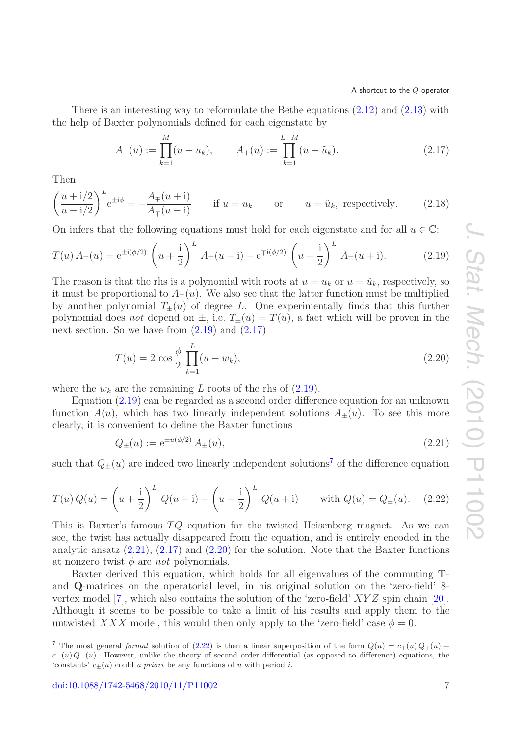There is an interesting way to reformulate the Bethe equations [\(2.12\)](#page-6-0) and [\(2.13\)](#page-6-1) with the help of Baxter polynomials defined for each eigenstate by

<span id="page-7-1"></span><span id="page-7-0"></span>
$$
A_{-}(u) := \prod_{k=1}^{M} (u - u_k), \qquad A_{+}(u) := \prod_{k=1}^{L-M} (u - \tilde{u}_k).
$$
 (2.17)

Then

<span id="page-7-6"></span>
$$
\left(\frac{u+\mathrm{i}/2}{u-\mathrm{i}/2}\right)^L e^{\pm \mathrm{i}\phi} = -\frac{A_{\mp}(u+\mathrm{i})}{A_{\mp}(u-\mathrm{i})} \quad \text{if } u = u_k \quad \text{or} \quad u = \tilde{u}_k, \text{ respectively.} \tag{2.18}
$$

On infers that the following equations must hold for each eigenstate and for all  $u \in \mathbb{C}$ :

$$
T(u) A_{\mp}(u) = e^{\pm i(\phi/2)} \left( u + \frac{i}{2} \right)^L A_{\mp}(u - i) + e^{\mp i(\phi/2)} \left( u - \frac{i}{2} \right)^L A_{\mp}(u + i). \tag{2.19}
$$

The reason is that the rhs is a polynomial with roots at  $u = u_k$  or  $u = \tilde{u}_k$ , respectively, so it must be proportional to  $A_{\pm}(u)$ . We also see that the latter function must be multiplied by another polynomial  $T_{\pm}(u)$  of degree L. One experimentally finds that this further polynomial does *not* depend on  $\pm$ , i.e.  $T_{\pm}(u) = T(u)$ , a fact which will be proven in the next section. So we have from  $(2.19)$  and  $(2.17)$ 

<span id="page-7-4"></span>
$$
T(u) = 2 \cos \frac{\phi}{2} \prod_{k=1}^{L} (u - w_k),
$$
\n(2.20)

where the  $w_k$  are the remaining L roots of the rhs of  $(2.19)$ .

Equation [\(2.19\)](#page-7-0) can be regarded as a second order difference equation for an unknown function  $A(u)$ , which has two linearly independent solutions  $A_{\pm}(u)$ . To see this more clearly, it is convenient to define the Baxter functions

<span id="page-7-3"></span>
$$
Q_{\pm}(u) := e^{\pm u(\phi/2)} A_{\pm}(u), \tag{2.21}
$$

such that  $Q_{\pm}(u)$  are indeed two linearly independent solutions<sup>[7](#page-7-2)</sup> of the difference equation

<span id="page-7-5"></span>
$$
T(u) Q(u) = \left(u + \frac{1}{2}\right)^L Q(u - i) + \left(u - \frac{1}{2}\right)^L Q(u + i) \quad \text{with } Q(u) = Q_{\pm}(u). \quad (2.22)
$$

This is Baxter's famous  $TQ$  equation for the twisted Heisenberg magnet. As we can see, the twist has actually disappeared from the equation, and is entirely encoded in the analytic ansatz  $(2.21)$ ,  $(2.17)$  and  $(2.20)$  for the solution. Note that the Baxter functions at nonzero twist  $\phi$  are *not* polynomials.

Baxter derived this equation, which holds for all eigenvalues of the commuting **T**and **Q**-matrices on the operatorial level, in his original solution on the 'zero-field' 8 vertex model [\[7\]](#page-38-3), which also contains the solution of the 'zero-field' XY Z spin chain [\[20\]](#page-38-13). Although it seems to be possible to take a limit of his results and apply them to the untwisted XXX model, this would then only apply to the 'zero-field' case  $\phi = 0$ .

<span id="page-7-2"></span><sup>&</sup>lt;sup>7</sup> The most general formal solution of [\(2.22\)](#page-7-5) is then a linear superposition of the form  $Q(u) = c+(u)Q+(u) +$  $c-(u) Q-(u)$ . However, unlike the theory of second order differential (as opposed to difference) equations, the 'constants'  $c+(u)$  could a priori be any functions of u with period i.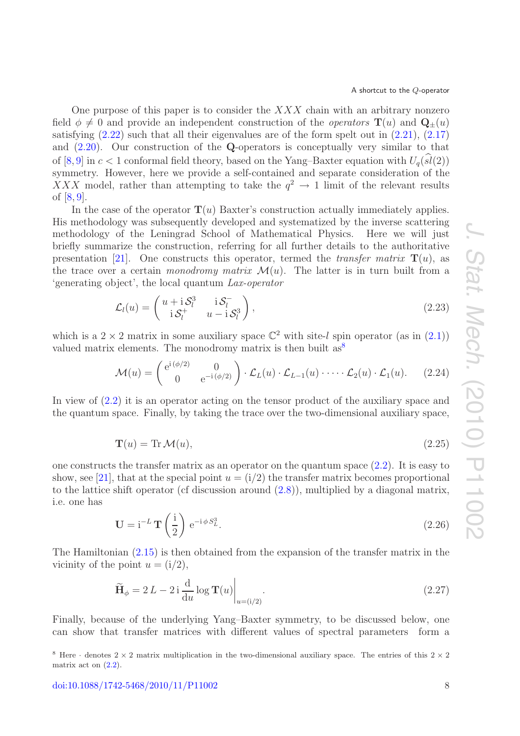One purpose of this paper is to consider the  $XXX$  chain with an arbitrary nonzero field  $\phi \neq 0$  and provide an independent construction of the *operators* **T**(u) and **Q**<sub>±</sub>(u) satisfying  $(2.22)$  such that all their eigenvalues are of the form spelt out in  $(2.21)$ ,  $(2.17)$ and [\(2.20\)](#page-7-4). Our construction of the **Q**-operators is conceptually very similar to that of  $[8, 9]$  $[8, 9]$  $[8, 9]$  in  $c < 1$  conformal field theory, based on the Yang–Baxter equation with  $U_q(sl(2))$ <br>commetery. However, here we provide a self-centrined and concrete consideration of the symmetry. However, here we provide a self-contained and separate consideration of the XXX model, rather than attempting to take the  $q^2 \rightarrow 1$  limit of the relevant results of [\[8,](#page-38-4) [9\]](#page-38-5).

In the case of the operator  $\mathbf{T}(u)$  Baxter's construction actually immediately applies. His methodology was subsequently developed and systematized by the inverse scattering methodology of the Leningrad School of Mathematical Physics. Here we will just briefly summarize the construction, referring for all further details to the authoritative presentation [\[21\]](#page-38-14). One constructs this operator, termed the *transfer matrix*  $\mathbf{T}(u)$ , as the trace over a certain *monodromy matrix*  $\mathcal{M}(u)$ . The latter is in turn built from a 'generating object', the local quantum *Lax-operator*

<span id="page-8-2"></span>
$$
\mathcal{L}_l(u) = \begin{pmatrix} u + i\mathcal{S}_l^3 & i\mathcal{S}_l^- \\ i\mathcal{S}_l^+ & u - i\mathcal{S}_l^3 \end{pmatrix},
$$
\n(2.23)

which is a  $2 \times 2$  matrix in some auxiliary space  $\mathbb{C}^2$  with site-l spin operator (as in [\(2.1\)](#page-4-1)) valued matrix elements. The monodromy matrix is then built  $as^8$  $as^8$ 

<span id="page-8-3"></span>
$$
\mathcal{M}(u) = \begin{pmatrix} e^{i(\phi/2)} & 0 \\ 0 & e^{-i(\phi/2)} \end{pmatrix} \cdot \mathcal{L}_L(u) \cdot \mathcal{L}_{L-1}(u) \cdot \cdots \cdot \mathcal{L}_2(u) \cdot \mathcal{L}_1(u). \tag{2.24}
$$

In view of  $(2.2)$  it is an operator acting on the tensor product of the auxiliary space and the quantum space. Finally, by taking the trace over the two-dimensional auxiliary space,

$$
\mathbf{T}(u) = \text{Tr}\,\mathcal{M}(u),\tag{2.25}
$$

<span id="page-8-1"></span>one constructs the transfer matrix as an operator on the quantum space [\(2.2\)](#page-4-5). It is easy to show, see [\[21\]](#page-38-14), that at the special point  $u = (i/2)$  the transfer matrix becomes proportional to the lattice shift operator (cf discussion around [\(2.8\)](#page-5-4)), multiplied by a diagonal matrix, i.e. one has

$$
\mathbf{U} = \mathbf{i}^{-L} \mathbf{T} \left( \frac{\mathbf{i}}{2} \right) e^{-\mathbf{i} \phi S_L^3}.
$$
 (2.26)

The Hamiltonian [\(2.15\)](#page-6-5) is then obtained from the expansion of the transfer matrix in the vicinity of the point  $u = (i/2)$ ,

$$
\widetilde{\mathbf{H}}_{\phi} = 2L - 2i \frac{\mathrm{d}}{\mathrm{d}u} \log \mathbf{T}(u) \big|_{u = (i/2)}.
$$
\n(2.27)

Finally, because of the underlying Yang–Baxter symmetry, to be discussed below, one can show that transfer matrices with different values of spectral parameters form a

<span id="page-8-0"></span><sup>&</sup>lt;sup>8</sup> Here · denotes  $2 \times 2$  matrix multiplication in the two-dimensional auxiliary space. The entries of this  $2 \times 2$ matrix act on  $(2.2)$ .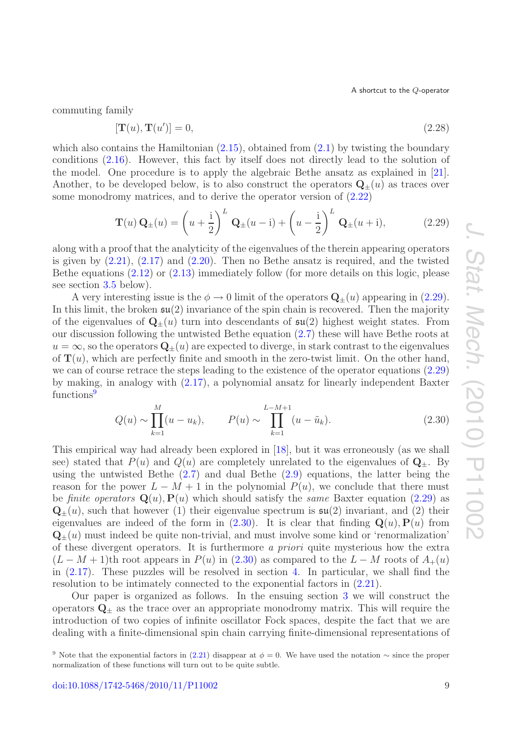commuting family

<span id="page-9-3"></span>
$$
[\mathbf{T}(u), \mathbf{T}(u')] = 0,\t\t(2.28)
$$

which also contains the Hamiltonian  $(2.15)$ , obtained from  $(2.1)$  by twisting the boundary conditions [\(2.16\)](#page-6-6). However, this fact by itself does not directly lead to the solution of the model. One procedure is to apply the algebraic Bethe ansatz as explained in [\[21\]](#page-38-14). Another, to be developed below, is to also construct the operators  $\mathbf{Q}_{\pm}(u)$  as traces over some monodromy matrices, and to derive the operator version of [\(2.22\)](#page-7-5)

<span id="page-9-0"></span>
$$
\mathbf{T}(u)\mathbf{Q}_{\pm}(u) = \left(u + \frac{i}{2}\right)^L \mathbf{Q}_{\pm}(u - i) + \left(u - \frac{i}{2}\right)^L \mathbf{Q}_{\pm}(u + i),\tag{2.29}
$$

along with a proof that the analyticity of the eigenvalues of the therein appearing operators is given by  $(2.21)$ ,  $(2.17)$  and  $(2.20)$ . Then no Bethe ansatz is required, and the twisted Bethe equations [\(2.12\)](#page-6-0) or [\(2.13\)](#page-6-1) immediately follow (for more details on this logic, please see section [3.5](#page-19-0) below).

A very interesting issue is the  $\phi \to 0$  limit of the operators  $\mathbf{Q}_{\pm}(u)$  appearing in [\(2.29\)](#page-9-0). In this limit, the broken  $\mathfrak{su}(2)$  invariance of the spin chain is recovered. Then the majority of the eigenvalues of  $Q_{+}(u)$  turn into descendants of  $\mathfrak{su}(2)$  highest weight states. From our discussion following the untwisted Bethe equation [\(2.7\)](#page-5-0) these will have Bethe roots at  $u = \infty$ , so the operators  $\mathbf{Q}_{\pm}(u)$  are expected to diverge, in stark contrast to the eigenvalues of  $\mathbf{T}(u)$ , which are perfectly finite and smooth in the zero-twist limit. On the other hand, we can of course retrace the steps leading to the existence of the operator equations [\(2.29\)](#page-9-0) by making, in analogy with [\(2.17\)](#page-7-1), a polynomial ansatz for linearly independent Baxter functions<sup>[9](#page-9-1)</sup>

<span id="page-9-2"></span>
$$
Q(u) \sim \prod_{k=1}^{M} (u - u_k), \qquad P(u) \sim \prod_{k=1}^{L-M+1} (u - \tilde{u}_k).
$$
 (2.30)

This empirical way had already been explored in [\[18\]](#page-38-11), but it was erroneously (as we shall see) stated that  $P(u)$  and  $Q(u)$  are completely unrelated to the eigenvalues of  $Q_{\pm}$ . By using the untwisted Bethe [\(2.7\)](#page-5-0) and dual Bethe [\(2.9\)](#page-5-2) equations, the latter being the reason for the power  $L - M + 1$  in the polynomial  $P(u)$ , we conclude that there must be *finite operators*  $\mathbf{Q}(u)$ ,  $\mathbf{P}(u)$  which should satisfy the *same* Baxter equation [\(2.29\)](#page-9-0) as  $\mathbf{Q}_{+}(u)$ , such that however (1) their eigenvalue spectrum is  $\mathfrak{su}(2)$  invariant, and (2) their eigenvalues are indeed of the form in  $(2.30)$ . It is clear that finding  $\mathbf{Q}(u)$ ,  $\mathbf{P}(u)$  from  $\mathbf{Q}_{+}(u)$  must indeed be quite non-trivial, and must involve some kind or 'renormalization' of these divergent operators. It is furthermore *a priori* quite mysterious how the extra  $(L-M+1)$ th root appears in  $P(u)$  in [\(2.30\)](#page-9-2) as compared to the  $L-M$  roots of  $A_+(u)$ in [\(2.17\)](#page-7-1). These puzzles will be resolved in section [4.](#page-19-1) In particular, we shall find the resolution to be intimately connected to the exponential factors in  $(2.21)$ .

Our paper is organized as follows. In the ensuing section [3](#page-10-0) we will construct the operators  $\mathbf{Q}_{\pm}$  as the trace over an appropriate monodromy matrix. This will require the introduction of two copies of infinite oscillator Fock spaces, despite the fact that we are dealing with a finite-dimensional spin chain carrying finite-dimensional representations of

<span id="page-9-1"></span><sup>&</sup>lt;sup>9</sup> Note that the exponential factors in [\(2.21\)](#page-7-3) disappear at  $\phi = 0$ . We have used the notation ∼ since the proper normalization of these functions will turn out to be quite subtle.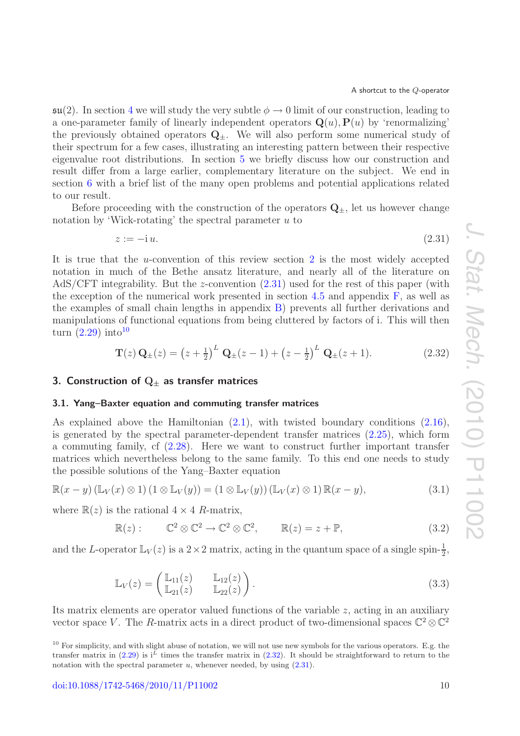$\mathfrak{su}(2)$ . In section [4](#page-19-1) we will study the very subtle  $\phi \to 0$  limit of our construction, leading to a one-parameter family of linearly independent operators  $Q(u)$ ,  $P(u)$  by 'renormalizing' the previously obtained operators  $\mathbf{Q}_{\pm}$ . We will also perform some numerical study of their spectrum for a few cases, illustrating an interesting pattern between their respective eigenvalue root distributions. In section [5](#page-26-0) we briefly discuss how our construction and result differ from a large earlier, complementary literature on the subject. We end in section [6](#page-27-1) with a brief list of the many open problems and potential applications related to our result.

Before proceeding with the construction of the operators  $\mathbf{Q}_{+}$ , let us however change notation by 'Wick-rotating' the spectral parameter  $u$  to

<span id="page-10-2"></span>
$$
z := -i u. \tag{2.31}
$$

It is true that the *u*-convention of this review section [2](#page-4-0) is the most widely accepted notation in much of the Bethe ansatz literature, and nearly all of the literature on AdS/CFT integrability. But the z-convention [\(2.31\)](#page-10-2) used for the rest of this paper (with the exception of the numerical work presented in section [4.5](#page-25-0) and appendix  $\mathbf{F}$ , as well as the examples of small chain lengths in appendix [B\)](#page-30-0) prevents all further derivations and manipulations of functional equations from being cluttered by factors of i. This will then turn  $(2.29)$  into<sup>[10](#page-10-3)</sup>

<span id="page-10-4"></span>
$$
\mathbf{T}(z)\mathbf{Q}_{\pm}(z) = (z + \frac{1}{2})^L \mathbf{Q}_{\pm}(z - 1) + (z - \frac{1}{2})^L \mathbf{Q}_{\pm}(z + 1).
$$
 (2.32)

## <span id="page-10-0"></span>**3. Construction of Q***<sup>±</sup>* **as transfer matrices**

#### <span id="page-10-1"></span>**3.1. Yang–Baxter equation and commuting transfer matrices**

As explained above the Hamiltonian [\(2.1\)](#page-4-1), with twisted boundary conditions [\(2.16\)](#page-6-6), is generated by the spectral parameter-dependent transfer matrices [\(2.25\)](#page-8-1), which form a commuting family, cf [\(2.28\)](#page-9-3). Here we want to construct further important transfer matrices which nevertheless belong to the same family. To this end one needs to study the possible solutions of the Yang–Baxter equation

$$
\mathbb{R}(x-y)\left(\mathbb{L}_V(x)\otimes 1\right)\left(1\otimes \mathbb{L}_V(y)\right) = \left(1\otimes \mathbb{L}_V(y)\right)\left(\mathbb{L}_V(x)\otimes 1\right)\mathbb{R}(x-y),\tag{3.1}
$$

where  $\mathbb{R}(z)$  is the rational  $4 \times 4$  R-matrix,

<span id="page-10-6"></span><span id="page-10-5"></span>
$$
\mathbb{R}(z): \qquad \mathbb{C}^2 \otimes \mathbb{C}^2 \to \mathbb{C}^2 \otimes \mathbb{C}^2, \qquad \mathbb{R}(z) = z + \mathbb{P}, \tag{3.2}
$$

and the L-operator  $\mathbb{L}_V(z)$  is a  $2 \times 2$  matrix, acting in the quantum space of a single spin- $\frac{1}{2}$ ,

$$
\mathbb{L}_V(z) = \begin{pmatrix} \mathbb{L}_{11}(z) & \mathbb{L}_{12}(z) \\ \mathbb{L}_{21}(z) & \mathbb{L}_{22}(z) \end{pmatrix} . \tag{3.3}
$$

Its matrix elements are operator valued functions of the variable  $z$ , acting in an auxiliary vector space V. The R-matrix acts in a direct product of two-dimensional spaces  $\mathbb{C}^2 \otimes \mathbb{C}^2$ 

<span id="page-10-3"></span> $10$  For simplicity, and with slight abuse of notation, we will not use new symbols for the various operators. E.g. the transfer matrix in [\(2.29\)](#page-9-0) is i<sup>L</sup> times the transfer matrix in [\(2.32\)](#page-10-4). It should be straightforward to return to the notation with the spectral parameter  $u$ , whenever needed, by using  $(2.31)$ .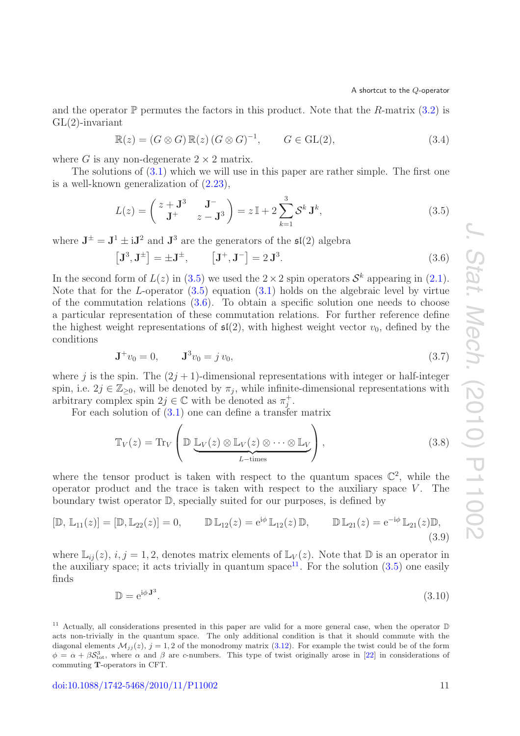and the operator  $\mathbb P$  permutes the factors in this product. Note that the R-matrix [\(3.2\)](#page-10-5) is  $GL(2)$ -invariant

<span id="page-11-6"></span>
$$
\mathbb{R}(z) = (G \otimes G) \mathbb{R}(z) (G \otimes G)^{-1}, \qquad G \in \text{GL}(2), \tag{3.4}
$$

where G is any non-degenerate  $2 \times 2$  matrix.

The solutions of  $(3.1)$  which we will use in this paper are rather simple. The first one is a well-known generalization of [\(2.23\)](#page-8-2),

<span id="page-11-1"></span><span id="page-11-0"></span>
$$
L(z) = \begin{pmatrix} z + \mathbf{J}^3 & \mathbf{J}^- \\ \mathbf{J}^+ & z - \mathbf{J}^3 \end{pmatrix} = z \mathbb{I} + 2 \sum_{k=1}^3 \mathcal{S}^k \mathbf{J}^k,
$$
 (3.5)

where  $J^{\pm} = J^1 \pm iJ^2$  and  $J^3$  are the generators of the  $\mathfrak{sl}(2)$  algebra

$$
\left[\mathbf{J}^3, \mathbf{J}^{\pm}\right] = \pm \mathbf{J}^{\pm}, \qquad \left[\mathbf{J}^+, \mathbf{J}^-\right] = 2 \mathbf{J}^3. \tag{3.6}
$$

In the second form of  $L(z)$  in [\(3.5\)](#page-11-0) we used the  $2 \times 2$  spin operators  $S^k$  appearing in [\(2.1\)](#page-4-1). Note that for the L-operator  $(3.5)$  equation  $(3.1)$  holds on the algebraic level by virtue of the commutation relations [\(3.6\)](#page-11-1). To obtain a specific solution one needs to choose a particular representation of these commutation relations. For further reference define the highest weight representations of  $\mathfrak{sl}(2)$ , with highest weight vector  $v_0$ , defined by the conditions

<span id="page-11-7"></span>
$$
\mathbf{J}^+ v_0 = 0, \qquad \mathbf{J}^3 v_0 = j v_0,\tag{3.7}
$$

where j is the spin. The  $(2j + 1)$ -dimensional representations with integer or half-integer spin, i.e.  $2j \in \mathbb{Z}_{\geq 0}$ , will be denoted by  $\pi_j$ , while infinite-dimensional representations with arbitrary complex spin  $2j \in \mathbb{C}$  with be denoted as  $\pi_j^+$ .

For each solution of [\(3.1\)](#page-10-6) one can define a transfer matrix

<span id="page-11-5"></span><span id="page-11-3"></span>
$$
\mathbb{T}_V(z) = \text{Tr}_V \left( \mathbb{D} \underbrace{\mathbb{L}_V(z) \otimes \mathbb{L}_V(z) \otimes \cdots \otimes \mathbb{L}_V}_{L-\text{times}} \right), \tag{3.8}
$$

where the tensor product is taken with respect to the quantum spaces  $\mathbb{C}^2$ , while the operator product and the trace is taken with respect to the auxiliary space  $V$ . The boundary twist operator  $\mathbb{D}$ , specially suited for our purposes, is defined by

$$
[\mathbb{D}, \mathbb{L}_{11}(z)] = [\mathbb{D}, \mathbb{L}_{22}(z)] = 0, \qquad \mathbb{D} \mathbb{L}_{12}(z) = e^{i\phi} \mathbb{L}_{12}(z) \mathbb{D}, \qquad \mathbb{D} \mathbb{L}_{21}(z) = e^{-i\phi} \mathbb{L}_{21}(z) \mathbb{D},
$$
\n(3.9)

where  $\mathbb{L}_{ij}(z)$ ,  $i, j = 1, 2$ , denotes matrix elements of  $\mathbb{L}_V(z)$ . Note that  $\mathbb{D}$  is an operator in the auxiliary space; it acts trivially in quantum space<sup>[11](#page-11-2)</sup>. For the solution  $(3.5)$  one easily finds

<span id="page-11-4"></span>
$$
\mathbb{D} = e^{i\phi \mathbf{J}^3}.
$$
\n(3.10)

<span id="page-11-2"></span><sup>11</sup> Actually, all considerations presented in this paper are valid for a more general case, when the operator  $D$ acts non-trivially in the quantum space. The only additional condition is that it should commute with the diagonal elements  $\mathcal{M}_{ij}(z)$ ,  $j = 1, 2$  of the monodromy matrix [\(3.12\)](#page-12-0). For example the twist could be of the form  $\phi = \alpha + \beta S_{\text{tot}}^3$ , where  $\alpha$  and  $\beta$  are c-numbers. This type of twist originally arose in [\[22\]](#page-38-15) in considerations of commuting **T**-operators in CFT.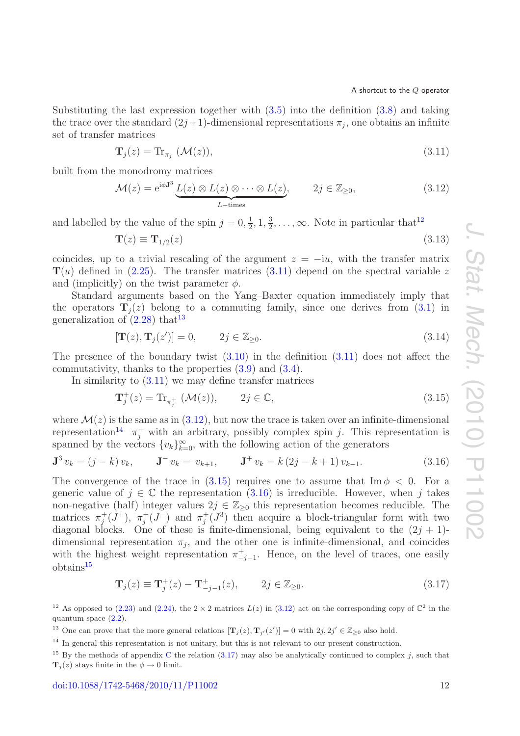Substituting the last expression together with [\(3.5\)](#page-11-0) into the definition [\(3.8\)](#page-11-3) and taking the trace over the standard  $(2j+1)$ -dimensional representations  $\pi_j$ , one obtains an infinite set of transfer matrices

<span id="page-12-2"></span>
$$
\mathbf{T}_{j}(z) = \text{Tr}_{\pi_{j}}\left(\mathcal{M}(z)\right),\tag{3.11}
$$

built from the monodromy matrices

<span id="page-12-0"></span>
$$
\mathcal{M}(z) = e^{i\phi \mathbf{J}^3} \underbrace{L(z) \otimes L(z) \otimes \cdots \otimes L(z)}_{L-\text{times}}, \qquad 2j \in \mathbb{Z}_{\geq 0}, \tag{3.12}
$$

and labelled by the value of the spin  $j = 0, \frac{1}{2}, 1, \frac{3}{2}, \dots, \infty$ . Note in particular that<sup>[12](#page-12-1)</sup>

$$
\mathbf{T}(z) \equiv \mathbf{T}_{1/2}(z) \tag{3.13}
$$

coincides, up to a trivial rescaling of the argument  $z = -iu$ , with the transfer matrix  $\mathbf{T}(u)$  defined in [\(2.25\)](#page-8-1). The transfer matrices [\(3.11\)](#page-12-2) depend on the spectral variable z and (implicitly) on the twist parameter  $\phi$ .

Standard arguments based on the Yang–Baxter equation immediately imply that the operators  $\mathbf{T}_i(z)$  belong to a commuting family, since one derives from [\(3.1\)](#page-10-6) in generalization of  $(2.28)$  that<sup>[13](#page-12-3)</sup>

<span id="page-12-9"></span>
$$
[\mathbf{T}(z), \mathbf{T}_j(z')] = 0, \qquad 2j \in \mathbb{Z}_{\geq 0}.
$$
 (3.14)

The presence of the boundary twist  $(3.10)$  in the definition  $(3.11)$  does not affect the commutativity, thanks to the properties [\(3.9\)](#page-11-5) and [\(3.4\)](#page-11-6).

In similarity to  $(3.11)$  we may define transfer matrices

<span id="page-12-6"></span><span id="page-12-5"></span>
$$
\mathbf{T}_{j}^{+}(z) = \text{Tr}_{\pi_{j}^{+}}\left(\mathcal{M}(z)\right), \qquad 2j \in \mathbb{C},\tag{3.15}
$$

where  $\mathcal{M}(z)$  is the same as in  $(3.12)$ , but now the trace is taken over an infinite-dimensional representation<sup>[14](#page-12-4)</sup>  $\pi_j^+$  with an arbitrary, possibly complex spin j. This representation is spanned by the vectors  ${v_k}_{k=0}^{\infty}$ , with the following action of the generators

$$
\mathbf{J}^{3} v_{k} = (j - k) v_{k}, \qquad \mathbf{J}^{-} v_{k} = v_{k+1}, \qquad \mathbf{J}^{+} v_{k} = k (2j - k + 1) v_{k-1}.
$$
 (3.16)

The convergence of the trace in [\(3.15\)](#page-12-5) requires one to assume that  $\text{Im } \phi < 0$ . For a generic value of  $j \in \mathbb{C}$  the representation [\(3.16\)](#page-12-6) is irreducible. However, when j takes non-negative (half) integer values  $2j \in \mathbb{Z}_{\geq 0}$  this representation becomes reducible. The matrices  $\pi_j^+(J^+)$ ,  $\pi_j^+(J^-)$  and  $\pi_j^+(J^3)$  then acquire a block-triangular form with two diagonal blocks. One of these is finite-dimensional, being equivalent to the  $(2j + 1)$ dimensional representation  $\pi_i$ , and the other one is infinite-dimensional, and coincides with the highest weight representation  $\pi^+_{-j-1}$ . Hence, on the level of traces, one easily obtains<sup>[15](#page-12-7)</sup>

<span id="page-12-8"></span>
$$
\mathbf{T}_{j}(z) \equiv \mathbf{T}_{j}^{+}(z) - \mathbf{T}_{-j-1}^{+}(z), \qquad 2j \in \mathbb{Z}_{\geq 0}.
$$
 (3.17)

<span id="page-12-1"></span><sup>12</sup> As opposed to [\(2.23\)](#page-8-2) and [\(2.24\)](#page-8-3), the  $2 \times 2$  matrices  $L(z)$  in [\(3.12\)](#page-12-0) act on the corresponding copy of  $\mathbb{C}^2$  in the quantum space  $(2.2)$ .

<span id="page-12-3"></span><sup>13</sup> One can prove that the more general relations  $[\mathbf{T}_j(z), \mathbf{T}_{j'}(z')] = 0$  with  $2j, 2j' \in \mathbb{Z}_{\geq 0}$  also hold.

<span id="page-12-4"></span><sup>14</sup> In general this representation is not unitary, but this is not relevant to our present construction.

<span id="page-12-7"></span><sup>&</sup>lt;sup>15</sup> By the methods of appendix [C](#page-32-0) the relation [\(3.17\)](#page-12-8) may also be analytically continued to complex j, such that  $\mathbf{T}_i(z)$  stays finite in the  $\phi \to 0$  limit.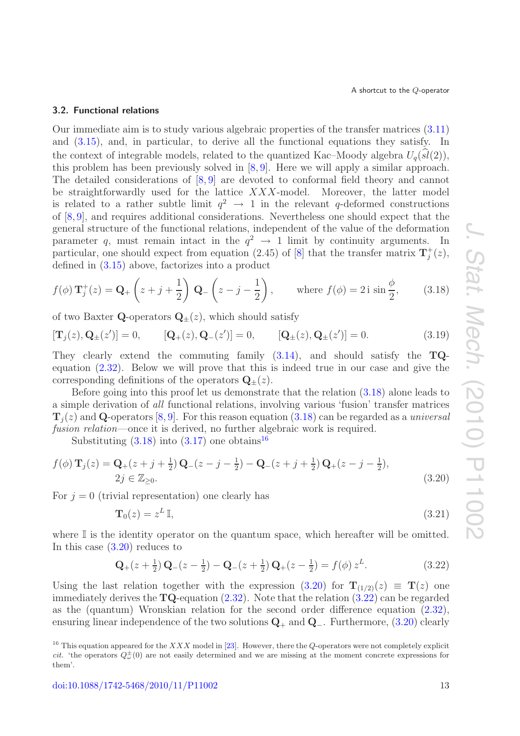## <span id="page-13-0"></span>**3.2. Functional relations**

Our immediate aim is to study various algebraic properties of the transfer matrices [\(3.11\)](#page-12-2) and [\(3.15\)](#page-12-5), and, in particular, to derive all the functional equations they satisfy. In the context of integrable models, related to the quantized Kac–Moody algebra  $U_q(sl(2))$ ,<br>this problem has been previously solved in [8, 0]. Here we will apply a similar approach this problem has been previously solved in [\[8,](#page-38-4) [9\]](#page-38-5). Here we will apply a similar approach. The detailed considerations of [\[8,](#page-38-4) [9\]](#page-38-5) are devoted to conformal field theory and cannot be straightforwardly used for the lattice  $XXX$ -model. Moreover, the latter model is related to a rather subtle limit  $q^2 \rightarrow 1$  in the relevant q-deformed constructions of [\[8,](#page-38-4) [9\]](#page-38-5), and requires additional considerations. Nevertheless one should expect that the general structure of the functional relations, independent of the value of the deformation parameter q, must remain intact in the  $q^2 \rightarrow 1$  limit by continuity arguments. In particular, one should expect from equation (2.45) of [\[8\]](#page-38-4) that the transfer matrix  $\mathbf{T}_j^+(z)$ , defined in [\(3.15\)](#page-12-5) above, factorizes into a product

<span id="page-13-1"></span>
$$
f(\phi) \mathbf{T}_j^+(z) = \mathbf{Q}_+ \left( z + j + \frac{1}{2} \right) \mathbf{Q}_- \left( z - j - \frac{1}{2} \right), \quad \text{where } f(\phi) = 2i \sin \frac{\phi}{2}, \quad (3.18)
$$

of two Baxter **Q**-operators  $\mathbf{Q}_{\pm}(z)$ , which should satisfy

<span id="page-13-5"></span>
$$
[\mathbf{T}_{j}(z), \mathbf{Q}_{\pm}(z')] = 0, \qquad [\mathbf{Q}_{+}(z), \mathbf{Q}_{-}(z')] = 0, \qquad [\mathbf{Q}_{\pm}(z), \mathbf{Q}_{\pm}(z')] = 0. \tag{3.19}
$$

They clearly extend the commuting family [\(3.14\)](#page-12-9), and should satisfy the **TQ**equation [\(2.32\)](#page-10-4). Below we will prove that this is indeed true in our case and give the corresponding definitions of the operators  $\mathbf{Q}_{\pm}(z)$ .

Before going into this proof let us demonstrate that the relation [\(3.18\)](#page-13-1) alone leads to a simple derivation of *all* functional relations, involving various 'fusion' transfer matrices  $\mathbf{T}_i(z)$  and **Q**-operators [\[8,](#page-38-4) [9\]](#page-38-5). For this reason equation [\(3.18\)](#page-13-1) can be regarded as a *universal fusion relation*—once it is derived, no further algebraic work is required.

Substituting  $(3.18)$  into  $(3.17)$  one obtains<sup>[16](#page-13-2)</sup>

$$
f(\phi) \mathbf{T}_j(z) = \mathbf{Q}_+(z+j+\frac{1}{2}) \mathbf{Q}_-(z-j-\frac{1}{2}) - \mathbf{Q}_-(z+j+\frac{1}{2}) \mathbf{Q}_+(z-j-\frac{1}{2}),
$$
  
2j \in \mathbb{Z}\_{\ge 0}. (3.20)

For  $j = 0$  (trivial representation) one clearly has

<span id="page-13-3"></span>
$$
\mathbf{T}_0(z) = z^L \mathbb{I},\tag{3.21}
$$

where  $\mathbb I$  is the identity operator on the quantum space, which hereafter will be omitted. In this case [\(3.20\)](#page-13-3) reduces to

<span id="page-13-4"></span>
$$
\mathbf{Q}_{+}(z+\frac{1}{2})\mathbf{Q}_{-}(z-\frac{1}{2}) - \mathbf{Q}_{-}(z+\frac{1}{2})\mathbf{Q}_{+}(z-\frac{1}{2}) = f(\phi) z^{L}.
$$
 (3.22)

Using the last relation together with the expression  $(3.20)$  for  $\mathbf{T}_{(1/2)}(z) \equiv \mathbf{T}(z)$  one immediately derives the **TQ**-equation [\(2.32\)](#page-10-4). Note that the relation [\(3.22\)](#page-13-4) can be regarded as the (quantum) Wronskian relation for the second order difference equation [\(2.32\)](#page-10-4), ensuring linear independence of the two solutions **Q**<sup>+</sup> and **Q**−. Furthermore, [\(3.20\)](#page-13-3) clearly

<span id="page-13-2"></span><sup>&</sup>lt;sup>16</sup> This equation appeared for the XXX model in [\[23\]](#page-38-16). However, there the *Q*-operators were not completely explicit cit. 'the operators  $Q^{\pm}_{\omega}(0)$  are not easily determined and we are missing at the moment concrete expressions for them'.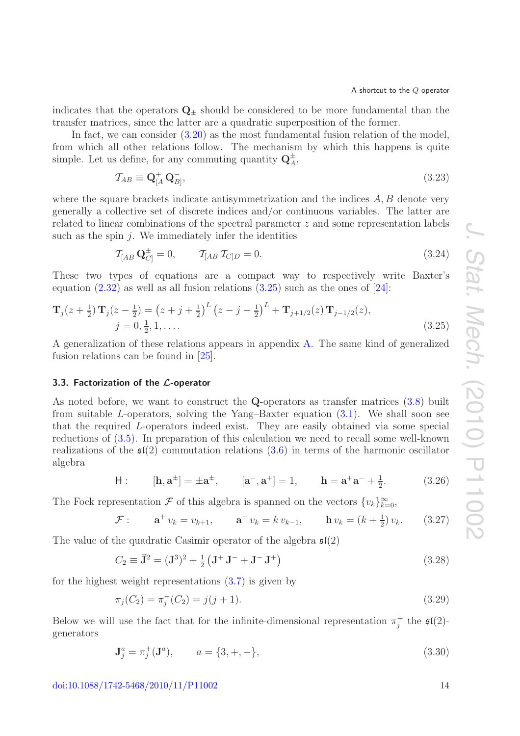indicates that the operators  $\mathbf{Q}_+$  should be considered to be more fundamental than the transfer matrices, since the latter are a quadratic superposition of the former.

In fact, we can consider [\(3.20\)](#page-13-3) as the most fundamental fusion relation of the model, from which all other relations follow. The mechanism by which this happens is quite simple. Let us define, for any commuting quantity  $Q_A^{\pm}$ ,

<span id="page-14-5"></span>
$$
\mathcal{T}_{AB} \equiv \mathbf{Q}^+_{[A}\mathbf{Q}^-_{B]},\tag{3.23}
$$

where the square brackets indicate antisymmetrization and the indices  $A, B$  denote very generally a collective set of discrete indices and/or continuous variables. The latter are related to linear combinations of the spectral parameter z and some representation labels such as the spin  $i$ . We immediately infer the identities

<span id="page-14-4"></span><span id="page-14-1"></span>
$$
\mathcal{T}_{[AB} \mathbf{Q}_{C]}^{\pm} = 0, \qquad \mathcal{T}_{[AB} \mathcal{T}_{C]D} = 0. \tag{3.24}
$$

These two types of equations are a compact way to respectively write Baxter's equation  $(2.32)$  as well as all fusion relations  $(3.25)$  such as the ones of  $[24]$ :

$$
\mathbf{T}_{j}(z+\frac{1}{2})\mathbf{T}_{j}(z-\frac{1}{2}) = (z+j+\frac{1}{2})^{L} (z-j-\frac{1}{2})^{L} + \mathbf{T}_{j+1/2}(z)\mathbf{T}_{j-1/2}(z),
$$
  
\n
$$
j = 0, \frac{1}{2}, 1, ....
$$
\n(3.25)

A generalization of these relations appears in appendix [A.](#page-29-0) The same kind of generalized fusion relations can be found in [\[25\]](#page-39-1).

## <span id="page-14-0"></span>**3.3. Factorization of the** *L***-operator**

As noted before, we want to construct the **Q**-operators as transfer matrices [\(3.8\)](#page-11-3) built from suitable L-operators, solving the Yang–Baxter equation [\(3.1\)](#page-10-6). We shall soon see that the required L-operators indeed exist. They are easily obtained via some special reductions of [\(3.5\)](#page-11-0). In preparation of this calculation we need to recall some well-known realizations of the  $\mathfrak{sl}(2)$  commutation relations [\(3.6\)](#page-11-1) in terms of the harmonic oscillator algebra

<span id="page-14-2"></span>H: 
$$
[\mathbf{h}, \mathbf{a}^{\pm}] = \pm \mathbf{a}^{\pm}, \qquad [\mathbf{a}^-, \mathbf{a}^+] = 1, \qquad \mathbf{h} = \mathbf{a}^+ \mathbf{a}^- + \frac{1}{2}.
$$
 (3.26)

The Fock representation  $\mathcal F$  of this algebra is spanned on the vectors  $\{v_k\}_{k=0}^{\infty}$ ,

<span id="page-14-3"></span>
$$
\mathcal{F}: \qquad \mathbf{a}^+ \, v_k = v_{k+1}, \qquad \mathbf{a}^- \, v_k = k \, v_{k-1}, \qquad \mathbf{h} \, v_k = (k + \tfrac{1}{2}) \, v_k. \tag{3.27}
$$

The value of the quadratic Casimir operator of the algebra  $\mathfrak{sl}(2)$ 

$$
C_2 \equiv \vec{\mathbf{J}}^2 = (\mathbf{J}^3)^2 + \frac{1}{2} (\mathbf{J}^+ \mathbf{J}^- + \mathbf{J}^- \mathbf{J}^+) \tag{3.28}
$$

for the highest weight representations  $(3.7)$  is given by

$$
\pi_j(C_2) = \pi_j^+(C_2) = j(j+1). \tag{3.29}
$$

Below we will use the fact that for the infinite-dimensional representation  $\pi_j^+$  the  $\mathfrak{sl}(2)$ generators

$$
\mathbf{J}_j^a = \pi_j^+(\mathbf{J}^a), \qquad a = \{3, +, -\},\tag{3.30}
$$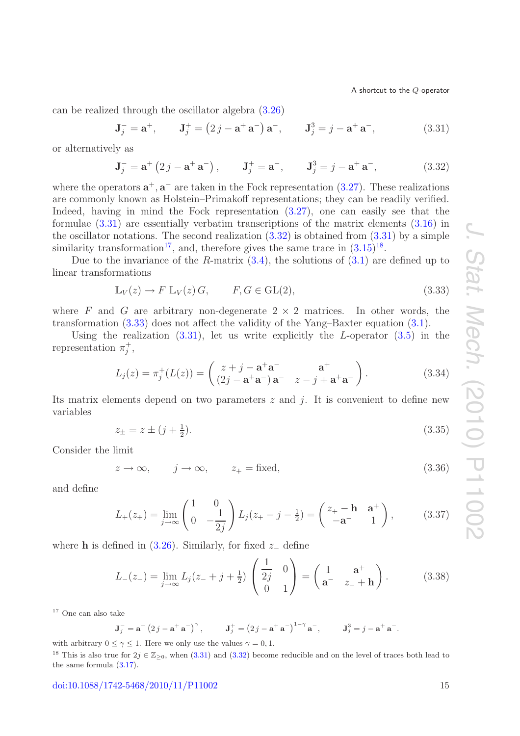can be realized through the oscillator algebra [\(3.26\)](#page-14-2)

<span id="page-15-0"></span>
$$
J_j^- = a^+, \t J_j^+ = (2j - a^+ a^-) a^-, \t J_j^3 = j - a^+ a^-, \t (3.31)
$$

or alternatively as

<span id="page-15-1"></span>
$$
J_j^- = \mathbf{a}^+ (2j - \mathbf{a}^+ \mathbf{a}^-), \qquad J_j^+ = \mathbf{a}^-, \qquad J_j^3 = j - \mathbf{a}^+ \mathbf{a}^-,
$$
 (3.32)

where the operators  $\mathbf{a}^+$ ,  $\mathbf{a}^-$  are taken in the Fock representation [\(3.27\)](#page-14-3). These realizations are commonly known as Holstein–Primakoff representations; they can be readily verified. Indeed, having in mind the Fock representation [\(3.27\)](#page-14-3), one can easily see that the formulae [\(3.31\)](#page-15-0) are essentially verbatim transcriptions of the matrix elements [\(3.16\)](#page-12-6) in the oscillator notations. The second realization  $(3.32)$  is obtained from  $(3.31)$  by a simple similarity transformation<sup>[17](#page-15-2)</sup>, and, therefore gives the same trace in  $(3.15)^{18}$  $(3.15)^{18}$  $(3.15)^{18}$  $(3.15)^{18}$ .

Due to the invariance of the R-matrix  $(3.4)$ , the solutions of  $(3.1)$  are defined up to linear transformations

<span id="page-15-4"></span>
$$
\mathbb{L}_V(z) \to F \mathbb{L}_V(z) G, \qquad F, G \in \text{GL}(2), \tag{3.33}
$$

where F and G are arbitrary non-degenerate  $2 \times 2$  matrices. In other words, the transformation [\(3.33\)](#page-15-4) does not affect the validity of the Yang–Baxter equation [\(3.1\)](#page-10-6).

Using the realization  $(3.31)$ , let us write explicitly the L-operator  $(3.5)$  in the representation  $\pi_j^+$ ,

$$
L_j(z) = \pi_j^+(L(z)) = \begin{pmatrix} z + j - a^+a^- & a^+ \\ (2j - a^+a^-) a^- & z - j + a^+a^- \end{pmatrix}.
$$
 (3.34)

Its matrix elements depend on two parameters  $z$  and  $j$ . It is convenient to define new variables

<span id="page-15-7"></span>
$$
z_{\pm} = z \pm (j + \frac{1}{2}). \tag{3.35}
$$

Consider the limit

$$
z \to \infty, \qquad j \to \infty, \qquad z_+ = \text{fixed}, \tag{3.36}
$$

and define

<span id="page-15-5"></span>
$$
L_{+}(z_{+}) = \lim_{j \to \infty} \begin{pmatrix} 1 & 0 \\ 0 & -\frac{1}{2j} \end{pmatrix} L_{j}(z_{+} - j - \frac{1}{2}) = \begin{pmatrix} z_{+} - \mathbf{h} & \mathbf{a}^{+} \\ -\mathbf{a}^{-} & 1 \end{pmatrix}, \quad (3.37)
$$

where **h** is defined in  $(3.26)$ . Similarly, for fixed  $z_-\$  define

<span id="page-15-6"></span>
$$
L_{-}(z_{-}) = \lim_{j \to \infty} L_{j}(z_{-} + j + \frac{1}{2}) \begin{pmatrix} \frac{1}{2j} & 0\\ 0 & 1 \end{pmatrix} = \begin{pmatrix} 1 & \mathbf{a}^{+}\\ \mathbf{a}^{-} & z_{-} + \mathbf{h} \end{pmatrix}.
$$
 (3.38)

<span id="page-15-2"></span><sup>17</sup> One can also take

$$
J_j^- = \mathbf{a}^+ (2j - \mathbf{a}^+ \mathbf{a}^-)^\gamma
$$
,  $J_j^+ = (2j - \mathbf{a}^+ \mathbf{a}^-)^{1-\gamma} \mathbf{a}^-$ ,  $J_j^3 = j - \mathbf{a}^+ \mathbf{a}^-$ .

with arbitrary  $0 \leq \gamma \leq 1$ . Here we only use the values  $\gamma = 0, 1$ .

<span id="page-15-3"></span><sup>18</sup> This is also true for  $2j \in \mathbb{Z}_{\geq 0}$ , when [\(3.31\)](#page-15-0) and [\(3.32\)](#page-15-1) become reducible and on the level of traces both lead to the same formula [\(3.17\)](#page-12-8).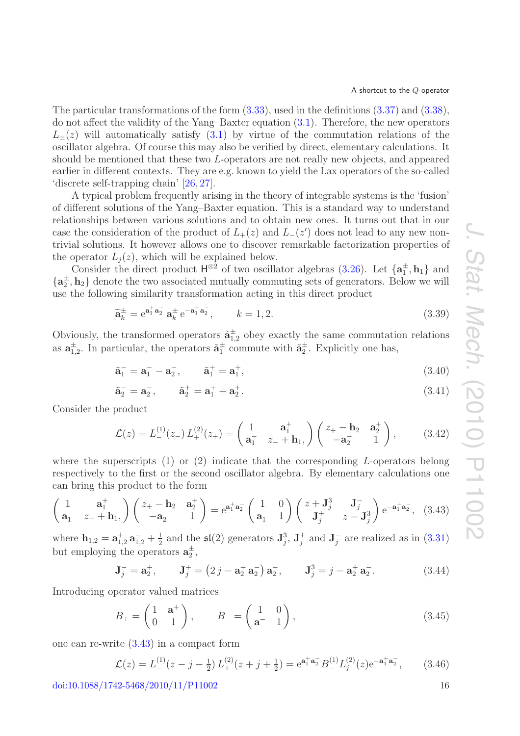The particular transformations of the form [\(3.33\)](#page-15-4), used in the definitions [\(3.37\)](#page-15-5) and [\(3.38\)](#page-15-6), do not affect the validity of the Yang–Baxter equation [\(3.1\)](#page-10-6). Therefore, the new operators  $L_{\pm}(z)$  will automatically satisfy  $(3.1)$  by virtue of the commutation relations of the oscillator algebra. Of course this may also be verified by direct, elementary calculations. It should be mentioned that these two L-operators are not really new objects, and appeared earlier in different contexts. They are e.g. known to yield the Lax operators of the so-called 'discrete self-trapping chain' [\[26,](#page-39-2) [27\]](#page-39-3).

A typical problem frequently arising in the theory of integrable systems is the 'fusion' of different solutions of the Yang–Baxter equation. This is a standard way to understand relationships between various solutions and to obtain new ones. It turns out that in our case the consideration of the product of  $L_{+}(z)$  and  $L_{-}(z')$  does not lead to any new nontrivial solutions. It however allows one to discover remarkable factorization properties of the operator  $L_j(z)$ , which will be explained below.

Consider the direct product  $H^{\otimes 2}$  of two oscillator algebras [\(3.26\)](#page-14-2). Let  $\{a_1^{\pm}, h_1\}$  and  $\{a_2^{\pm}, h_2\}$  denote the two associated mutually commuting sets of generators. Below we will use the following similarity transformation acting in this direct product

$$
\widetilde{\mathbf{a}}_k^{\pm} = e^{\mathbf{a}_1^{\pm} \mathbf{a}_2^{\pm}} \mathbf{a}_k^{\pm} e^{-\mathbf{a}_1^{\pm} \mathbf{a}_2^{\pm}}, \qquad k = 1, 2.
$$
 (3.39)

Obviously, the transformed operators  $\tilde{a}_{1,2}^{\pm}$  obey exactly the same commutation relations as  $\mathbf{a}_{1,2}^{\pm}$ . In particular, the operators  $\tilde{\mathbf{a}}_1^{\pm}$  commute with  $\tilde{\mathbf{a}}_2^{\pm}$ . Explicitly one has,

$$
\tilde{\mathbf{a}}_1^- = \mathbf{a}_1^- - \mathbf{a}_2^-, \qquad \tilde{\mathbf{a}}_1^+ = \mathbf{a}_1^+, \tag{3.40}
$$

$$
\tilde{\mathbf{a}}_2^- = \mathbf{a}_2^-, \qquad \tilde{\mathbf{a}}_2^+ = \mathbf{a}_1^+ + \mathbf{a}_2^+.
$$
\n(3.41)

Consider the product

<span id="page-16-1"></span><span id="page-16-0"></span>
$$
\mathcal{L}(z) = L_{-}^{(1)}(z_{-}) L_{+}^{(2)}(z_{+}) = \begin{pmatrix} 1 & \mathbf{a}_{1}^{+} \\ \mathbf{a}_{1}^{-} & z_{-} + \mathbf{h}_{1}, \end{pmatrix} \begin{pmatrix} z_{+} - \mathbf{h}_{2} & \mathbf{a}_{2}^{+} \\ -\mathbf{a}_{2}^{-} & 1 \end{pmatrix}, \quad (3.42)
$$

where the superscripts  $(1)$  or  $(2)$  indicate that the corresponding L-operators belong respectively to the first or the second oscillator algebra. By elementary calculations one can bring this product to the form

$$
\begin{pmatrix} 1 & \mathbf{a}_1^+ \\ \mathbf{a}_1^- & z_- + \mathbf{h}_1 \end{pmatrix} \begin{pmatrix} z_+ - \mathbf{h}_2 & \mathbf{a}_2^+ \\ -\mathbf{a}_2^- & 1 \end{pmatrix} = e^{\mathbf{a}_1^+ \mathbf{a}_2^-} \begin{pmatrix} 1 & 0 \\ \mathbf{a}_1^- & 1 \end{pmatrix} \begin{pmatrix} z + \mathbf{J}_j^3 & \mathbf{J}_j^- \\ \mathbf{J}_j^+ & z - \mathbf{J}_j^3 \end{pmatrix} e^{-\mathbf{a}_1^+ \mathbf{a}_2^-}, \quad (3.43)
$$

where  $\mathbf{h}_{1,2} = \mathbf{a}_{1,2}^+ \mathbf{a}_{1,2}^- + \frac{1}{2}$  and the  $\mathfrak{sl}(2)$  generators  $\mathbf{J}_j^3$ ,  $\mathbf{J}_j^+$  and  $\mathbf{J}_j^-$  are realized as in [\(3.31\)](#page-15-0) but employing the operators  $\mathbf{a}_2^{\pm}$ ,

$$
\mathbf{J}_{j}^{-} = \mathbf{a}_{2}^{+}, \qquad \mathbf{J}_{j}^{+} = (2j - \mathbf{a}_{2}^{+} \mathbf{a}_{2}^{-}) \mathbf{a}_{2}^{-}, \qquad \mathbf{J}_{j}^{3} = j - \mathbf{a}_{2}^{+} \mathbf{a}_{2}^{-}. \tag{3.44}
$$

Introducing operator valued matrices

<span id="page-16-3"></span>
$$
B_{+} = \begin{pmatrix} 1 & \mathbf{a}^{+} \\ 0 & 1 \end{pmatrix}, \qquad B_{-} = \begin{pmatrix} 1 & 0 \\ \mathbf{a}^{-} & 1 \end{pmatrix}, \tag{3.45}
$$

one can re-write [\(3.43\)](#page-16-0) in a compact form

<span id="page-16-2"></span>
$$
\mathcal{L}(z) = L_{-}^{(1)}(z - j - \frac{1}{2}) L_{+}^{(2)}(z + j + \frac{1}{2}) = e^{\mathbf{a}_1^+ \mathbf{a}_2^-} B_{-}^{(1)} L_j^{(2)}(z) e^{-\mathbf{a}_1^+ \mathbf{a}_2^-}, \qquad (3.46)
$$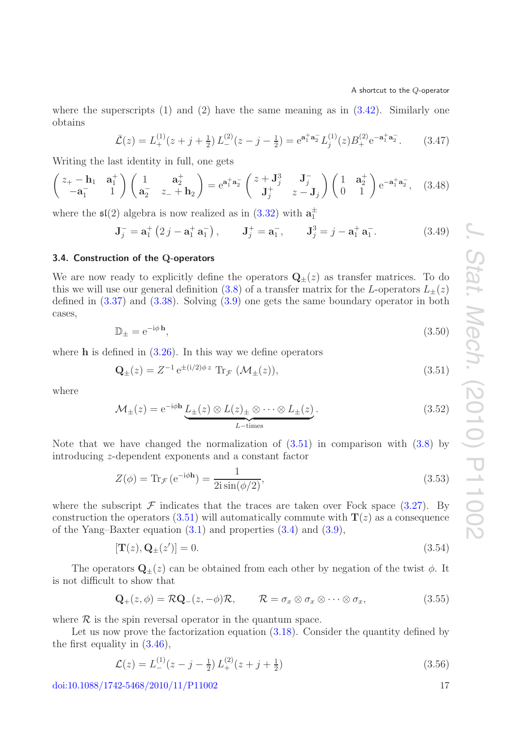where the superscripts  $(1)$  and  $(2)$  have the same meaning as in  $(3.42)$ . Similarly one obtains

<span id="page-17-5"></span><span id="page-17-4"></span>
$$
\bar{\mathcal{L}}(z) = L_{+}^{(1)}(z + j + \frac{1}{2}) L_{-}^{(2)}(z - j - \frac{1}{2}) = e^{\mathbf{a}_1^+ \mathbf{a}_2^-} L_j^{(1)}(z) B_{+}^{(2)} e^{-\mathbf{a}_1^+ \mathbf{a}_2^-}.
$$
 (3.47)

Writing the last identity in full, one gets

$$
\begin{pmatrix} z_{+} - \mathbf{h}_{1} & \mathbf{a}_{1}^{+} \\ -\mathbf{a}_{1}^{-} & 1 \end{pmatrix} \begin{pmatrix} 1 & \mathbf{a}_{2}^{+} \\ \mathbf{a}_{2}^{-} & z_{-} + \mathbf{h}_{2} \end{pmatrix} = e^{\mathbf{a}_{1}^{+}\mathbf{a}_{2}^{-}} \begin{pmatrix} z + \mathbf{J}_{j}^{3} & \mathbf{J}_{j}^{-} \\ \mathbf{J}_{j}^{+} & z - \mathbf{J}_{j} \end{pmatrix} \begin{pmatrix} 1 & \mathbf{a}_{2}^{+} \\ 0 & 1 \end{pmatrix} e^{-\mathbf{a}_{1}^{+}\mathbf{a}_{2}^{-}}, \quad (3.48)
$$

where the  $\mathfrak{sl}(2)$  algebra is now realized as in  $(3.32)$  with  $\mathbf{a}_1^{\pm}$ 

$$
\mathbf{J}_{j}^{-} = \mathbf{a}_{1}^{+} \left( 2 j - \mathbf{a}_{1}^{+} \mathbf{a}_{1}^{-} \right), \qquad \mathbf{J}_{j}^{+} = \mathbf{a}_{1}^{-}, \qquad \mathbf{J}_{j}^{3} = j - \mathbf{a}_{1}^{+} \mathbf{a}_{1}^{-}. \tag{3.49}
$$

## <span id="page-17-0"></span>**3.4. Construction of the Q-operators**

We are now ready to explicitly define the operators  $\mathbf{Q}_{\pm}(z)$  as transfer matrices. To do this we will use our general definition [\(3.8\)](#page-11-3) of a transfer matrix for the L-operators  $L_{\pm}(z)$ defined in [\(3.37\)](#page-15-5) and [\(3.38\)](#page-15-6). Solving [\(3.9\)](#page-11-5) one gets the same boundary operator in both cases,

<span id="page-17-2"></span>
$$
\mathbb{D}_{\pm} = e^{-i\phi \,\mathbf{h}},\tag{3.50}
$$

where **h** is defined in  $(3.26)$ . In this way we define operators

<span id="page-17-1"></span>
$$
\mathbf{Q}_{\pm}(z) = Z^{-1} e^{\pm (i/2)\phi z} \operatorname{Tr}_{\mathcal{F}} (\mathcal{M}_{\pm}(z)), \tag{3.51}
$$

where

$$
\mathcal{M}_{\pm}(z) = e^{-i\phi \mathbf{h}} \underbrace{L_{\pm}(z) \otimes L(z)_{\pm} \otimes \cdots \otimes L_{\pm}(z)}_{L-\text{times}}.
$$
\n(3.52)

Note that we have changed the normalization of  $(3.51)$  in comparison with  $(3.8)$  by introducing z-dependent exponents and a constant factor

$$
Z(\phi) = \text{Tr}_{\mathcal{F}} \left( e^{-i\phi \mathbf{h}} \right) = \frac{1}{2i \sin(\phi/2)},\tag{3.53}
$$

where the subscript  $\mathcal F$  indicates that the traces are taken over Fock space [\(3.27\)](#page-14-3). By construction the operators  $(3.51)$  will automatically commute with  $\mathbf{T}(z)$  as a consequence of the Yang–Baxter equation [\(3.1\)](#page-10-6) and properties [\(3.4\)](#page-11-6) and [\(3.9\)](#page-11-5),

$$
[\mathbf{T}(z), \mathbf{Q}_{\pm}(z')] = 0. \tag{3.54}
$$

The operators  $\mathbf{Q}_{\pm}(z)$  can be obtained from each other by negation of the twist  $\phi$ . It is not difficult to show that

$$
\mathbf{Q}_{+}(z,\phi) = \mathcal{R}\mathbf{Q}_{-}(z,-\phi)\mathcal{R}, \qquad \mathcal{R} = \sigma_x \otimes \sigma_x \otimes \cdots \otimes \sigma_x, \qquad (3.55)
$$

where  $\mathcal R$  is the spin reversal operator in the quantum space.

Let us now prove the factorization equation  $(3.18)$ . Consider the quantity defined by the first equality in [\(3.46\)](#page-16-2),

<span id="page-17-3"></span>
$$
\mathcal{L}(z) = L_{-}^{(1)}(z - j - \frac{1}{2}) L_{+}^{(2)}(z + j + \frac{1}{2})
$$
\n(3.56)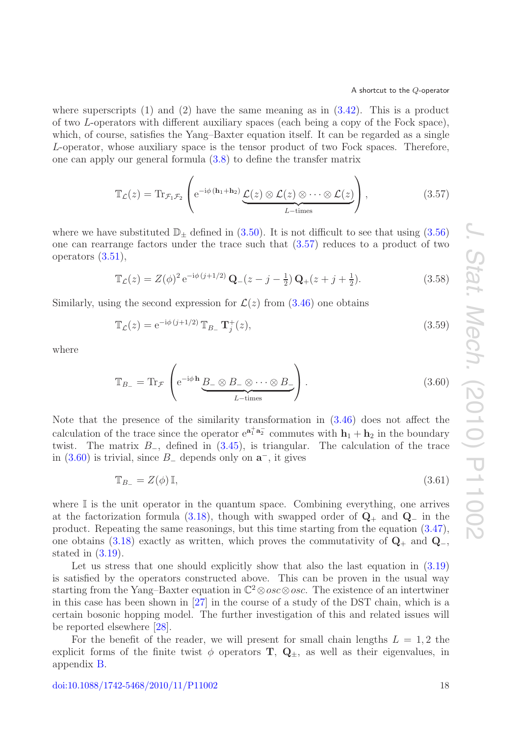where superscripts  $(1)$  and  $(2)$  have the same meaning as in  $(3.42)$ . This is a product of two L-operators with different auxiliary spaces (each being a copy of the Fock space), which, of course, satisfies the Yang–Baxter equation itself. It can be regarded as a single L-operator, whose auxiliary space is the tensor product of two Fock spaces. Therefore, one can apply our general formula [\(3.8\)](#page-11-3) to define the transfer matrix

<span id="page-18-0"></span>
$$
\mathbb{T}_{\mathcal{L}}(z) = \text{Tr}_{\mathcal{F}_1 \mathcal{F}_2} \left( e^{-i\phi (\mathbf{h}_1 + \mathbf{h}_2)} \underbrace{\mathcal{L}(z) \otimes \mathcal{L}(z) \otimes \cdots \otimes \mathcal{L}(z)}_{L-\text{times}} \right), \tag{3.57}
$$

where we have substituted  $\mathbb{D}_{\pm}$  defined in [\(3.50\)](#page-17-2). It is not difficult to see that using [\(3.56\)](#page-17-3) one can rearrange factors under the trace such that [\(3.57\)](#page-18-0) reduces to a product of two operators [\(3.51\)](#page-17-1),

$$
\mathbb{T}_{\mathcal{L}}(z) = Z(\phi)^2 e^{-i\phi(j+1/2)} \mathbf{Q}_{-}(z-j-\frac{1}{2}) \mathbf{Q}_{+}(z+j+\frac{1}{2}).
$$
\n(3.58)

Similarly, using the second expression for  $\mathcal{L}(z)$  from  $(3.46)$  one obtains

$$
\mathbb{T}_{\mathcal{L}}(z) = e^{-i\phi(j+1/2)} \mathbb{T}_{B_{-}} \mathbf{T}_{j}^{+}(z), \qquad (3.59)
$$

<span id="page-18-1"></span>where

$$
\mathbb{T}_{B_{-}} = \text{Tr}_{\mathcal{F}} \left( e^{-i\phi \mathbf{h}} \underbrace{B_{-} \otimes B_{-} \otimes \cdots \otimes B_{-}}_{L-\text{times}} \right). \tag{3.60}
$$

Note that the presence of the similarity transformation in [\(3.46\)](#page-16-2) does not affect the calculation of the trace since the operator  $e^{a_1^{\dagger} a_2^{\dagger}}$  commutes with  $h_1 + h_2$  in the boundary twist. The matrix  $B_$ , defined in  $(3.45)$ , is triangular. The calculation of the trace in [\(3.60\)](#page-18-1) is trivial, since B<sup>−</sup> depends only on **a**−, it gives

$$
\mathbb{T}_{B_{-}} = Z(\phi)\,\mathbb{I},\tag{3.61}
$$

where  $\mathbb I$  is the unit operator in the quantum space. Combining everything, one arrives at the factorization formula [\(3.18\)](#page-13-1), though with swapped order of **Q**<sup>+</sup> and **Q**<sup>−</sup> in the product. Repeating the same reasonings, but this time starting from the equation [\(3.47\)](#page-17-4), one obtains [\(3.18\)](#page-13-1) exactly as written, which proves the commutativity of  $\mathbf{Q}_+$  and  $\mathbf{Q}_-$ , stated in  $(3.19)$ .

Let us stress that one should explicitly show that also the last equation in  $(3.19)$ is satisfied by the operators constructed above. This can be proven in the usual way starting from the Yang–Baxter equation in  $\mathbb{C}^2 \otimes \text{osc} \otimes \text{osc}$ . The existence of an intertwiner in this case has been shown in [\[27\]](#page-39-3) in the course of a study of the DST chain, which is a certain bosonic hopping model. The further investigation of this and related issues will be reported elsewhere [\[28\]](#page-39-4).

For the benefit of the reader, we will present for small chain lengths  $L = 1, 2$  the explicit forms of the finite twist  $\phi$  operators **T**,  $\mathbf{Q}_{\pm}$ , as well as their eigenvalues, in appendix [B.](#page-30-0)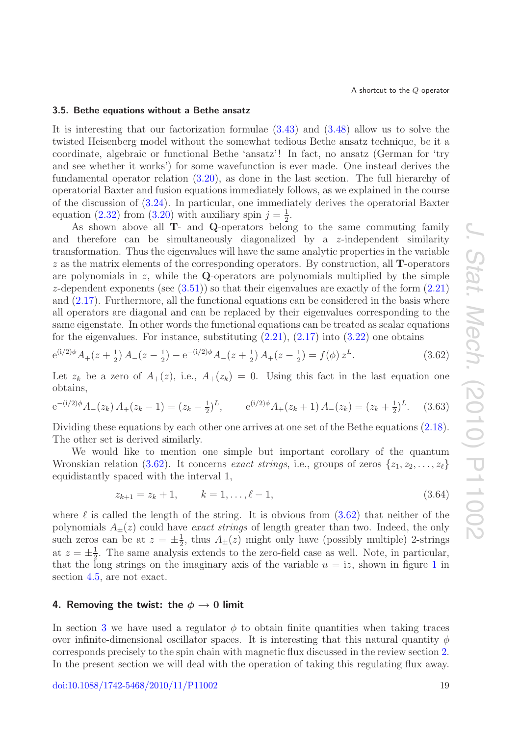#### <span id="page-19-0"></span>**3.5. Bethe equations without a Bethe ansatz**

It is interesting that our factorization formulae [\(3.43\)](#page-16-0) and [\(3.48\)](#page-17-5) allow us to solve the twisted Heisenberg model without the somewhat tedious Bethe ansatz technique, be it a coordinate, algebraic or functional Bethe 'ansatz'! In fact, no ansatz (German for 'try and see whether it works') for some wavefunction is ever made. One instead derives the fundamental operator relation [\(3.20\)](#page-13-3), as done in the last section. The full hierarchy of operatorial Baxter and fusion equations immediately follows, as we explained in the course of the discussion of [\(3.24\)](#page-14-4). In particular, one immediately derives the operatorial Baxter equation [\(2.32\)](#page-10-4) from [\(3.20\)](#page-13-3) with auxiliary spin  $j = \frac{1}{2}$ .

As shown above all **T**- and **Q**-operators belong to the same commuting family and therefore can be simultaneously diagonalized by a z-independent similarity transformation. Thus the eigenvalues will have the same analytic properties in the variable z as the matrix elements of the corresponding operators. By construction, all **T**-operators are polynomials in  $z$ , while the **Q**-operators are polynomials multiplied by the simple z-dependent exponents (see  $(3.51)$ ) so that their eigenvalues are exactly of the form  $(2.21)$ and [\(2.17\)](#page-7-1). Furthermore, all the functional equations can be considered in the basis where all operators are diagonal and can be replaced by their eigenvalues corresponding to the same eigenstate. In other words the functional equations can be treated as scalar equations for the eigenvalues. For instance, substituting  $(2.21)$ ,  $(2.17)$  into  $(3.22)$  one obtains

$$
e^{(i/2)\phi}A_{+}(z+\frac{1}{2})A_{-}(z-\frac{1}{2}) - e^{-(i/2)\phi}A_{-}(z+\frac{1}{2})A_{+}(z-\frac{1}{2}) = f(\phi) z^{L}.
$$
 (3.62)

Let  $z_k$  be a zero of  $A_+(z)$ , i.e.,  $A_+(z_k) = 0$ . Using this fact in the last equation one obtains,

$$
e^{-(i/2)\phi}A_-(z_k)A_+(z_k-1) = (z_k - \frac{1}{2})^L, \qquad e^{(i/2)\phi}A_+(z_k+1)A_-(z_k) = (z_k + \frac{1}{2})^L. \tag{3.63}
$$

Dividing these equations by each other one arrives at one set of the Bethe equations [\(2.18\)](#page-7-6). The other set is derived similarly.

We would like to mention one simple but important corollary of the quantum Wronskian relation [\(3.62\)](#page-19-2). It concerns *exact strings*, i.e., groups of zeros  $\{z_1, z_2, \ldots, z_\ell\}$ equidistantly spaced with the interval 1,

<span id="page-19-2"></span>
$$
z_{k+1} = z_k + 1, \qquad k = 1, \dots, \ell - 1,\tag{3.64}
$$

where  $\ell$  is called the length of the string. It is obvious from  $(3.62)$  that neither of the polynomials  $A_{\pm}(z)$  could have *exact strings* of length greater than two. Indeed, the only such zeros can be at  $z = \pm \frac{1}{2}$ , thus  $A_{\pm}(z)$  might only have (possibly multiple) 2-strings at  $z = \pm \frac{1}{2}$ . The same analysis extends to the zero-field case as well. Note, in particular, that the long strings on the imaginary axis of the variable  $u = iz$ , shown in figure [1](#page-20-1) in section [4.5,](#page-25-0) are not exact.

## <span id="page-19-1"></span>**4. Removing the twist: the**  $\phi \rightarrow 0$  **limit**

In section [3](#page-10-0) we have used a regulator  $\phi$  to obtain finite quantities when taking traces over infinite-dimensional oscillator spaces. It is interesting that this natural quantity  $\phi$ corresponds precisely to the spin chain with magnetic flux discussed in the review section [2.](#page-4-0) In the present section we will deal with the operation of taking this regulating flux away.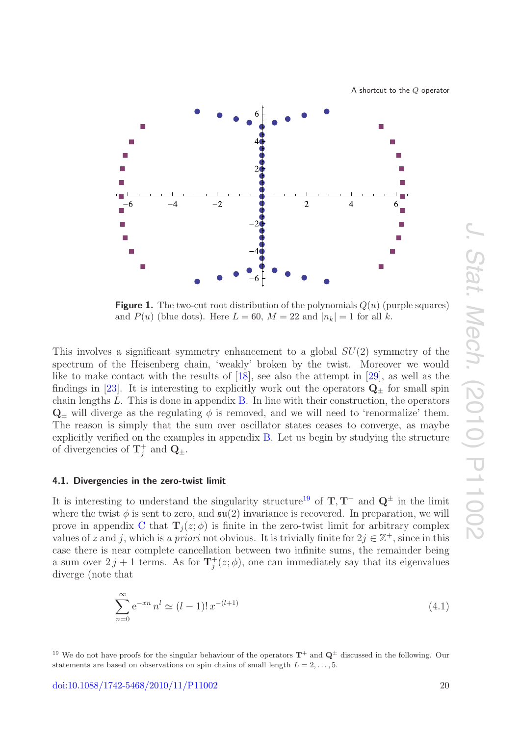

<span id="page-20-1"></span>

**Figure 1.** The two-cut root distribution of the polynomials  $Q(u)$  (purple squares) and  $P(u)$  (blue dots). Here  $L = 60$ ,  $M = 22$  and  $|n_k| = 1$  for all k.

This involves a significant symmetry enhancement to a global  $SU(2)$  symmetry of the spectrum of the Heisenberg chain, 'weakly' broken by the twist. Moreover we would like to make contact with the results of [\[18\]](#page-38-11), see also the attempt in [\[29\]](#page-39-5), as well as the findings in [\[23\]](#page-38-16). It is interesting to explicitly work out the operators  $Q_+$  for small spin chain lengths L. This is done in appendix [B.](#page-30-0) In line with their construction, the operators  $\mathbf{Q}_{\pm}$  will diverge as the regulating  $\phi$  is removed, and we will need to 'renormalize' them. The reason is simply that the sum over oscillator states ceases to converge, as maybe explicitly verified on the examples in appendix [B.](#page-30-0) Let us begin by studying the structure of divergencies of  $\mathbf{T}_j^+$  and  $\mathbf{Q}_{\pm}$ .

### <span id="page-20-0"></span>**4.1. Divergencies in the zero-twist limit**

It is interesting to understand the singularity structure<sup>[19](#page-20-2)</sup> of  $\mathbf{T}, \mathbf{T}^+$  and  $\mathbf{Q}^{\pm}$  in the limit where the twist  $\phi$  is sent to zero, and  $\mathfrak{su}(2)$  invariance is recovered. In preparation, we will prove in appendix [C](#page-32-0) that  $\mathbf{T}_j(z; \phi)$  is finite in the zero-twist limit for arbitrary complex values of z and j, which is a priori not obvious. It is trivially finite for  $2j \in \mathbb{Z}^+$ , since in this case there is near complete cancellation between two infinite sums, the remainder being a sum over  $2 j + 1$  terms. As for  $\mathbf{T}_j^+(z; \phi)$ , one can immediately say that its eigenvalues diverge (note that

$$
\sum_{n=0}^{\infty} e^{-xn} n^l \simeq (l-1)! \, x^{-(l+1)} \tag{4.1}
$$

<span id="page-20-2"></span><sup>19</sup> We do not have proofs for the singular behaviour of the operators  $T^+$  and  $Q^{\pm}$  discussed in the following. Our statements are based on observations on spin chains of small length  $L = 2, \ldots, 5$ .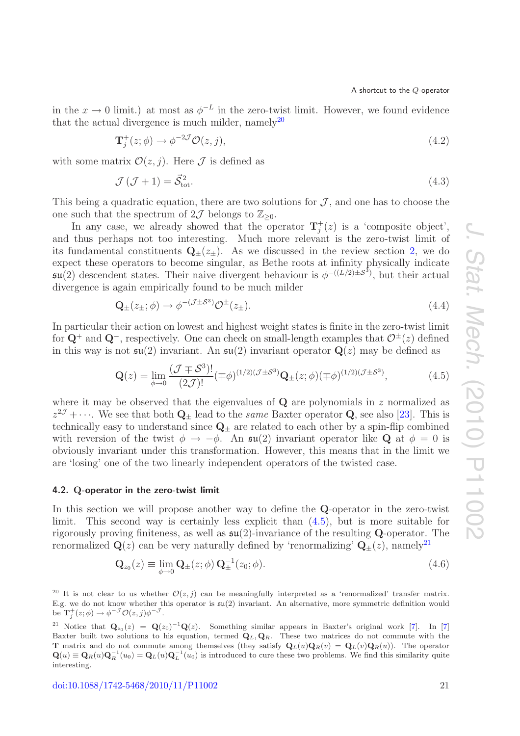in the  $x \to 0$  limit.) at most as  $\phi^{-L}$  in the zero-twist limit. However, we found evidence that the actual divergence is much milder, namely<sup>[20](#page-21-1)</sup>

$$
\mathbf{T}_{j}^{+}(z;\phi) \to \phi^{-2\mathcal{J}}\mathcal{O}(z,j),\tag{4.2}
$$

with some matrix  $\mathcal{O}(z, j)$ . Here  $\mathcal J$  is defined as

$$
\mathcal{J}\left(\mathcal{J}+1\right) = \vec{\mathcal{S}}_{\text{tot}}^2.\tag{4.3}
$$

This being a quadratic equation, there are two solutions for  $J$ , and one has to choose the one such that the spectrum of  $2\mathcal{J}$  belongs to  $\mathbb{Z}_{\geq 0}$ .

In any case, we already showed that the operator  $\mathbf{T}_j^+(z)$  is a 'composite object', and thus perhaps not too interesting. Much more relevant is the zero-twist limit of its fundamental constituents  $\mathbf{Q}_{\pm}(z_{\pm})$ . As we discussed in the review section [2,](#page-4-0) we do expect these operators to become singular, as Bethe roots at infinity physically indicate  $\mathfrak{su}(2)$  descendent states. Their naive divergent behaviour is  $\phi^{-(L/2)\pm S^3}$ , but their actual divergence is again empirically found to be much milder

$$
\mathbf{Q}_{\pm}(z_{\pm};\phi) \to \phi^{-(\mathcal{J}\pm\mathcal{S}^3)} \mathcal{O}^{\pm}(z_{\pm}). \tag{4.4}
$$

In particular their action on lowest and highest weight states is finite in the zero-twist limit for  $\mathbf{Q}^+$  and  $\mathbf{Q}^-$ , respectively. One can check on small-length examples that  $\mathcal{O}^{\pm}(z)$  defined in this way is not  $\mathfrak{su}(2)$  invariant. An  $\mathfrak{su}(2)$  invariant operator  $\mathbf{Q}(z)$  may be defined as

<span id="page-21-2"></span>
$$
\mathbf{Q}(z) = \lim_{\phi \to 0} \frac{(\mathcal{J} \mp \mathcal{S}^3)!}{(2\mathcal{J})!} (\mp \phi)^{(1/2)(\mathcal{J} \pm \mathcal{S}^3)} \mathbf{Q}_{\pm}(z; \phi) (\mp \phi)^{(1/2)(\mathcal{J} \pm \mathcal{S}^3)},
$$
(4.5)

where it may be observed that the eigenvalues of  $Q$  are polynomials in  $z$  normalized as  $z^{2\mathcal{J}} + \cdots$ . We see that both  $\mathbf{Q}_{\pm}$  lead to the *same* Baxter operator **Q**, see also [\[23\]](#page-38-16). This is technically easy to understand since  $\mathbf{Q}_{\pm}$  are related to each other by a spin-flip combined with reversion of the twist  $\phi \to -\phi$ . An  $\mathfrak{su}(2)$  invariant operator like **Q** at  $\phi = 0$  is obviously invariant under this transformation. However, this means that in the limit we are 'losing' one of the two linearly independent operators of the twisted case.

#### <span id="page-21-0"></span>**4.2. Q-operator in the zero-twist limit**

In this section we will propose another way to define the **Q**-operator in the zero-twist limit. This second way is certainly less explicit than [\(4.5\)](#page-21-2), but is more suitable for rigorously proving finiteness, as well as su(2)-invariance of the resulting **Q**-operator. The renormalized  $\mathbf{Q}(z)$  can be very naturally defined by 'renormalizing'  $\mathbf{Q}_{\pm}(z)$ , namely<sup>[21](#page-21-3)</sup>

<span id="page-21-4"></span>
$$
\mathbf{Q}_{z_0}(z) \equiv \lim_{\phi \to 0} \mathbf{Q}_{\pm}(z; \phi) \mathbf{Q}_{\pm}^{-1}(z_0; \phi). \tag{4.6}
$$

<span id="page-21-1"></span><sup>20</sup> It is not clear to us whether  $\mathcal{O}(z, j)$  can be meaningfully interpreted as a 'renormalized' transfer matrix. E.g. we do not know whether this operator is  $\mathfrak{su}(2)$  invariant. An alternative, more symmetric definition would be  $\mathbf{T}_j^+(z;\phi) \to \phi^{-\mathcal{J}} \mathcal{O}(z,j) \phi^{-\mathcal{J}}$ .

<span id="page-21-3"></span><sup>21</sup> Notice that  $\mathbf{Q}_{z_0}(z) = \mathbf{Q}(z_0)^{-1}\mathbf{Q}(z)$ . Something similar appears in Baxter's original work [\[7\]](#page-38-3). In [7] Baxter built two solutions to his equation, termed  $\mathbf{Q}_L, \mathbf{Q}_R$ . These two matrices do not commute with the **T** matrix and do not commute among themselves (they satisfy  $\mathbf{Q}_L(u)\mathbf{Q}_R(v) = \mathbf{Q}_L(v)\mathbf{Q}_R(u)$ ). The operator  $\mathbf{Q}(u) \equiv \mathbf{Q}_R(u)\mathbf{Q}_R^{-1}(u_0) = \mathbf{Q}_L(u)\mathbf{Q}_L^{-1}(u_0)$  is introduced to cure these two problems. We find this similarity quite interesting.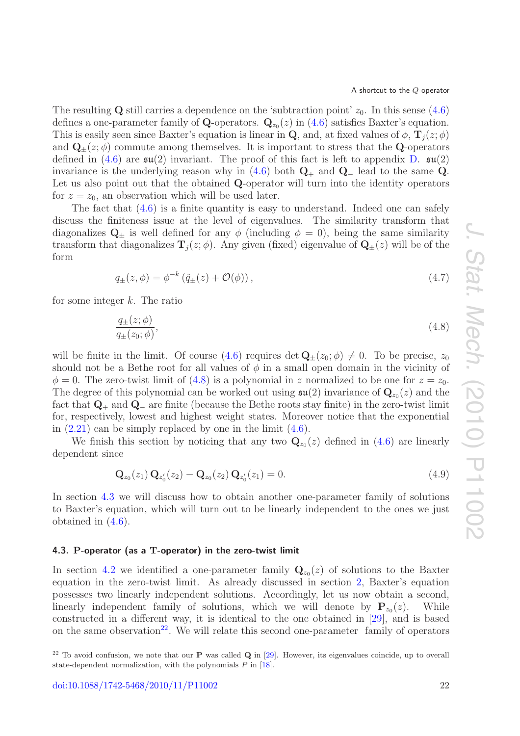The resulting **Q** still carries a dependence on the 'subtraction point'  $z_0$ . In this sense [\(4.6\)](#page-21-4) defines a one-parameter family of **Q**-operators.  $\mathbf{Q}_{z_0}(z)$  in [\(4.6\)](#page-21-4) satisfies Baxter's equation. This is easily seen since Baxter's equation is linear in **Q**, and, at fixed values of  $\phi$ ,  $\mathbf{T}_i(z; \phi)$ and  $\mathbf{Q}_{\pm}(z;\phi)$  commute among themselves. It is important to stress that the **Q**-operators defined in [\(4.6\)](#page-21-4) are  $\mathfrak{su}(2)$  invariant. The proof of this fact is left to appendix [D.](#page-34-0)  $\mathfrak{su}(2)$ invariance is the underlying reason why in  $(4.6)$  both  $\mathbf{Q}_+$  and  $\mathbf{Q}_-$  lead to the same  $\mathbf{Q}$ . Let us also point out that the obtained **Q**-operator will turn into the identity operators for  $z = z_0$ , an observation which will be used later.

The fact that  $(4.6)$  is a finite quantity is easy to understand. Indeed one can safely discuss the finiteness issue at the level of eigenvalues. The similarity transform that diagonalizes  $\mathbf{Q}_{\pm}$  is well defined for any  $\phi$  (including  $\phi = 0$ ), being the same similarity transform that diagonalizes  $\mathbf{T}_i(z; \phi)$ . Any given (fixed) eigenvalue of  $\mathbf{Q}_{\pm}(z)$  will be of the form

$$
q_{\pm}(z,\phi) = \phi^{-k} \left( \tilde{q}_{\pm}(z) + \mathcal{O}(\phi) \right), \tag{4.7}
$$

for some integer  $k$ . The ratio

<span id="page-22-1"></span>
$$
\frac{q_{\pm}(z;\phi)}{q_{\pm}(z_0;\phi)},\tag{4.8}
$$

will be finite in the limit. Of course  $(4.6)$  requires det  $\mathbf{Q}_{\pm}(z_0; \phi) \neq 0$ . To be precise,  $z_0$ should not be a Bethe root for all values of  $\phi$  in a small open domain in the vicinity of  $\phi = 0$ . The zero-twist limit of [\(4.8\)](#page-22-1) is a polynomial in z normalized to be one for  $z = z_0$ . The degree of this polynomial can be worked out using  $\mathfrak{su}(2)$  invariance of  $\mathbf{Q}_{z_0}(z)$  and the fact that **Q**<sup>+</sup> and **Q**<sup>−</sup> are finite (because the Bethe roots stay finite) in the zero-twist limit for, respectively, lowest and highest weight states. Moreover notice that the exponential in  $(2.21)$  can be simply replaced by one in the limit  $(4.6)$ .

We finish this section by noticing that any two  $\mathbf{Q}_{z_0}(z)$  defined in [\(4.6\)](#page-21-4) are linearly dependent since

<span id="page-22-3"></span>
$$
\mathbf{Q}_{z_0}(z_1) \mathbf{Q}_{z'_0}(z_2) - \mathbf{Q}_{z_0}(z_2) \mathbf{Q}_{z'_0}(z_1) = 0.
$$
\n(4.9)

In section [4.3](#page-22-0) we will discuss how to obtain another one-parameter family of solutions to Baxter's equation, which will turn out to be linearly independent to the ones we just obtained in [\(4.6\)](#page-21-4).

## <span id="page-22-0"></span>**4.3. P-operator (as a T-operator) in the zero-twist limit**

In section [4.2](#page-21-0) we identified a one-parameter family  $\mathbf{Q}_{z_0}(z)$  of solutions to the Baxter equation in the zero-twist limit. As already discussed in section [2,](#page-4-0) Baxter's equation possesses two linearly independent solutions. Accordingly, let us now obtain a second, linearly independent family of solutions, which we will denote by  $P_{z_0}(z)$ . While constructed in a different way, it is identical to the one obtained in [\[29\]](#page-39-5), and is based on the same observation<sup>[22](#page-22-2)</sup>. We will relate this second one-parameter family of operators

<span id="page-22-2"></span><sup>22</sup> To avoid confusion, we note that our **P** was called **Q** in [\[29\]](#page-39-5). However, its eigenvalues coincide, up to overall state-dependent normalization, with the polynomials  $P$  in [\[18\]](#page-38-11).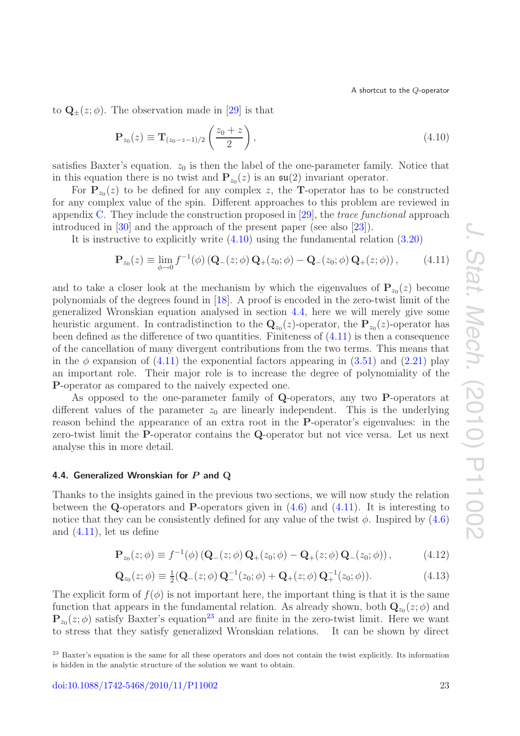to  $\mathbf{Q}_{+}(z; \phi)$ . The observation made in [\[29\]](#page-39-5) is that

<span id="page-23-1"></span>
$$
\mathbf{P}_{z_0}(z) \equiv \mathbf{T}_{(z_0 - z - 1)/2} \left( \frac{z_0 + z}{2} \right), \tag{4.10}
$$

satisfies Baxter's equation.  $z_0$  is then the label of the one-parameter family. Notice that in this equation there is no twist and  $P_{z_0}(z)$  is an  $\mathfrak{su}(2)$  invariant operator.

For  $P_{z_0}(z)$  to be defined for any complex z, the **T**-operator has to be constructed for any complex value of the spin. Different approaches to this problem are reviewed in appendix [C.](#page-32-0) They include the construction proposed in [\[29\]](#page-39-5), the *trace functional* approach introduced in [\[30\]](#page-39-6) and the approach of the present paper (see also [\[23\]](#page-38-16)).

It is instructive to explicitly write [\(4.10\)](#page-23-1) using the fundamental relation [\(3.20\)](#page-13-3)

<span id="page-23-2"></span>
$$
\mathbf{P}_{z_0}(z) \equiv \lim_{\phi \to 0} f^{-1}(\phi) \left( \mathbf{Q}_-(z; \phi) \, \mathbf{Q}_+(z_0; \phi) - \mathbf{Q}_-(z_0; \phi) \, \mathbf{Q}_+(z; \phi) \right),\tag{4.11}
$$

and to take a closer look at the mechanism by which the eigenvalues of  $P_{z_0}(z)$  become polynomials of the degrees found in [\[18\]](#page-38-11). A proof is encoded in the zero-twist limit of the generalized Wronskian equation analysed in section [4.4,](#page-23-0) here we will merely give some heuristic argument. In contradistinction to the  $\mathbf{Q}_{z_0}(z)$ -operator, the  $\mathbf{P}_{z_0}(z)$ -operator has been defined as the difference of two quantities. Finiteness of  $(4.11)$  is then a consequence of the cancellation of many divergent contributions from the two terms. This means that in the  $\phi$  expansion of [\(4.11\)](#page-23-2) the exponential factors appearing in [\(3.51\)](#page-17-1) and [\(2.21\)](#page-7-3) play an important role. Their major role is to increase the degree of polynomiality of the **P**-operator as compared to the naively expected one.

As opposed to the one-parameter family of **Q**-operators, any two **P**-operators at different values of the parameter  $z_0$  are linearly independent. This is the underlying reason behind the appearance of an extra root in the **P**-operator's eigenvalues: in the zero-twist limit the **P**-operator contains the **Q**-operator but not vice versa. Let us next analyse this in more detail.

## <span id="page-23-0"></span>**4.4. Generalized Wronskian for** *P* **and Q**

Thanks to the insights gained in the previous two sections, we will now study the relation between the **Q**-operators and **P**-operators given in [\(4.6\)](#page-21-4) and [\(4.11\)](#page-23-2). It is interesting to notice that they can be consistently defined for any value of the twist  $\phi$ . Inspired by  $(4.6)$ and [\(4.11\)](#page-23-2), let us define

<span id="page-23-4"></span>
$$
\mathbf{P}_{z_0}(z;\phi) \equiv f^{-1}(\phi) \left( \mathbf{Q}_-(z;\phi) \, \mathbf{Q}_+(z_0;\phi) - \mathbf{Q}_+(z;\phi) \, \mathbf{Q}_-(z_0;\phi) \right),\tag{4.12}
$$

<span id="page-23-5"></span>
$$
\mathbf{Q}_{z_0}(z;\phi) \equiv \frac{1}{2}(\mathbf{Q}_-(z;\phi)\,\mathbf{Q}_-^{-1}(z_0;\phi) + \mathbf{Q}_+(z;\phi)\,\mathbf{Q}_+^{-1}(z_0;\phi)).\tag{4.13}
$$

The explicit form of  $f(\phi)$  is not important here, the important thing is that it is the same function that appears in the fundamental relation. As already shown, both  $\mathbf{Q}_{z_0}(z;\phi)$  and  ${\bf P}_{z_0}(z;\phi)$  satisfy Baxter's equation<sup>[23](#page-23-3)</sup> and are finite in the zero-twist limit. Here we want to stress that they satisfy generalized Wronskian relations. It can be shown by direct

<span id="page-23-3"></span><sup>&</sup>lt;sup>23</sup> Baxter's equation is the same for all these operators and does not contain the twist explicitly. Its information is hidden in the analytic structure of the solution we want to obtain.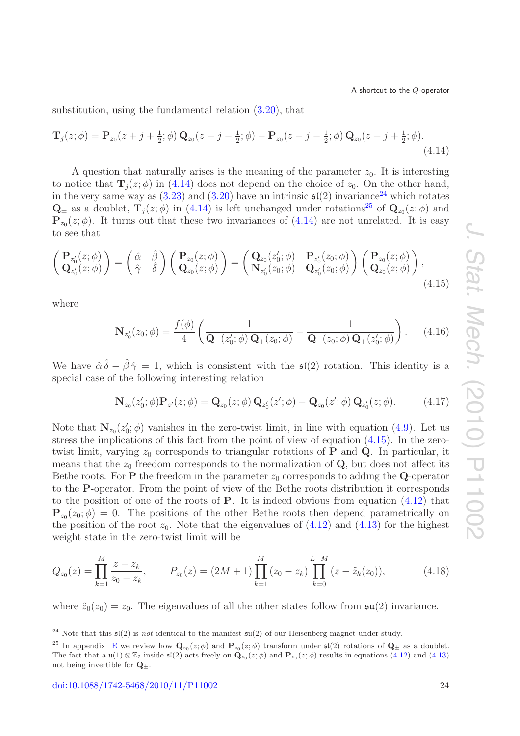<span id="page-24-0"></span>substitution, using the fundamental relation [\(3.20\)](#page-13-3), that

$$
\mathbf{T}_{j}(z;\phi) = \mathbf{P}_{z_{0}}(z+j+\frac{1}{2};\phi)\mathbf{Q}_{z_{0}}(z-j-\frac{1}{2};\phi) - \mathbf{P}_{z_{0}}(z-j-\frac{1}{2};\phi)\mathbf{Q}_{z_{0}}(z+j+\frac{1}{2};\phi).
$$
\n(4.14)

A question that naturally arises is the meaning of the parameter  $z_0$ . It is interesting to notice that  $\mathbf{T}_i(z; \phi)$  in [\(4.14\)](#page-24-0) does not depend on the choice of  $z_0$ . On the other hand, in the very same way as  $(3.23)$  and  $(3.20)$  have an intrinsic  $\mathfrak{sl}(2)$  invariance<sup>[24](#page-24-1)</sup> which rotates  $\mathbf{Q}_{\pm}$  as a doublet,  $\mathbf{T}_{j}(z;\phi)$  in [\(4.14\)](#page-24-0) is left unchanged under rotations<sup>[25](#page-24-2)</sup> of  $\mathbf{Q}_{z_{0}}(z;\phi)$  and  ${\bf P}_{z_0}(z;\phi)$ . It turns out that these two invariances of [\(4.14\)](#page-24-0) are not unrelated. It is easy to see that

<span id="page-24-3"></span>
$$
\begin{pmatrix}\n\mathbf{P}_{z'_0}(z;\phi) \\
\mathbf{Q}_{z'_0}(z;\phi)\n\end{pmatrix} = \begin{pmatrix}\n\hat{\alpha} & \hat{\beta} \\
\hat{\gamma} & \hat{\delta}\n\end{pmatrix} \begin{pmatrix}\n\mathbf{P}_{z_0}(z;\phi) \\
\mathbf{Q}_{z_0}(z;\phi)\n\end{pmatrix} = \begin{pmatrix}\n\mathbf{Q}_{z_0}(z'_0;\phi) & \mathbf{P}_{z'_0}(z_0;\phi) \\
\mathbf{N}_{z'_0}(z_0;\phi) & \mathbf{Q}_{z'_0}(z_0;\phi)\n\end{pmatrix} \begin{pmatrix}\n\mathbf{P}_{z_0}(z;\phi) \\
\mathbf{Q}_{z_0}(z;\phi)\n\end{pmatrix},
$$
\n(4.15)

where

$$
\mathbf{N}_{z'_0}(z_0;\phi) = \frac{f(\phi)}{4} \left( \frac{1}{\mathbf{Q}_{-}(z'_0;\phi)\,\mathbf{Q}_{+}(z_0;\phi)} - \frac{1}{\mathbf{Q}_{-}(z_0;\phi)\,\mathbf{Q}_{+}(z'_0;\phi)} \right). \tag{4.16}
$$

We have  $\hat{\alpha} \hat{\delta} - \hat{\beta} \hat{\gamma} = 1$ , which is consistent with the  $\mathfrak{sl}(2)$  rotation. This identity is a special case of the following interesting relation

$$
\mathbf{N}_{z_0}(z'_0; \phi) \mathbf{P}_{z'}(z; \phi) = \mathbf{Q}_{z_0}(z; \phi) \mathbf{Q}_{z'_0}(z'; \phi) - \mathbf{Q}_{z_0}(z'; \phi) \mathbf{Q}_{z'_0}(z; \phi).
$$
(4.17)

Note that  $N_{z_0}(z'_0; \phi)$  vanishes in the zero-twist limit, in line with equation [\(4.9\)](#page-22-3). Let us stress the implications of this fact from the point of view of equation [\(4.15\)](#page-24-3). In the zerotwist limit, varying  $z_0$  corresponds to triangular rotations of **P** and **Q**. In particular, it means that the  $z_0$  freedom corresponds to the normalization of **Q**, but does not affect its Bethe roots. For **P** the freedom in the parameter  $z_0$  corresponds to adding the **Q**-operator to the **P**-operator. From the point of view of the Bethe roots distribution it corresponds to the position of one of the roots of **P**. It is indeed obvious from equation [\(4.12\)](#page-23-4) that  ${\bf P}_{z_0}(z_0;\phi) = 0$ . The positions of the other Bethe roots then depend parametrically on the position of the root  $z_0$ . Note that the eigenvalues of  $(4.12)$  and  $(4.13)$  for the highest weight state in the zero-twist limit will be

$$
Q_{z_0}(z) = \prod_{k=1}^{M} \frac{z - z_k}{z_0 - z_k}, \qquad P_{z_0}(z) = (2M + 1) \prod_{k=1}^{M} (z_0 - z_k) \prod_{k=0}^{L-M} (z - \tilde{z}_k(z_0)), \tag{4.18}
$$

where  $\tilde{z}_0(z_0) = z_0$ . The eigenvalues of all the other states follow from  $\mathfrak{su}(2)$  invariance.

<span id="page-24-1"></span><sup>&</sup>lt;sup>24</sup> Note that this  $\mathfrak{sl}(2)$  is not identical to the manifest  $\mathfrak{su}(2)$  of our Heisenberg magnet under study.

<span id="page-24-2"></span><sup>&</sup>lt;sup>25</sup> In appendix [E](#page-35-0) we review how  $\mathbf{Q}_{z_0}(z;\phi)$  and  $\mathbf{P}_{z_0}(z;\phi)$  transform under  $\mathfrak{sl}(2)$  rotations of  $\mathbf{Q}_{\pm}$  as a doublet. The fact that a u(1)  $\otimes \mathbb{Z}_2$  inside  $\mathfrak{sl}(2)$  acts freely on  $\mathbf{Q}_{z_0}(z;\phi)$  and  $\mathbf{P}_{z_0}(z;\phi)$  results in equations [\(4.12\)](#page-23-4) and [\(4.13\)](#page-23-5) not being invertible for  $\mathbf{Q}_{\pm}$ .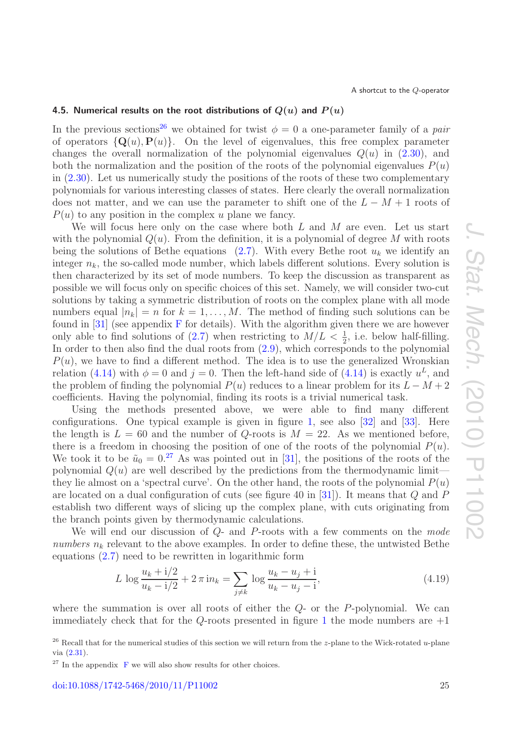#### <span id="page-25-0"></span>**4.5. Numerical results on the root distributions of**  $Q(u)$  **and**  $P(u)$

In the previous sections<sup>[26](#page-25-1)</sup> we obtained for twist  $\phi = 0$  a one-parameter family of a *pair* of operators  $\{Q(u), P(u)\}\$ . On the level of eigenvalues, this free complex parameter changes the overall normalization of the polynomial eigenvalues  $Q(u)$  in  $(2.30)$ , and both the normalization and the position of the roots of the polynomial eigenvalues  $P(u)$ in  $(2.30)$ . Let us numerically study the positions of the roots of these two complementary polynomials for various interesting classes of states. Here clearly the overall normalization does not matter, and we can use the parameter to shift one of the  $L - M + 1$  roots of  $P(u)$  to any position in the complex u plane we fancy.

We will focus here only on the case where both  $L$  and  $M$  are even. Let us start with the polynomial  $Q(u)$ . From the definition, it is a polynomial of degree M with roots being the solutions of Bethe equations [\(2.7\)](#page-5-0). With every Bethe root  $u_k$  we identify an integer  $n_k$ , the so-called mode number, which labels different solutions. Every solution is then characterized by its set of mode numbers. To keep the discussion as transparent as possible we will focus only on specific choices of this set. Namely, we will consider two-cut solutions by taking a symmetric distribution of roots on the complex plane with all mode numbers equal  $|n_k| = n$  for  $k = 1, \ldots, M$ . The method of finding such solutions can be found in  $[31]$  (see appendix [F](#page-35-1) for details). With the algorithm given there we are however only able to find solutions of  $(2.7)$  when restricting to  $M/L < \frac{1}{2}$ , i.e. below half-filling. In order to then also find the dual roots from  $(2.9)$ , which corresponds to the polynomial  $P(u)$ , we have to find a different method. The idea is to use the generalized Wronskian relation [\(4.14\)](#page-24-0) with  $\phi = 0$  and  $j = 0$ . Then the left-hand side of (4.14) is exactly  $u^L$ , and the problem of finding the polynomial  $P(u)$  reduces to a linear problem for its  $L - M + 2$ coefficients. Having the polynomial, finding its roots is a trivial numerical task.

Using the methods presented above, we were able to find many different configurations. One typical example is given in figure [1,](#page-20-1) see also [\[32\]](#page-39-8) and [\[33\]](#page-39-9). Here the length is  $L = 60$  and the number of Q-roots is  $M = 22$ . As we mentioned before, there is a freedom in choosing the position of one of the roots of the polynomial  $P(u)$ . We took it to be  $\tilde{u}_0 = 0.^{27}$  $\tilde{u}_0 = 0.^{27}$  $\tilde{u}_0 = 0.^{27}$  As was pointed out in [\[31\]](#page-39-7), the positions of the roots of the polynomial  $Q(u)$  are well described by the predictions from the thermodynamic limit they lie almost on a 'spectral curve'. On the other hand, the roots of the polynomial  $P(u)$ are located on a dual configuration of cuts (see figure 40 in [\[31\]](#page-39-7)). It means that  $Q$  and  $P$ establish two different ways of slicing up the complex plane, with cuts originating from the branch points given by thermodynamic calculations.

We will end our discussion of Q- and P-roots with a few comments on the *mode numbers*  $n_k$  relevant to the above examples. In order to define these, the untwisted Bethe equations [\(2.7\)](#page-5-0) need to be rewritten in logarithmic form

<span id="page-25-3"></span>
$$
L \log \frac{u_k + i/2}{u_k - i/2} + 2\pi \, \text{in}_k = \sum_{j \neq k} \log \frac{u_k - u_j + i}{u_k - u_j - i},\tag{4.19}
$$

where the summation is over all roots of either the  $Q$ - or the  $P$ -polynomial. We can immediately check that for the  $Q$ -roots presented in figure [1](#page-20-1) the mode numbers are  $+1$ 

<span id="page-25-1"></span><sup>&</sup>lt;sup>26</sup> Recall that for the numerical studies of this section we will return from the *z*-plane to the Wick-rotated u-plane via [\(2.31\)](#page-10-2).

<span id="page-25-2"></span> $27$  In the appendix [F](#page-35-1) we will also show results for other choices.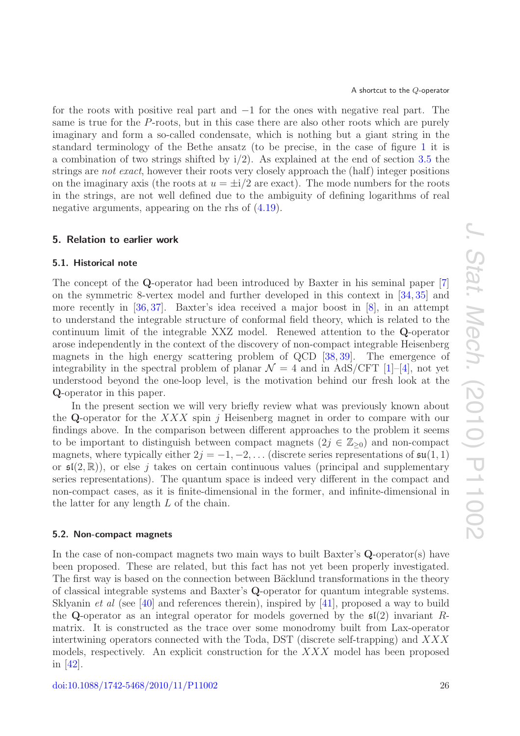for the roots with positive real part and −1 for the ones with negative real part. The same is true for the P-roots, but in this case there are also other roots which are purely imaginary and form a so-called condensate, which is nothing but a giant string in the standard terminology of the Bethe ansatz (to be precise, in the case of figure [1](#page-20-1) it is a combination of two strings shifted by  $i/2$ ). As explained at the end of section [3.5](#page-19-0) the strings are *not exact*, however their roots very closely approach the (half) integer positions on the imaginary axis (the roots at  $u = \pm i/2$  are exact). The mode numbers for the roots in the strings, are not well defined due to the ambiguity of defining logarithms of real negative arguments, appearing on the rhs of [\(4.19\)](#page-25-3).

#### <span id="page-26-0"></span>**5. Relation to earlier work**

## <span id="page-26-1"></span>**5.1. Historical note**

The concept of the **Q**-operator had been introduced by Baxter in his seminal paper [\[7\]](#page-38-3) on the symmetric 8-vertex model and further developed in this context in [\[34,](#page-39-10) [35\]](#page-39-11) and more recently in [\[36,](#page-39-12) [37\]](#page-39-13). Baxter's idea received a major boost in [\[8\]](#page-38-4), in an attempt to understand the integrable structure of conformal field theory, which is related to the continuum limit of the integrable XXZ model. Renewed attention to the **Q**-operator arose independently in the context of the discovery of non-compact integrable Heisenberg magnets in the high energy scattering problem of QCD [\[38,](#page-39-14) [39\]](#page-39-15). The emergence of integrability in the spectral problem of planar  $\mathcal{N} = 4$  and in AdS/CFT [\[1\]](#page-37-2)–[\[4\]](#page-38-0), not yet understood beyond the one-loop level, is the motivation behind our fresh look at the **Q**-operator in this paper.

In the present section we will very briefly review what was previously known about the **Q**-operator for the  $XXX$  spin j Heisenberg magnet in order to compare with our findings above. In the comparison between different approaches to the problem it seems to be important to distinguish between compact magnets  $(2j \in \mathbb{Z}_{\geq 0})$  and non-compact magnets, where typically either  $2j = -1, -2, \ldots$  (discrete series representations of  $\mathfrak{su}(1,1)$ ) or  $\mathfrak{sl}(2,\mathbb{R})$ , or else j takes on certain continuous values (principal and supplementary series representations). The quantum space is indeed very different in the compact and non-compact cases, as it is finite-dimensional in the former, and infinite-dimensional in the latter for any length L of the chain.

#### <span id="page-26-2"></span>**5.2. Non-compact magnets**

In the case of non-compact magnets two main ways to built Baxter's **Q**-operator(s) have been proposed. These are related, but this fact has not yet been properly investigated. The first way is based on the connection between Bäcklund transformations in the theory of classical integrable systems and Baxter's **Q**-operator for quantum integrable systems. Sklyanin *et al* (see [\[40\]](#page-39-16) and references therein), inspired by [\[41\]](#page-39-17), proposed a way to build the **Q**-operator as an integral operator for models governed by the  $\mathfrak{sl}(2)$  invariant Rmatrix. It is constructed as the trace over some monodromy built from Lax-operator intertwining operators connected with the Toda, DST (discrete self-trapping) and  $XXX$ models, respectively. An explicit construction for the XXX model has been proposed in [\[42\]](#page-39-18).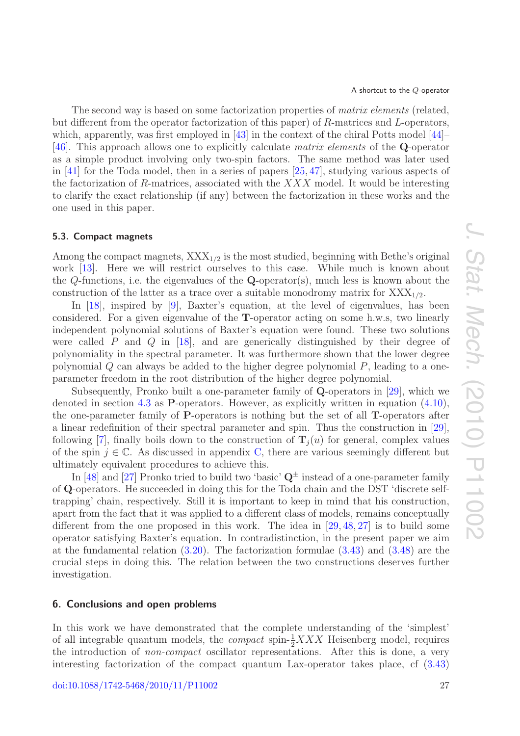The second way is based on some factorization properties of *matrix elements* (related, but different from the operator factorization of this paper) of R-matrices and L-operators, which, apparently, was first employed in  $[43]$  in the context of the chiral Potts model  $[44]$ [\[46\]](#page-39-21). This approach allows one to explicitly calculate *matrix elements* of the **Q**-operator as a simple product involving only two-spin factors. The same method was later used in [\[41\]](#page-39-17) for the Toda model, then in a series of papers [\[25,](#page-39-1) [47\]](#page-39-22), studying various aspects of the factorization of R-matrices, associated with the  $XXX$  model. It would be interesting to clarify the exact relationship (if any) between the factorization in these works and the one used in this paper.

#### <span id="page-27-0"></span>**5.3. Compact magnets**

Among the compact magnets,  $XXX_{1/2}$  is the most studied, beginning with Bethe's original work [\[13\]](#page-38-8). Here we will restrict ourselves to this case. While much is known about the Q-functions, i.e. the eigenvalues of the **Q**-operator(s), much less is known about the construction of the latter as a trace over a suitable monodromy matrix for  $XXX_{1/2}$ .

In [\[18\]](#page-38-11), inspired by [\[9\]](#page-38-5), Baxter's equation, at the level of eigenvalues, has been considered. For a given eigenvalue of the **T**-operator acting on some h.w.s, two linearly independent polynomial solutions of Baxter's equation were found. These two solutions were called  $P$  and  $Q$  in [\[18\]](#page-38-11), and are generically distinguished by their degree of polynomiality in the spectral parameter. It was furthermore shown that the lower degree polynomial  $Q$  can always be added to the higher degree polynomial  $P$ , leading to a oneparameter freedom in the root distribution of the higher degree polynomial.

Subsequently, Pronko built a one-parameter family of **Q**-operators in [\[29\]](#page-39-5), which we denoted in section [4.3](#page-22-0) as **P**-operators. However, as explicitly written in equation [\(4.10\)](#page-23-1), the one-parameter family of **P**-operators is nothing but the set of all **T**-operators after a linear redefinition of their spectral parameter and spin. Thus the construction in [\[29\]](#page-39-5), following [\[7\]](#page-38-3), finally boils down to the construction of  $\mathbf{T}_i(u)$  for general, complex values of the spin  $j \in \mathbb{C}$ . As discussed in appendix [C,](#page-32-0) there are various seemingly different but ultimately equivalent procedures to achieve this.

In [\[48\]](#page-40-0) and [\[27\]](#page-39-3) Pronko tried to build two 'basic'  $Q^{\pm}$  instead of a one-parameter family of **Q**-operators. He succeeded in doing this for the Toda chain and the DST 'discrete selftrapping' chain, respectively. Still it is important to keep in mind that his construction, apart from the fact that it was applied to a different class of models, remains conceptually different from the one proposed in this work. The idea in [\[29,](#page-39-5) [48,](#page-40-0) [27\]](#page-39-3) is to build some operator satisfying Baxter's equation. In contradistinction, in the present paper we aim at the fundamental relation [\(3.20\)](#page-13-3). The factorization formulae [\(3.43\)](#page-16-0) and [\(3.48\)](#page-17-5) are the crucial steps in doing this. The relation between the two constructions deserves further investigation.

### <span id="page-27-1"></span>**6. Conclusions and open problems**

In this work we have demonstrated that the complete understanding of the 'simplest' of all integrable quantum models, the *compact* spin- $\frac{1}{2}XXX$  Heisenberg model, requires the introduction of *non-compact* oscillator representations. After this is done, a very interesting factorization of the compact quantum Lax-operator takes place, cf [\(3.43\)](#page-16-0)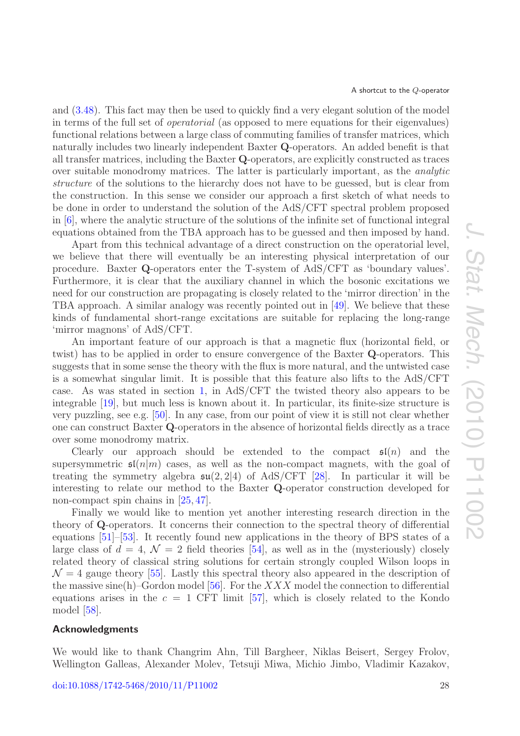and [\(3.48\)](#page-17-5). This fact may then be used to quickly find a very elegant solution of the model in terms of the full set of *operatorial* (as opposed to mere equations for their eigenvalues) functional relations between a large class of commuting families of transfer matrices, which naturally includes two linearly independent Baxter **Q**-operators. An added benefit is that all transfer matrices, including the Baxter **Q**-operators, are explicitly constructed as traces over suitable monodromy matrices. The latter is particularly important, as the *analytic structure* of the solutions to the hierarchy does not have to be guessed, but is clear from the construction. In this sense we consider our approach a first sketch of what needs to be done in order to understand the solution of the AdS/CFT spectral problem proposed in [\[6\]](#page-38-2), where the analytic structure of the solutions of the infinite set of functional integral equations obtained from the TBA approach has to be guessed and then imposed by hand.

Apart from this technical advantage of a direct construction on the operatorial level, we believe that there will eventually be an interesting physical interpretation of our procedure. Baxter **Q**-operators enter the T-system of AdS/CFT as 'boundary values'. Furthermore, it is clear that the auxiliary channel in which the bosonic excitations we need for our construction are propagating is closely related to the 'mirror direction' in the TBA approach. A similar analogy was recently pointed out in [\[49\]](#page-40-1). We believe that these kinds of fundamental short-range excitations are suitable for replacing the long-range 'mirror magnons' of AdS/CFT.

An important feature of our approach is that a magnetic flux (horizontal field, or twist) has to be applied in order to ensure convergence of the Baxter **Q**-operators. This suggests that in some sense the theory with the flux is more natural, and the untwisted case is a somewhat singular limit. It is possible that this feature also lifts to the AdS/CFT case. As was stated in section [1,](#page-3-0) in AdS/CFT the twisted theory also appears to be integrable [\[19\]](#page-38-12), but much less is known about it. In particular, its finite-size structure is very puzzling, see e.g. [\[50\]](#page-40-2). In any case, from our point of view it is still not clear whether one can construct Baxter **Q**-operators in the absence of horizontal fields directly as a trace over some monodromy matrix.

Clearly our approach should be extended to the compact  $\mathfrak{sl}(n)$  and the supersymmetric  $\mathfrak{sl}(n|m)$  cases, as well as the non-compact magnets, with the goal of treating the symmetry algebra  $\mathfrak{su}(2,2|4)$  of AdS/CFT [\[28\]](#page-39-4). In particular it will be interesting to relate our method to the Baxter **Q**-operator construction developed for non-compact spin chains in [\[25,](#page-39-1) [47\]](#page-39-22).

Finally we would like to mention yet another interesting research direction in the theory of **Q**-operators. It concerns their connection to the spectral theory of differential equations [\[51\]](#page-40-3)–[\[53\]](#page-40-4). It recently found new applications in the theory of BPS states of a large class of  $d = 4$ ,  $\mathcal{N} = 2$  field theories [\[54\]](#page-40-5), as well as in the (mysteriously) closely related theory of classical string solutions for certain strongly coupled Wilson loops in  $\mathcal{N}=4$  gauge theory [\[55\]](#page-40-6). Lastly this spectral theory also appeared in the description of the massive sine(h)–Gordon model [\[56\]](#page-40-7). For the  $XXX$  model the connection to differential equations arises in the  $c = 1$  CFT limit [\[57\]](#page-40-8), which is closely related to the Kondo model [\[58\]](#page-40-9).

## <span id="page-28-0"></span>**Acknowledgments**

We would like to thank Changrim Ahn, Till Bargheer, Niklas Beisert, Sergey Frolov, Wellington Galleas, Alexander Molev, Tetsuji Miwa, Michio Jimbo, Vladimir Kazakov,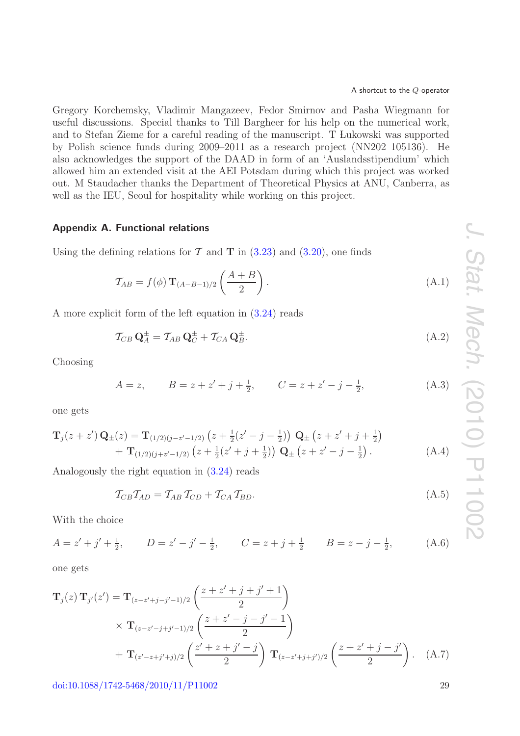Gregory Korchemsky, Vladimir Mangazeev, Fedor Smirnov and Pasha Wiegmann for useful discussions. Special thanks to Till Bargheer for his help on the numerical work, and to Stefan Zieme for a careful reading of the manuscript. T Lukowski was supported by Polish science funds during 2009–2011 as a research project (NN202 105136). He also acknowledges the support of the DAAD in form of an 'Auslandsstipendium' which allowed him an extended visit at the AEI Potsdam during which this project was worked out. M Staudacher thanks the Department of Theoretical Physics at ANU, Canberra, as well as the IEU, Seoul for hospitality while working on this project.

## <span id="page-29-0"></span>**Appendix A. Functional relations**

Using the defining relations for  $\mathcal T$  and  $\mathbf T$  in [\(3.23\)](#page-14-5) and [\(3.20\)](#page-13-3), one finds

$$
\mathcal{T}_{AB} = f(\phi) \mathbf{T}_{(A-B-1)/2} \left( \frac{A+B}{2} \right). \tag{A.1}
$$

A more explicit form of the left equation in [\(3.24\)](#page-14-4) reads

$$
\mathcal{T}_{CB} \mathbf{Q}_A^{\pm} = \mathcal{T}_{AB} \mathbf{Q}_C^{\pm} + \mathcal{T}_{CA} \mathbf{Q}_B^{\pm}.
$$
\n(A.2)

Choosing

$$
A = z, \qquad B = z + z' + j + \frac{1}{2}, \qquad C = z + z' - j - \frac{1}{2}, \tag{A.3}
$$

one gets

$$
\mathbf{T}_{j}(z+z')\mathbf{Q}_{\pm}(z) = \mathbf{T}_{(1/2)(j-z'-1/2)}\left(z+\frac{1}{2}(z'-j-\frac{1}{2})\right)\mathbf{Q}_{\pm}\left(z+z'+j+\frac{1}{2}\right) \n+ \mathbf{T}_{(1/2)(j+z'-1/2)}\left(z+\frac{1}{2}(z'+j+\frac{1}{2})\right)\mathbf{Q}_{\pm}\left(z+z'-j-\frac{1}{2}\right).
$$
\n(A.4)

Analogously the right equation in [\(3.24\)](#page-14-4) reads

$$
\mathcal{T}_{CB}\mathcal{T}_{AD} = \mathcal{T}_{AB}\mathcal{T}_{CD} + \mathcal{T}_{CA}\mathcal{T}_{BD}.\tag{A.5}
$$

With the choice

$$
A = z' + j' + \frac{1}{2}, \qquad D = z' - j' - \frac{1}{2}, \qquad C = z + j + \frac{1}{2} \qquad B = z - j - \frac{1}{2}, \tag{A.6}
$$

one gets

$$
\mathbf{T}_{j}(z)\,\mathbf{T}_{j'}(z') = \mathbf{T}_{(z-z'+j-j'-1)/2}\left(\frac{z+z'+j+j'+1}{2}\right)
$$
  
 
$$
\times \mathbf{T}_{(z-z'-j+j'-1)/2}\left(\frac{z+z'-j-j'-1}{2}\right)
$$
  
 
$$
+ \mathbf{T}_{(z'-z+j'+j)/2}\left(\frac{z'+z+j'-j}{2}\right)\mathbf{T}_{(z-z'+j+j')/2}\left(\frac{z+z'+j-j'}{2}\right).
$$
 (A.7)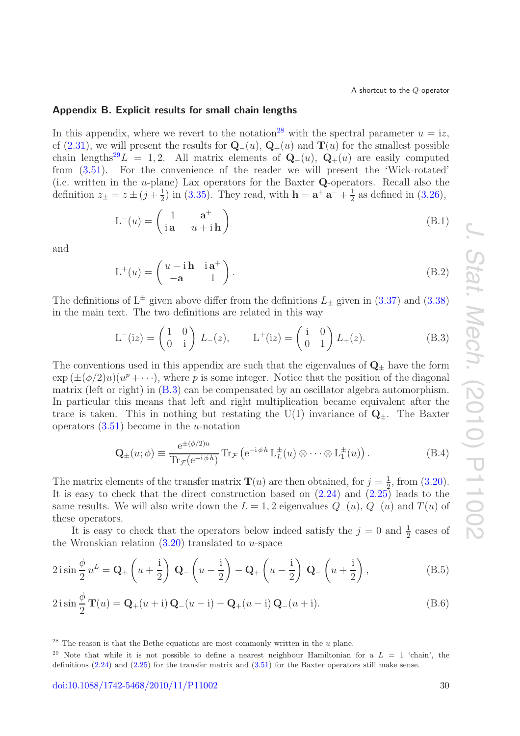#### <span id="page-30-0"></span>**Appendix B. Explicit results for small chain lengths**

In this appendix, where we revert to the notation<sup>[28](#page-30-1)</sup> with the spectral parameter  $u = i z$ , cf [\(2.31\)](#page-10-2), we will present the results for  $\mathbf{Q}_-(u)$ ,  $\mathbf{Q}_+(u)$  and  $\mathbf{T}(u)$  for the smallest possible chain lengths<sup>[29](#page-30-2)</sup>L = 1,2. All matrix elements of  $\mathbf{Q}_-(u)$ ,  $\mathbf{Q}_+(u)$  are easily computed from [\(3.51\)](#page-17-1). For the convenience of the reader we will present the 'Wick-rotated' (i.e. written in the u-plane) Lax operators for the Baxter **Q**-operators. Recall also the definition  $z_{\pm} = z \pm (j + \frac{1}{2})$  in [\(3.35\)](#page-15-7). They read, with  $\mathbf{h} = \mathbf{a}^+ \mathbf{a}^- + \frac{1}{2}$  as defined in [\(3.26\)](#page-14-2),

$$
L^{-}(u) = \begin{pmatrix} 1 & \mathbf{a}^{+} \\ i\mathbf{a}^{-} & u + i\mathbf{h} \end{pmatrix}
$$
 (B.1)

and

$$
L^{+}(u) = \begin{pmatrix} u - i\mathbf{h} & i\mathbf{a}^{+} \\ -\mathbf{a}^{-} & 1 \end{pmatrix}.
$$
 (B.2)

The definitions of  $L^{\pm}$  given above differ from the definitions  $L_{\pm}$  given in [\(3.37\)](#page-15-5) and [\(3.38\)](#page-15-6) in the main text. The two definitions are related in this way

<span id="page-30-3"></span>
$$
L^{-}(iz) = \begin{pmatrix} 1 & 0 \ 0 & i \end{pmatrix} L_{-}(z), \qquad L^{+}(iz) = \begin{pmatrix} i & 0 \ 0 & 1 \end{pmatrix} L_{+}(z). \tag{B.3}
$$

The conventions used in this appendix are such that the eigenvalues of  $\mathbf{Q}_{\pm}$  have the form  $\exp(\pm(\phi/2)u)(u^p+\cdots)$ , where p is some integer. Notice that the position of the diagonal matrix (left or right) in [\(B.3\)](#page-30-3) can be compensated by an oscillator algebra automorphism. In particular this means that left and right multiplication became equivalent after the trace is taken. This in nothing but restating the  $U(1)$  invariance of  $Q_{\pm}$ . The Baxter operators  $(3.51)$  become in the *u*-notation

$$
\mathbf{Q}_{\pm}(u;\phi) \equiv \frac{e^{\pm(\phi/2)u}}{\text{Tr}_{\mathcal{F}}(e^{-i\phi h})} \text{Tr}_{\mathcal{F}}\left(e^{-i\phi h} \mathcal{L}_L^{\pm}(u) \otimes \cdots \otimes \mathcal{L}_1^{\pm}(u)\right). \tag{B.4}
$$

The matrix elements of the transfer matrix **T**(*u*) are then obtained, for  $j = \frac{1}{2}$ , from [\(3.20\)](#page-13-3). It is easy to check that the direct construction based on  $(2.24)$  and  $(2.25)$  leads to the same results. We will also write down the  $L = 1, 2$  eigenvalues  $Q_-(u)$ ,  $Q_+(u)$  and  $T(u)$  of these operators.

It is easy to check that the operators below indeed satisfy the  $j = 0$  and  $\frac{1}{2}$  cases of the Wronskian relation  $(3.20)$  translated to u-space

$$
2\operatorname{isin}\frac{\phi}{2}u^{L} = \mathbf{Q}_{+}\left(u + \frac{\mathrm{i}}{2}\right)\mathbf{Q}_{-}\left(u - \frac{\mathrm{i}}{2}\right) - \mathbf{Q}_{+}\left(u - \frac{\mathrm{i}}{2}\right)\mathbf{Q}_{-}\left(u + \frac{\mathrm{i}}{2}\right),\tag{B.5}
$$

$$
2\operatorname{isin}\frac{\phi}{2}\mathbf{T}(u) = \mathbf{Q}_{+}(u+\mathbf{i})\mathbf{Q}_{-}(u-\mathbf{i}) - \mathbf{Q}_{+}(u-\mathbf{i})\mathbf{Q}_{-}(u+\mathbf{i}).
$$
\n(B.6)

<span id="page-30-1"></span> $28$  The reason is that the Bethe equations are most commonly written in the *u*-plane.

<span id="page-30-2"></span><sup>&</sup>lt;sup>29</sup> Note that while it is not possible to define a nearest neighbour Hamiltonian for a  $L = 1$  'chain', the definitions [\(2.24\)](#page-8-3) and [\(2.25\)](#page-8-1) for the transfer matrix and [\(3.51\)](#page-17-1) for the Baxter operators still make sense.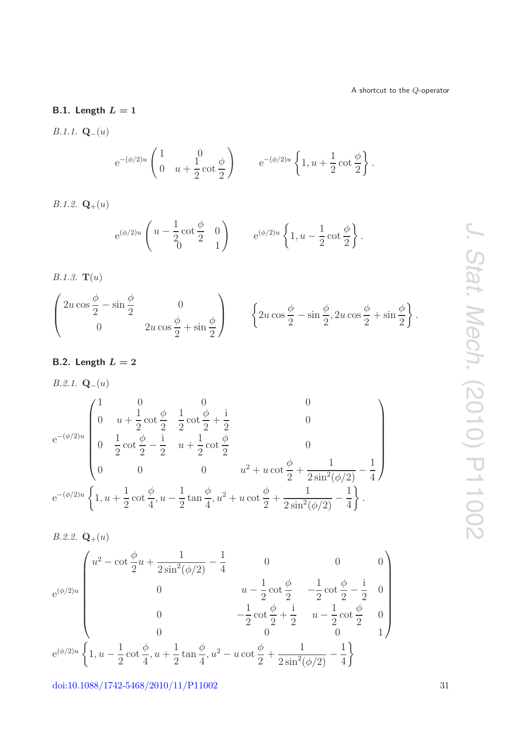## **B.1. Length** *L* **= 1**

*B.1.1.* **Q**−(*u*)

$$
e^{-(\phi/2)u} \begin{pmatrix} 1 & 0 \\ 0 & u + \frac{1}{2} \cot \frac{\phi}{2} \end{pmatrix}
$$
  $e^{-(\phi/2)u} \left\{ 1, u + \frac{1}{2} \cot \frac{\phi}{2} \right\}.$ 

*B.1.2.*  $\mathbf{Q}_{+}(u)$ 

$$
e^{(\phi/2)u}\left(u-\frac{1}{2}\cot\frac{\phi}{2} \quad 0\right)
$$
  $e^{(\phi/2)u}\left\{1, u-\frac{1}{2}\cot\frac{\phi}{2}\right\}.$ 

*B.1.3.* **T**(*u*)

$$
\begin{pmatrix} 2u\cos\frac{\phi}{2} - \sin\frac{\phi}{2} & 0 \\ 0 & 2u\cos\frac{\phi}{2} + \sin\frac{\phi}{2} \end{pmatrix} \qquad \left\{ 2u\cos\frac{\phi}{2} - \sin\frac{\phi}{2}, 2u\cos\frac{\phi}{2} + \sin\frac{\phi}{2} \right\}.
$$

## **B.2. Length** *L* **= 2**

B.2.1. 
$$
\mathbf{Q}_{-}(u)
$$
  
\n
$$
e^{-(\phi/2)u} \begin{pmatrix}\n1 & 0 & 0 & 0 \\
0 & u + \frac{1}{2}\cot\frac{\phi}{2} & \frac{1}{2}\cot\frac{\phi}{2} + \frac{i}{2} & 0 \\
0 & \frac{1}{2}\cot\frac{\phi}{2} - \frac{i}{2} & u + \frac{1}{2}\cot\frac{\phi}{2} & 0 \\
0 & 0 & 0 & u^2 + u\cot\frac{\phi}{2} + \frac{1}{2\sin^2(\phi/2)} - \frac{1}{4}\n\end{pmatrix}
$$
\n
$$
e^{-(\phi/2)u} \left\{ 1, u + \frac{1}{2}\cot\frac{\phi}{4}, u - \frac{1}{2}\tan\frac{\phi}{4}, u^2 + u\cot\frac{\phi}{2} + \frac{1}{2\sin^2(\phi/2)} - \frac{1}{4} \right\}.
$$

B.2.2. 
$$
\mathbf{Q}_{+}(u)
$$
  
\n $e^{(\phi/2)u}$ \n
$$
\begin{pmatrix}\nu^2 - \cot \frac{\phi}{2}u + \frac{1}{2\sin^2(\phi/2)} - \frac{1}{4} & 0 & 0 & 0\\ 0 & u - \frac{1}{2}\cot \frac{\phi}{2} & -\frac{1}{2}\cot \frac{\phi}{2} - \frac{1}{2} & 0\\ 0 & -\frac{1}{2}\cot \frac{\phi}{2} + \frac{1}{2} & u - \frac{1}{2}\cot \frac{\phi}{2} & 0\\ 0 & 0 & 0 & 1\end{pmatrix}
$$
\n $e^{(\phi/2)u}$ \n
$$
\left\{1, u - \frac{1}{2}\cot \frac{\phi}{4}, u + \frac{1}{2}\tan \frac{\phi}{4}, u^2 - u\cot \frac{\phi}{2} + \frac{1}{2\sin^2(\phi/2)} - \frac{1}{4}\right\}
$$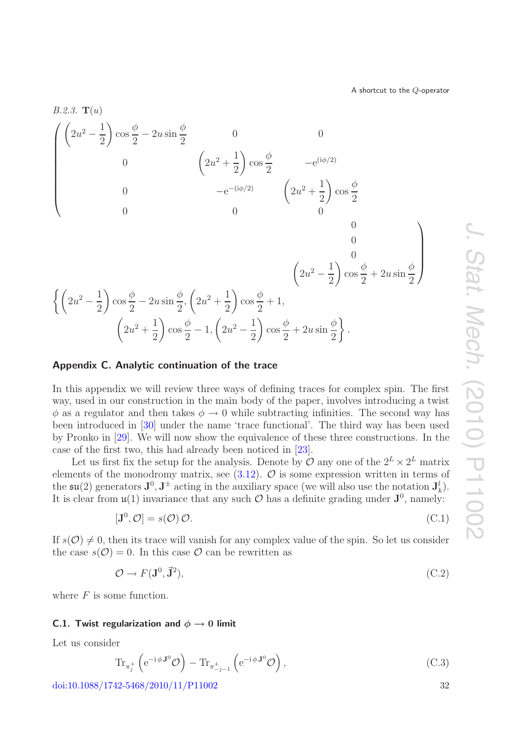



#### <span id="page-32-0"></span>**Appendix C. Analytic continuation of the trace**

In this appendix we will review three ways of defining traces for complex spin. The first way, used in our construction in the main body of the paper, involves introducing a twist  $\phi$  as a regulator and then takes  $\phi \to 0$  while subtracting infinities. The second way has been introduced in [\[30\]](#page-39-6) under the name 'trace functional'. The third way has been used by Pronko in [\[29\]](#page-39-5). We will now show the equivalence of these three constructions. In the case of the first two, this had already been noticed in [\[23\]](#page-38-16).

Let us first fix the setup for the analysis. Denote by  $\mathcal O$  any one of the  $2^L\times 2^L$  matrix elements of the monodromy matrix, see  $(3.12)$ .  $\mathcal{O}$  is some expression written in terms of the  $\mathfrak{su}(2)$  generators  $\mathbf{J}^0, \mathbf{J}^{\pm}$  acting in the auxiliary space (we will also use the notation  $\mathbf{J}_k^l$ ). It is clear from  $\mathfrak{u}(1)$  invariance that any such  $\mathcal O$  has a definite grading under  $\mathbf{J}^0$ , namely:

<span id="page-32-4"></span>
$$
[\mathbf{J}^0, \mathcal{O}] = s(\mathcal{O}) \mathcal{O}.
$$
 (C.1)

If  $s(\mathcal{O}) \neq 0$ , then its trace will vanish for any complex value of the spin. So let us consider the case  $s(\mathcal{O}) = 0$ . In this case  $\mathcal O$  can be rewritten as

<span id="page-32-1"></span>
$$
\mathcal{O} \to F(\mathbf{J}^0, \vec{\mathbf{J}}^2),\tag{C.2}
$$

where  $F$  is some function.

### <span id="page-32-3"></span>**C.1. Twist regularization and**  $\phi \rightarrow 0$  **limit**

Let us consider

<span id="page-32-2"></span>
$$
\operatorname{Tr}_{\pi_j^+} \left( e^{-i \phi \mathbf{J}^0} \mathcal{O} \right) - \operatorname{Tr}_{\pi_{-j-1}^+} \left( e^{-i \phi \mathbf{J}^0} \mathcal{O} \right), \tag{C.3}
$$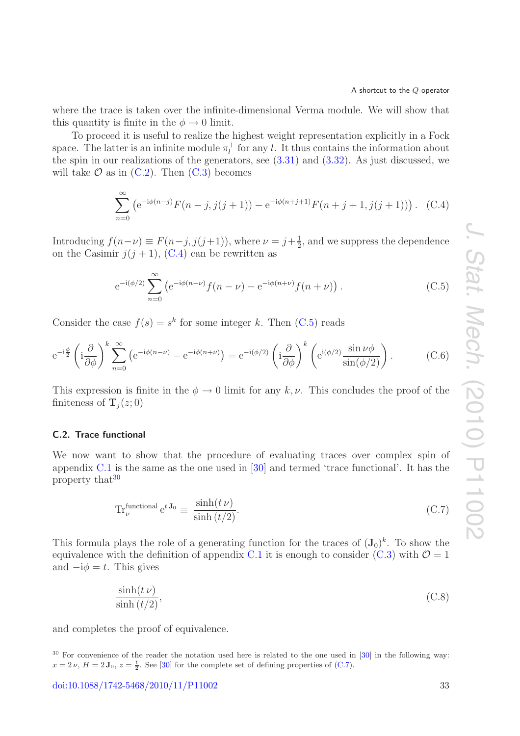where the trace is taken over the infinite-dimensional Verma module. We will show that this quantity is finite in the  $\phi \rightarrow 0$  limit.

To proceed it is useful to realize the highest weight representation explicitly in a Fock space. The latter is an infinite module  $\pi_l^+$  for any l. It thus contains the information about the spin in our realizations of the generators, see  $(3.31)$  and  $(3.32)$ . As just discussed, we will take  $\mathcal O$  as in [\(C.2\)](#page-32-1). Then [\(C.3\)](#page-32-2) becomes

<span id="page-33-0"></span>
$$
\sum_{n=0}^{\infty} \left( e^{-i\phi(n-j)} F(n-j,j(j+1)) - e^{-i\phi(n+j+1)} F(n+j+1,j(j+1)) \right). \quad (C.4)
$$

Introducing  $f(n-\nu) \equiv F(n-j, j(j+1))$ , where  $\nu = j+\frac{1}{2}$ , and we suppress the dependence on the Casimir  $j(j + 1)$ , [\(C.4\)](#page-33-0) can be rewritten as

<span id="page-33-1"></span>
$$
e^{-i(\phi/2)} \sum_{n=0}^{\infty} \left( e^{-i\phi(n-\nu)} f(n-\nu) - e^{-i\phi(n+\nu)} f(n+\nu) \right).
$$
 (C.5)

Consider the case  $f(s) = s^k$  for some integer k. Then [\(C.5\)](#page-33-1) reads

$$
e^{-i\frac{\phi}{2}} \left( i\frac{\partial}{\partial \phi} \right)^k \sum_{n=0}^{\infty} \left( e^{-i\phi(n-\nu)} - e^{-i\phi(n+\nu)} \right) = e^{-i(\phi/2)} \left( i\frac{\partial}{\partial \phi} \right)^k \left( e^{i(\phi/2)} \frac{\sin \nu \phi}{\sin(\phi/2)} \right). \tag{C.6}
$$

This expression is finite in the  $\phi \to 0$  limit for any k, v. This concludes the proof of the finiteness of  $\mathbf{T}_i(z; 0)$ 

## **C.2. Trace functional**

We now want to show that the procedure of evaluating traces over complex spin of appendix [C.1](#page-32-3) is the same as the one used in [\[30\]](#page-39-6) and termed 'trace functional'. It has the property that<sup>[30](#page-33-2)</sup>

<span id="page-33-3"></span>
$$
\text{Tr}_{\nu}^{\text{functional}} \,\mathbf{e}^{t\,\mathbf{J}_0} \equiv \frac{\sinh(t\,\nu)}{\sinh(t/2)}.\tag{C.7}
$$

This formula plays the role of a generating function for the traces of  $(\mathbf{J}_0)^k$ . To show the equivalence with the definition of appendix [C.1](#page-32-3) it is enough to consider [\(C.3\)](#page-32-2) with  $\mathcal{O}=1$ and  $-i\phi = t$ . This gives

$$
\frac{\sinh(t \nu)}{\sinh(t/2)},\tag{C.8}
$$

and completes the proof of equivalence.

<span id="page-33-2"></span><sup>&</sup>lt;sup>30</sup> For convenience of the reader the notation used here is related to the one used in [\[30\]](#page-39-6) in the following way:  $x = 2 \nu$ ,  $H = 2 \mathbf{J}_0$ ,  $z = \frac{t}{2}$ . See [\[30\]](#page-39-6) for the complete set of defining properties of [\(C.7\)](#page-33-3).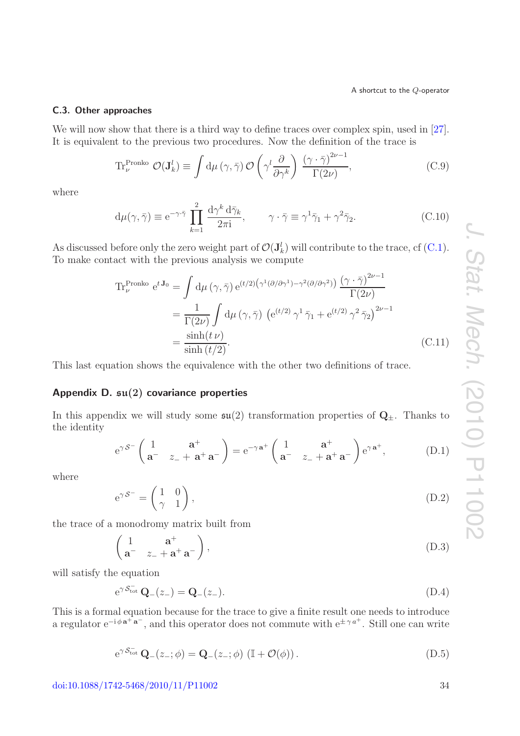### **C.3. Other approaches**

We will now show that there is a third way to define traces over complex spin, used in [\[27\]](#page-39-3). It is equivalent to the previous two procedures. Now the definition of the trace is

$$
\text{Tr}_{\nu}^{\text{Proko}} \mathcal{O}(\mathbf{J}_{k}^{l}) \equiv \int d\mu \left(\gamma, \bar{\gamma}\right) \mathcal{O}\left(\gamma^{l} \frac{\partial}{\partial \gamma^{k}}\right) \frac{\left(\gamma \cdot \bar{\gamma}\right)^{2\nu - 1}}{\Gamma(2\nu)},\tag{C.9}
$$

where

$$
d\mu(\gamma,\bar{\gamma}) \equiv e^{-\gamma\cdot\bar{\gamma}} \prod_{k=1}^{2} \frac{d\gamma^k d\bar{\gamma}_k}{2\pi i}, \qquad \gamma \cdot \bar{\gamma} \equiv \gamma^1 \bar{\gamma}_1 + \gamma^2 \bar{\gamma}_2.
$$
 (C.10)

As discussed before only the zero weight part of  $\mathcal{O}(\mathbf{J}_k^l)$  will contribute to the trace, cf [\(C.1\)](#page-32-4). To make contact with the previous analysis we compute

$$
\begin{split} \operatorname{Tr}_{\nu}^{\text{Pronko}} e^{t \mathbf{J}_0} &= \int \mathrm{d}\mu \left( \gamma, \bar{\gamma} \right) e^{(t/2) \left( \gamma^1 (\partial/\partial \gamma^1) - \gamma^2 (\partial/\partial \gamma^2) \right)} \frac{\left( \gamma \cdot \bar{\gamma} \right)^{2\nu - 1}}{\Gamma(2\nu)} \\ &= \frac{1}{\Gamma(2\nu)} \int \mathrm{d}\mu \left( \gamma, \bar{\gamma} \right) \left( e^{(t/2)} \gamma^1 \bar{\gamma}_1 + e^{(t/2)} \gamma^2 \bar{\gamma}_2 \right)^{2\nu - 1} \\ &= \frac{\sinh(t \, \nu)}{\sinh(t/2)}. \end{split} \tag{C.11}
$$

This last equation shows the equivalence with the other two definitions of trace.

### <span id="page-34-0"></span>**Appendix D. su(2) covariance properties**

In this appendix we will study some  $\mathfrak{su}(2)$  transformation properties of  $\mathbf{Q}_{\pm}$ . Thanks to the identity

$$
e^{\gamma S^{-}} \begin{pmatrix} 1 & a^{+} \\ a^{-} & z_{-} + a^{+} a^{-} \end{pmatrix} = e^{-\gamma a^{+}} \begin{pmatrix} 1 & a^{+} \\ a^{-} & z_{-} + a^{+} a^{-} \end{pmatrix} e^{\gamma a^{+}}, \quad (D.1)
$$

where

$$
e^{\gamma \mathcal{S}^{-}} = \begin{pmatrix} 1 & 0 \\ \gamma & 1 \end{pmatrix}, \tag{D.2}
$$

the trace of a monodromy matrix built from

$$
\begin{pmatrix} 1 & \mathbf{a}^+ \\ \mathbf{a}^- & z_- + \mathbf{a}^+ \mathbf{a}^- \end{pmatrix},\tag{D.3}
$$

will satisfy the equation

$$
e^{\gamma \mathcal{S}_{\text{tot}}^{-}} \mathbf{Q}_{-}(z_{-}) = \mathbf{Q}_{-}(z_{-}). \tag{D.4}
$$

This is a formal equation because for the trace to give a finite result one needs to introduce a regulator  $e^{-i\phi a^+ a^-}$ , and this operator does not commute with  $e^{\pm \gamma a^+}$ . Still one can write

$$
e^{\gamma \mathcal{S}_{\text{tot}}^{-}} \mathbf{Q}_{-}(z_{-};\phi) = \mathbf{Q}_{-}(z_{-};\phi) \left( \mathbb{I} + \mathcal{O}(\phi) \right). \tag{D.5}
$$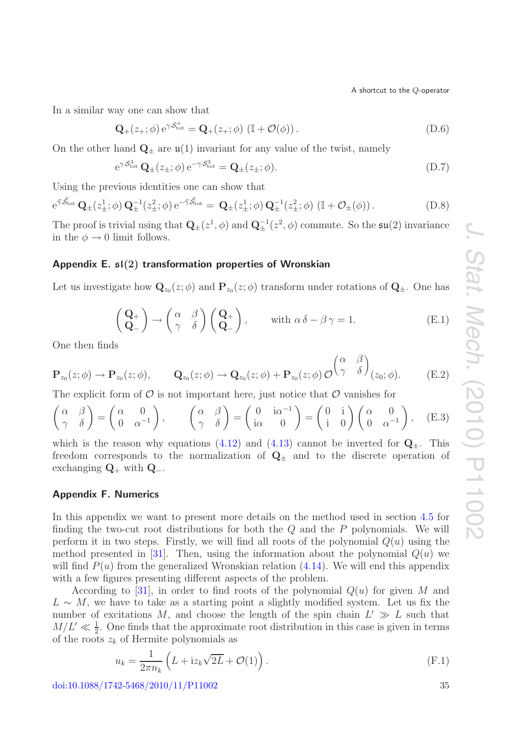In a similar way one can show that

$$
\mathbf{Q}_{+}(z_{+};\phi) e^{\gamma \mathcal{S}_{\text{tot}}^{+}} = \mathbf{Q}_{+}(z_{+};\phi) \left( \mathbb{I} + \mathcal{O}(\phi) \right). \tag{D.6}
$$

On the other hand  $\mathbf{Q}_{\pm}$  are  $\mathfrak{u}(1)$  invariant for any value of the twist, namely

$$
e^{\gamma \mathcal{S}^3_{\text{tot}}} \mathbf{Q}_{\pm}(z_{\pm}; \phi) e^{-\gamma \mathcal{S}^3_{\text{tot}}} = \mathbf{Q}_{\pm}(z_{\pm}; \phi).
$$
 (D.7)

Using the previous identities one can show that

$$
e^{\vec{\gamma}\cdot\vec{\mathcal{S}}_{\text{tot}}} \mathbf{Q}_{\pm}(z_{\pm}^1; \phi) \mathbf{Q}_{\pm}^{-1}(z_{\pm}^2; \phi) e^{-\vec{\gamma}\cdot\vec{\mathcal{S}}_{\text{tot}}} = \mathbf{Q}_{\pm}(z_{\pm}^1; \phi) \mathbf{Q}_{\pm}^{-1}(z_{\pm}^2; \phi) \left( \mathbb{I} + \mathcal{O}_{\pm}(\phi) \right). \tag{D.8}
$$

The proof is trivial using that  $\mathbf{Q}_{\pm}(z^1, \phi)$  and  $\mathbf{Q}_{\pm}^{-1}(z^2, \phi)$  commute. So the  $\mathfrak{su}(2)$  invariance in the  $\phi \rightarrow 0$  limit follows.

### <span id="page-35-0"></span>**Appendix E. sl(2) transformation properties of Wronskian**

Let us investigate how  $\mathbf{Q}_{z_0}(z; \phi)$  and  $\mathbf{P}_{z_0}(z; \phi)$  transform under rotations of  $\mathbf{Q}_{\pm}$ . One has

$$
\begin{pmatrix} \mathbf{Q}_{+} \\ \mathbf{Q}_{-} \end{pmatrix} \rightarrow \begin{pmatrix} \alpha & \beta \\ \gamma & \delta \end{pmatrix} \begin{pmatrix} \mathbf{Q}_{+} \\ \mathbf{Q}_{-} \end{pmatrix}, \quad \text{with } \alpha \delta - \beta \gamma = 1.
$$
 (E.1)

One then finds

$$
\mathbf{P}_{z_0}(z;\phi) \to \mathbf{P}_{z_0}(z;\phi), \qquad \mathbf{Q}_{z_0}(z;\phi) \to \mathbf{Q}_{z_0}(z;\phi) + \mathbf{P}_{z_0}(z;\phi) \mathcal{O}^{\left(\alpha \atop{\gamma} \beta\right)}_{\begin{pmatrix} z_0;\phi \end{pmatrix}}.
$$
 (E.2)

The explicit form of  $\mathcal O$  is not important here, just notice that  $\mathcal O$  vanishes for

$$
\begin{pmatrix} \alpha & \beta \\ \gamma & \delta \end{pmatrix} = \begin{pmatrix} \alpha & 0 \\ 0 & \alpha^{-1} \end{pmatrix}, \qquad \begin{pmatrix} \alpha & \beta \\ \gamma & \delta \end{pmatrix} = \begin{pmatrix} 0 & i\alpha^{-1} \\ i\alpha & 0 \end{pmatrix} = \begin{pmatrix} 0 & i \\ i & 0 \end{pmatrix} \begin{pmatrix} \alpha & 0 \\ 0 & \alpha^{-1} \end{pmatrix}, \quad (E.3)
$$

which is the reason why equations [\(4.12\)](#page-23-4) and [\(4.13\)](#page-23-5) cannot be inverted for  $Q_{\pm}$ . This freedom corresponds to the normalization of  $Q_{\pm}$  and to the discrete operation of exchanging **Q**<sup>+</sup> with **Q**−.

## <span id="page-35-1"></span>**Appendix F. Numerics**

In this appendix we want to present more details on the method used in section [4.5](#page-25-0) for finding the two-cut root distributions for both the  $Q$  and the  $P$  polynomials. We will perform it in two steps. Firstly, we will find all roots of the polynomial  $Q(u)$  using the method presented in [\[31\]](#page-39-7). Then, using the information about the polynomial  $Q(u)$  we will find  $P(u)$  from the generalized Wronskian relation [\(4.14\)](#page-24-0). We will end this appendix with a few figures presenting different aspects of the problem.

According to [\[31\]](#page-39-7), in order to find roots of the polynomial  $Q(u)$  for given M and  $L \sim M$ , we have to take as a starting point a slightly modified system. Let us fix the number of excitations M, and choose the length of the spin chain  $L' \gg L$  such that  $M/L' \ll \frac{1}{2}$ . One finds that the approximate root distribution in this case is given in terms of the roots  $z_k$  of Hermite polynomials as

<span id="page-35-2"></span>
$$
u_k = \frac{1}{2\pi n_k} \left( L + i z_k \sqrt{2L} + \mathcal{O}(1) \right). \tag{F.1}
$$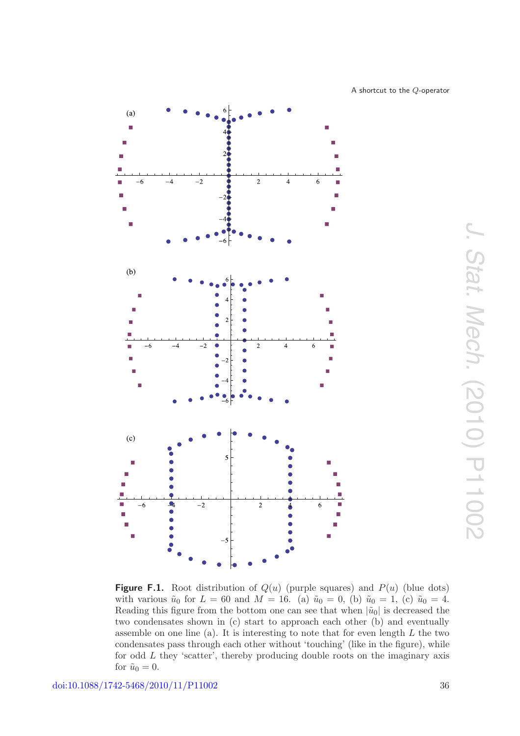<span id="page-36-0"></span>

**Figure F.1.** Root distribution of  $Q(u)$  (purple squares) and  $P(u)$  (blue dots) with various  $\tilde{u}_0$  for  $L = 60$  and  $M = 16$ . (a)  $\tilde{u}_0 = 0$ , (b)  $\tilde{u}_0 = 1$ , (c)  $\tilde{u}_0 = 4$ . Reading this figure from the bottom one can see that when  $|\tilde{u}_0|$  is decreased the two condensates shown in (c) start to approach each other (b) and eventually assemble on one line (a). It is interesting to note that for even length *L* the two condensates pass through each other without 'touching' (like in the figure), while for odd *L* they 'scatter', thereby producing double roots on the imaginary axis for  $\tilde{u}_0 = 0$ .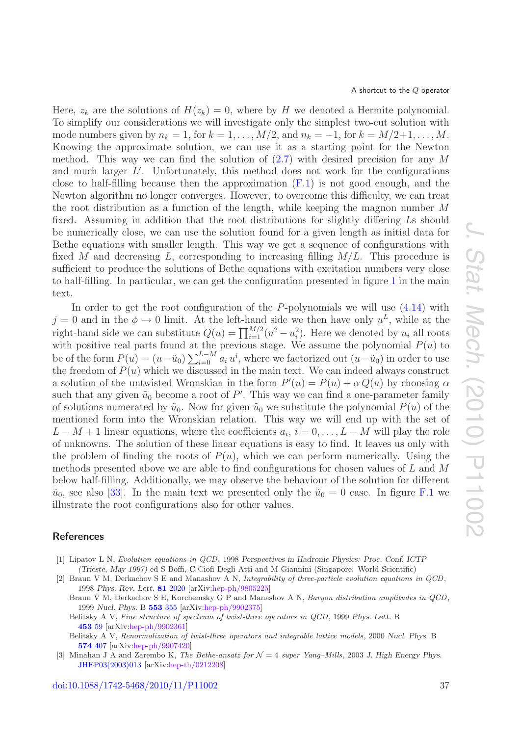Here,  $z_k$  are the solutions of  $H(z_k) = 0$ , where by H we denoted a Hermite polynomial. To simplify our considerations we will investigate only the simplest two-cut solution with mode numbers given by  $n_k = 1$ , for  $k = 1, \ldots, M/2$ , and  $n_k = -1$ , for  $k = M/2+1, \ldots, M$ . Knowing the approximate solution, we can use it as a starting point for the Newton method. This way we can find the solution of  $(2.7)$  with desired precision for any M and much larger L . Unfortunately, this method does not work for the configurations close to half-filling because then the approximation  $(F.1)$  is not good enough, and the Newton algorithm no longer converges. However, to overcome this difficulty, we can treat the root distribution as a function of the length, while keeping the magnon number M fixed. Assuming in addition that the root distributions for slightly differing Ls should be numerically close, we can use the solution found for a given length as initial data for Bethe equations with smaller length. This way we get a sequence of configurations with fixed M and decreasing L, corresponding to increasing filling  $M/L$ . This procedure is sufficient to produce the solutions of Bethe equations with excitation numbers very close to half-filling. In particular, we can get the configuration presented in figure [1](#page-20-1) in the main text.

In order to get the root configuration of the  $P$ -polynomials we will use  $(4.14)$  with  $j = 0$  and in the  $\phi \rightarrow 0$  limit. At the left-hand side we then have only  $u^L$ , while at the right-hand side we can substitute  $Q(u) = \prod_{i=1}^{M/2} (u^2 - u_i^2)$ . Here we denoted by  $u_i$  all roots with positive real parts found at the previous stage. We assume the polynomial  $P(u)$  to be of the form  $P(u) = (u - \tilde{u}_0) \sum_{i=0}^{L-M} a_i u^i$ , where we factorized out  $(u - \tilde{u}_0)$  in order to use the freedom of  $P(u)$  which we discussed in the main text. We can indeed always construct a solution of the untwisted Wronskian in the form  $P'(u) = P(u) + \alpha Q(u)$  by choosing  $\alpha$ such that any given  $\tilde{u}_0$  become a root of P'. This way we can find a one-parameter family of solutions numerated by  $\tilde{u}_0$ . Now for given  $\tilde{u}_0$  we substitute the polynomial  $P(u)$  of the mentioned form into the Wronskian relation. This way we will end up with the set of  $L - M + 1$  linear equations, where the coefficients  $a_i, i = 0, \ldots, L - M$  will play the role of unknowns. The solution of these linear equations is easy to find. It leaves us only with the problem of finding the roots of  $P(u)$ , which we can perform numerically. Using the methods presented above we are able to find configurations for chosen values of L and M below half-filling. Additionally, we may observe the behaviour of the solution for different  $\tilde{u}_0$ , see also [\[33\]](#page-39-9). In the main text we presented only the  $\tilde{u}_0 = 0$  case. In figure [F.1](#page-36-0) we illustrate the root configurations also for other values.

## <span id="page-37-1"></span><span id="page-37-0"></span>**References**

- <span id="page-37-2"></span>[1] Lipatov L N, Evolution equations in QCD, 1998 *Perspectives in Hadronic Physics: Proc. Conf. ICTP (Trieste, May 1997)* ed S Boffi, C Ciofi Degli Atti and M Giannini (Singapore: World Scientific)
- [2] Braun V M, Derkachov S E and Manashov A N, Integrability of three-particle evolution equations in QCD, 1998 *Phys. Rev. Lett.* **81** [2020](http://dx.doi.org/10.1103/PhysRevLett.81.2020) [arXiv[:hep-ph/9805225\]](http://arxiv.org/abs/hep-ph/9805225)
	- Braun V M, Derkachov S E, Korchemsky G P and Manashov A N, Baryon distribution amplitudes in QCD, 1999 *Nucl. Phys.* B **[553](http://dx.doi.org/10.1016/S0550-3213(99)00265-5)** 355 [arXiv[:hep-ph/9902375\]](http://arxiv.org/abs/hep-ph/9902375)
	- Belitsky A V, Fine structure of spectrum of twist-three operators in QCD, 1999 *Phys. Lett.* B **[453](http://dx.doi.org/10.1016/S0370-2693(99)00326-3)** 59 [arXiv[:hep-ph/9902361\]](http://arxiv.org/abs/hep-ph/9902361)
	- Belitsky A V, Renormalization of twist-three operators and integrable lattice models, 2000 *Nucl. Phys.* B **[574](http://dx.doi.org/10.1016/S0550-3213(00)00003-1)** 407 [arXiv[:hep-ph/9907420\]](http://arxiv.org/abs/hep-ph/9907420)
- <span id="page-37-3"></span>[3] Minahan J A and Zarembo K, The Bethe-ansatz for N = 4 super Yang–Mills, 2003 *J. High Energy Phys.* [JHEP03\(2003\)013](http://dx.doi.org/10.1088/1126-6708/2003/03/013) [arXiv[:hep-th/0212208\]](http://arxiv.org/abs/hep-th/0212208)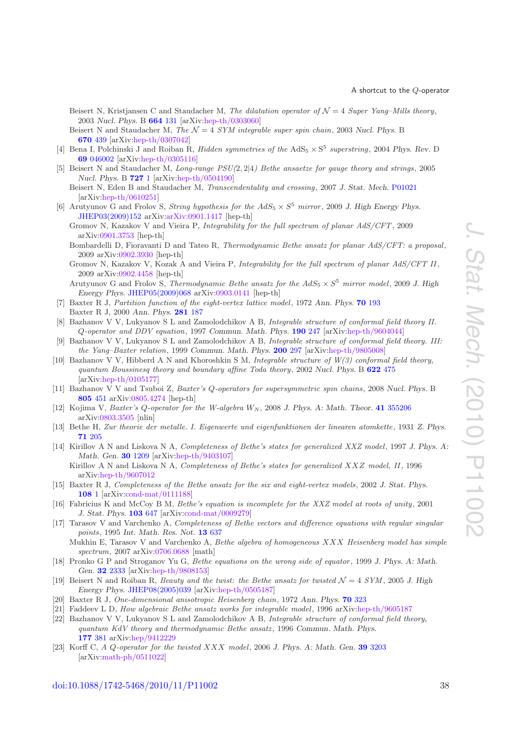- Beisert N, Kristjansen C and Staudacher M, The dilatation operator of  $\mathcal{N}=4$  Super Yang–Mills theory, 2003 *Nucl. Phys.* B **[664](http://dx.doi.org/10.1016/S0550-3213(03)00406-1)** 131 [arXiv[:hep-th/0303060\]](http://arxiv.org/abs/hep-th/0303060)
- Beisert N and Staudacher M, The  $\mathcal{N} = 4$  *SYM integrable super spin chain*, 2003 *Nucl. Phys.* B **[670](http://dx.doi.org/10.1016/j.nuclphysb.2003.08.015)** 439 [arXiv[:hep-th/0307042\]](http://arxiv.org/abs/hep-th/0307042)
- <span id="page-38-0"></span>[4] Bena I, Polchinski J and Roiban R, *Hidden symmetries of the*  $AdS_5 \times S^5$  *superstring*, 2004 *Phys. Rev.* D **69** [046002](http://dx.doi.org/10.1103/PhysRevD.69.046002) [arXiv[:hep-th/0305116\]](http://arxiv.org/abs/hep-th/0305116)
- <span id="page-38-1"></span>[5] Beisert N and Staudacher M, Long-range PSU(2, 2|4) Bethe ansaetze for gauge theory and strings, 2005 *Nucl. Phys.* B **[727](http://dx.doi.org/10.1016/j.nuclphysb.2005.06.038)** 1 [arXiv[:hep-th/0504190\]](http://arxiv.org/abs/hep-th/0504190)
	- Beisert N, Eden B and Staudacher M, Transcendentality and crossing, 2007 *J. Stat. Mech.* [P01021](http://dx.doi.org/10.1088/1742-5468/2007/01/P01021) [arXiv[:hep-th/0610251\]](http://arxiv.org/abs/hep-th/0610251)
- <span id="page-38-2"></span>[6] Arutyunov G and Frolov S, *String hypothesis for the*  $AdS_5 \times S^5$  *mirror*, 2009 *J. High Energy Phys.* [JHEP03\(2009\)152](http://dx.doi.org/10.1088/1126-6708/2009/03/152) arXiv[:arXiv:0901.1417](http://arxiv.org/abs/arXiv:0901.1417) [hep-th]
	- Gromov N, Kazakov V and Vieira P, Integrability for the full spectrum of planar AdS/CFT, 2009 arXiv[:0901.3753](http://arxiv.org/abs/0901.3753) [hep-th]
	- Bombardelli D, Fioravanti D and Tateo R, Thermodynamic Bethe ansatz for planar AdS/CFT: a proposal, 2009 arXiv[:0902.3930](http://arxiv.org/abs/0902.3930) [hep-th]
	- Gromov N, Kazakov V, Kozak A and Vieira P, Integrability for the full spectrum of planar AdS/CFT II, 2009 arXiv[:0902.4458](http://arxiv.org/abs/0902.4458) [hep-th]
	- Arutyunov G and Frolov S, *Thermodynamic Bethe ansatz for the*  $AdS_5 \times S^5$  *mirror model*, 2009 *J. High Energy Phys.* [JHEP05\(2009\)068](http://dx.doi.org/10.1088/1126-6708/2009/05/068) arXiv[:0903.0141](http://arxiv.org/abs/0903.0141) [hep-th]
- <span id="page-38-3"></span>[7] Baxter R J, Partition function of the eight-vertex lattice model, 1972 *Ann. Phys.* **70** [193](http://dx.doi.org/10.1016/0003-4916(72)90335-1) Baxter R J, 2000 *Ann. Phys.* **[281](http://dx.doi.org/10.1006/aphy.2000.6010)** 187
- <span id="page-38-4"></span>[8] Bazhanov V V, Lukyanov S L and Zamolodchikov A B, Integrable structure of conformal field theory II. Q-operator and DDV equation, 1997 *Commun. Math. Phys.* **[190](http://dx.doi.org/10.1007/s002200050240)** 247 [arXiv[:hep-th/9604044\]](http://arxiv.org/abs/hep-th/9604044)
- <span id="page-38-5"></span>[9] Bazhanov V V, Lukyanov S L and Zamolodchikov A B, Integrable structure of conformal field theory. III: the Yang–Baxter relation, 1999 *Commun. Math. Phys.* **[200](http://dx.doi.org/10.1007/s002200050531)** 297 [arXiv[:hep-th/9805008\]](http://arxiv.org/abs/hep-th/9805008)
- <span id="page-38-6"></span>[10] Bazhanov V V, Hibberd A N and Khoroshkin S M, Integrable structure of W(3) conformal field theory, quantum Boussinesq theory and boundary affine Toda theory, 2002 *Nucl. Phys.* B **[622](http://dx.doi.org/10.1016/S0550-3213(01)00595-8)** 475 [arXiv[:hep-th/0105177\]](http://arxiv.org/abs/hep-th/0105177)
- [11] Bazhanov V V and Tsuboi Z, Baxter's Q-operators for supersymmetric spin chains, 2008 *Nucl. Phys.* B **[805](http://dx.doi.org/10.1016/j.nuclphysb.2008.06.025)** 451 arXiv[:0805.4274](http://arxiv.org/abs/0805.4274) [hep-th]
- <span id="page-38-7"></span>[12] Kojima V, Baxter's  $Q$ -operator for the W-algebra  $W_N$ , 2008 *J. Phys. A: Math. Theor.* **41** [355206](http://dx.doi.org/10.1088/1751-8113/41/35/355206) arXiv[:0803.3505](http://arxiv.org/abs/0803.3505) [nlin]
- <span id="page-38-8"></span>[13] Bethe H, Zur theorie der metalle. I. Eigenwerte und eigenfunktionen der linearen atomkette, 1931 *Z. Phys.* **71** [205](http://dx.doi.org/10.1007/BF01341708)
- <span id="page-38-9"></span>[14] Kirillov A N and Liskova N A, Completeness of Bethe's states for generalized XXZ model, 1997 *J. Phys. A: Math. Gen.* **30** [1209](http://dx.doi.org/10.1088/0305-4470/30/4/022) [arXiv[:hep-th/9403107\]](http://arxiv.org/abs/hep-th/9403107) Kirillov A N and Liskova N A, Completeness of Bethe's states for generalized XXZ model, II, 1996 arXiv[:hep-th/9607012](http://arxiv.org/abs/hep-th/9607012)
- [15] Baxter R J, Completeness of the Bethe ansatz for the six and eight-vertex models, 2002 *J. Stat. Phys.* **[108](http://dx.doi.org/10.1023/A:1015437118218)** 1 [arXiv[:cond-mat/0111188\]](http://arxiv.org/abs/cond-mat/0111188)
- [16] Fabricius K and McCoy B M, Bethe's equation is incomplete for the XXZ model at roots of unity, 2001 *J. Stat. Phys.* **[103](http://dx.doi.org/10.1023/A:1010380116927)** 647 [arXiv[:cond-mat/0009279\]](http://arxiv.org/abs/cond-mat/0009279)
- <span id="page-38-10"></span>[17] Tarasov V and Varchenko A, Completeness of Bethe vectors and difference equations with regular singular points, 1995 *Int. Math. Res. Not.* **13** [637](http://dx.doi.org/10.1155/S1073792895000377) Mukhin E, Tarasov V and Varchenko A, Bethe algebra of homogeneous XXX Heisenberg model has simple
	- spectrum, 2007 arXiv[:0706.0688](http://arxiv.org/abs/0706.0688) [math]
- <span id="page-38-11"></span>[18] Pronko G P and Stroganov Yu G, Bethe equations on the wrong side of equator, 1999 *J. Phys. A: Math. Gen.* **32** [2333](http://dx.doi.org/10.1088/0305-4470/32/12/007) [arXiv[:hep-th/9808153\]](http://arxiv.org/abs/hep-th/9808153)
- <span id="page-38-12"></span>[19] Beisert N and Roiban R, *Beauty and the twist: the Bethe ansatz for twisted*  $\mathcal{N} = 4$  *SYM*, 2005 *J. High Energy Phys.* [JHEP08\(2005\)039](http://dx.doi.org/10.1088/1126-6708/2005/08/039) [arXiv[:hep-th/0505187\]](http://arxiv.org/abs/hep-th/0505187)
- <span id="page-38-14"></span><span id="page-38-13"></span>[20] Baxter R J, One-dimensional anisotropic Heisenberg chain, 1972 *Ann. Phys.* **70** [323](http://dx.doi.org/10.1016/0003-4916(72)90270-9)
- <span id="page-38-15"></span>[21] Faddeev L D, How algebraic Bethe ansatz works for integrable model, 1996 arXiv[:hep-th/9605187](http://arxiv.org/abs/hep-th/9605187)
- [22] Bazhanov V V, Lukyanov S L and Zamolodchikov A B, Integrable structure of conformal field theory, quantum KdV theory and thermodynamic Bethe ansatz , 1996 *Commun. Math. Phys.* **[177](http://dx.doi.org/10.1007/BF02101898)** 381 arXiv[:hep/9412229](http://arxiv.org/abs/hep/9412229)
- <span id="page-38-16"></span>[23] Korff C, A Q-operator for the twisted XXX model, 2006 *J. Phys. A: Math. Gen.* **39** [3203](http://dx.doi.org/10.1088/0305-4470/39/13/002) [arXiv[:math-ph/0511022\]](http://arxiv.org/abs/math-ph/0511022)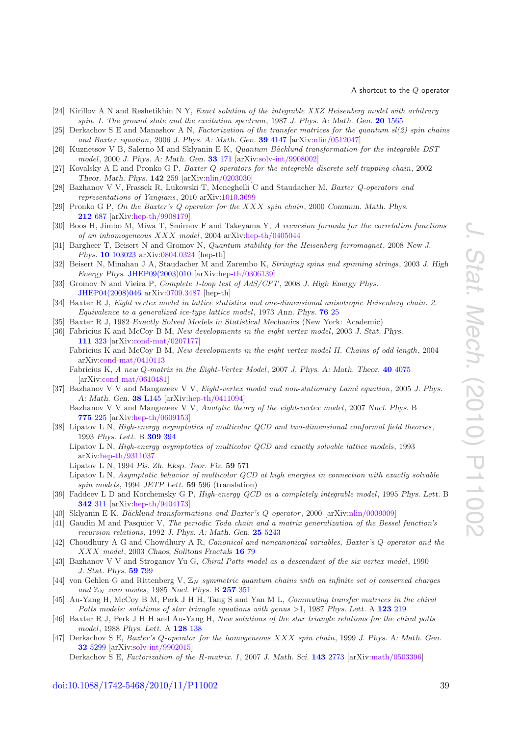- <span id="page-39-0"></span>[24] Kirillov A N and Reshetikhin N Y, Exact solution of the integrable XXZ Heisenberg model with arbitrary spin. I. The ground state and the excitation spectrum, 1987 *J. Phys. A: Math. Gen.* **20** [1565](http://dx.doi.org/10.1088/0305-4470/20/6/038)
- <span id="page-39-1"></span>[25] Derkachov S E and Manashov A N, Factorization of the transfer matrices for the quantum sl(2) spin chains and Baxter equation, 2006 *J. Phys. A: Math. Gen.* **39** [4147](http://dx.doi.org/10.1088/0305-4470/39/16/003) [arXiv[:nlin/0512047\]](http://arxiv.org/abs/nlin/0512047)
- <span id="page-39-2"></span>[26] Kuznetsov V B, Salerno M and Sklyanin E K, Quantum Bäcklund transformation for the integrable DST model, 2000 *J. Phys. A: Math. Gen.* **33** [171](http://dx.doi.org/10.1088/0305-4470/33/1/311) [arXiv[:solv-int/9908002\]](http://arxiv.org/abs/solv-int/9908002)
- <span id="page-39-3"></span>[27] Kovalsky A E and Pronko G P, Baxter Q-operators for the integrable discrete self-trapping chain, 2002 *Theor. Math. Phys.* **142** 259 [arXiv[:nlin/0203030\]](http://arxiv.org/abs/nlin/0203030)
- <span id="page-39-4"></span>[28] Bazhanov V V, Frassek R, Lukowski T, Meneghelli C and Staudacher M, Baxter Q-operators and representations of Yangians, 2010 arXiv[:1010.3699](http://arxiv.org/abs/1010.3699)
- <span id="page-39-5"></span>[29] Pronko G P, On the Baxter's Q operator for the XXX spin chain, 2000 *Commun. Math. Phys.* **[212](http://dx.doi.org/10.1007/s002200000235)** 687 [arXiv[:hep-th/9908179\]](http://arxiv.org/abs/hep-th/9908179)
- <span id="page-39-6"></span>[30] Boos H, Jimbo M, Miwa T, Smirnov F and Takeyama Y, A recursion formula for the correlation functions of an inhomogeneous XXX model, 2004 arXiv[:hep-th/0405044](http://arxiv.org/abs/hep-th/0405044)
- <span id="page-39-7"></span>[31] Bargheer T, Beisert N and Gromov N, Quantum stability for the Heisenberg ferromagnet, 2008 *New J. Phys.* **10** [103023](http://dx.doi.org/10.1088/1367-2630/10/10/103023) arXiv[:0804.0324](http://arxiv.org/abs/0804.0324) [hep-th]
- <span id="page-39-8"></span>[32] Beisert N, Minahan J A, Staudacher M and Zarembo K, Stringing spins and spinning strings, 2003 *J. High Energy Phys.* [JHEP09\(2003\)010](http://dx.doi.org/10.1088/1126-6708/2003/09/010) [arXiv[:hep-th/0306139\]](http://arxiv.org/abs/hep-th/0306139)
- <span id="page-39-9"></span>[33] Gromov N and Vieira P, Complete 1-loop test of AdS/CFT, 2008 *J. High Energy Phys.* [JHEP04\(2008\)046](http://dx.doi.org/10.1088/1126-6708/2008/04/046) arXiv[:0709.3487](http://arxiv.org/abs/0709.3487) [hep-th]
- <span id="page-39-10"></span>[34] Baxter R J, Eight vertex model in lattice statistics and one-dimensional anisotropic Heisenberg chain. 2. Equivalence to a generalized ice-type lattice model, 1973 *Ann. Phys.* **[76](http://dx.doi.org/10.1016/0003-4916(73)90440-5)** 25
- <span id="page-39-12"></span><span id="page-39-11"></span>[35] Baxter R J, 1982 *Exactly Solved Models in Statistical Mechanics* (New York: Academic)
- [36] Fabricius K and McCoy B M, New developments in the eight vertex model, 2003 *J. Stat. Phys.* **[111](http://dx.doi.org/10.1023/A:1022213209641)** 323 [arXiv[:cond-mat/0207177\]](http://arxiv.org/abs/cond-mat/0207177)
	- Fabricius K and McCoy B M, New developments in the eight vertex model II. Chains of odd length, 2004 arXiv[:cond-mat/0410113](http://arxiv.org/abs/cond-mat/0410113)
	- Fabricius K, A new Q-matrix in the Eight-Vertex Model, 2007 *J. Phys. A: Math. Theor.* **40** [4075](http://dx.doi.org/10.1088/1751-8113/40/15/002) [arXiv[:cond-mat/0610481\]](http://arxiv.org/abs/cond-mat/0610481)
- <span id="page-39-13"></span>[37] Bazhanov V V and Mangazeev V V, Eight-vertex model and non-stationary Lam´e equation, 2005 *J. Phys. A: Math. Gen.* **38** [L145](http://dx.doi.org/10.1088/0305-4470/38/8/L01) [arXiv[:hep-th/0411094\]](http://arxiv.org/abs/hep-th/0411094)
	- Bazhanov V V and Mangazeev V V, Analytic theory of the eight-vertex model, 2007 *Nucl. Phys.* B **[775](http://dx.doi.org/10.1016/j.nuclphysb.2006.12.021)** 225 [arXiv[:hep-th/0609153\]](http://arxiv.org/abs/hep-th/0609153)
- <span id="page-39-14"></span>[38] Lipatov L N, High-energy asymptotics of multicolor QCD and two-dimensional conformal field theories, 1993 *Phys. Lett.* B **[309](http://dx.doi.org/10.1016/0370-2693(93)90951-D)** 394
	- Lipatov L N, High-energy asymptotics of multicolor QCD and exactly solvable lattice models, 1993 arXiv[:hep-th/9311037](http://arxiv.org/abs/hep-th/9311037)
		- Lipatov L N, 1994 *Pis. Zh. Eksp. Teor. Fiz.* **59** 571
	- Lipatov L N, Asymptotic behavior of multicolor QCD at high energies in connection with exactly solvable spin models, 1994 *JETP Lett.* **59** 596 (translation)
- <span id="page-39-15"></span>[39] Faddeev L D and Korchemsky G P, High-energy QCD as a completely integrable model, 1995 *Phys. Lett.* B **[342](http://dx.doi.org/10.1016/0370-2693(94)01363-H)** 311 [arXiv[:hep-th/9404173\]](http://arxiv.org/abs/hep-th/9404173)
- <span id="page-39-17"></span><span id="page-39-16"></span>[40] Sklyanin E K, Bäcklund transformations and Baxter's Q-operator, 2000 [arXiv[:nlin/0009009\]](http://arxiv.org/abs/nlin/0009009)
- [41] Gaudin M and Pasquier V, The periodic Toda chain and a matrix generalization of the Bessel function's recursion relations, 1992 *J. Phys. A: Math. Gen.* **25** [5243](http://dx.doi.org/10.1088/0305-4470/25/20/007)
- <span id="page-39-18"></span>[42] Choudhury A G and Chowdhury A R, Canonical and noncanonical variables, Baxter's Q-operator and the XXX model, 2003 *Chaos, Solitons Fractals* **[16](http://dx.doi.org/10.1016/S0960-0779(02)00310-7)** 79
- <span id="page-39-19"></span>[43] Bazhanov V V and Stroganov Yu G, Chiral Potts model as a descendant of the six vertex model, 1990 *J. Stat. Phys.* **59** [799](http://dx.doi.org/10.1007/BF01025851)
- <span id="page-39-20"></span>[44] von Gehlen G and Rittenberg V,  $\mathbb{Z}_N$  symmetric quantum chains with an infinite set of conserved charges and  $\mathbb{Z}_N$  zero modes, 1985 Nucl. Phys. B **[257](http://dx.doi.org/10.1016/0550-3213(85)90350-5)** 351
- [45] Au-Yang H, McCoy B M, Perk J H H, Tang S and Yan M L, Commuting transfer matrices in the chiral Potts models: solutions of star triangle equations with genus >1, 1987 *Phys. Lett.* A **[123](http://dx.doi.org/10.1016/0375-9601(87)90065-X)** 219
- <span id="page-39-21"></span>[46] Baxter R J, Perk J H H and Au-Yang H, New solutions of the star triangle relations for the chiral potts model, 1988 *Phys. Lett.* A **[128](http://dx.doi.org/10.1016/0375-9601(88)90896-1)** 138
- <span id="page-39-22"></span>[47] Derkachov S E, Baxter's Q-operator for the homogeneous XXX spin chain, 1999 *J. Phys. A: Math. Gen.* **32** [5299](http://dx.doi.org/10.1088/0305-4470/32/28/309) [arXiv[:solv-int/9902015\]](http://arxiv.org/abs/solv-int/9902015)

Derkachov S E, Factorization of the R-matrix. I, 2007 *J. Math. Sci.* **143** [2773](http://dx.doi.org/10.1007/s10958-007-0164-8) [arXiv[:math/0503396\]](http://arxiv.org/abs/math/0503396)